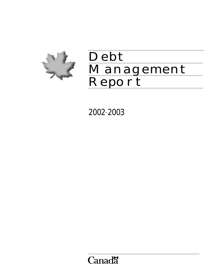

# Debt Management Report

2002–2003

Canadä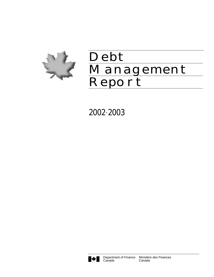

# Debt Management Report

2002–2003

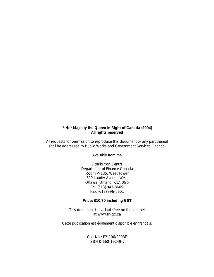## **© Her Majesty the Queen in Right of Canada (2004) All rights reserved**

All requests for permission to reproduce this document or any part thereof shall be addressed to Public Works and Government Services Canada.

Available from the

Distribution Centre Department of Finance Canada Room P-135, West Tower 300 Laurier Avenue West Ottawa, Ontario K1A 0G5 Tel: (613) 943-8665 Fax: (613) 996-0901

#### **Price: \$10.70 including GST**

This document is available free on the Internet at www.fin.gc.ca

*Cette publication est également disponible en français.*

Cat. No.: F2-106/2003E ISBN 0-660-19249-7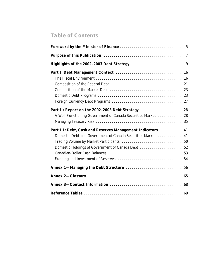# *Table of Contents*

|                                                                                                                                                                       | $\overline{7}$                   |
|-----------------------------------------------------------------------------------------------------------------------------------------------------------------------|----------------------------------|
| Highlights of the 2002-2003 Debt Strategy                                                                                                                             | 9                                |
|                                                                                                                                                                       | 16<br>16<br>21<br>23<br>23<br>27 |
| Part II: Report on the 2002-2003 Debt Strategy<br>A Well-Functioning Government of Canada Securities Market                                                           | 28<br>28<br>35                   |
| Part III: Debt, Cash and Reserves Management Indicators<br>Domestic Debt and Government of Canada Securities Market<br>Domestic Holdings of Government of Canada Debt | 41<br>41<br>50<br>52<br>53<br>54 |
| Annex 1-Managing the Debt Structure                                                                                                                                   | 56                               |
|                                                                                                                                                                       | 65                               |
|                                                                                                                                                                       | 68                               |
|                                                                                                                                                                       | 69                               |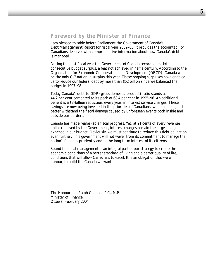# *Foreword by the Minister of Finance*

I am pleased to table before Parliament the Government of Canada's *Debt Management Report* for fiscal year 2002–03. It provides the accountability Canadians deserve, with comprehensive information about how Canada's debt is managed.

During the past fiscal year the Government of Canada recorded its sixth consecutive budget surplus, a feat not achieved in half a century. According to the Organisation for Economic Co-operation and Development (OECD), Canada will be the only G-7 nation in surplus this year. These ongoing surpluses have enabled us to reduce our federal debt by more than \$52 billion since we balanced the budget in 1997–98.

Today Canada's debt-to-GDP (gross domestic product) ratio stands at 44.2 per cent compared to its peak of 68.4 per cent in 1995–96. An additional benefit is a \$3-billion reduction, every year, in interest service charges. These savings are now being invested in the priorities of Canadians, while enabling us to better withstand the fiscal damage caused by unforeseen events both inside and outside our borders.

Canada has made remarkable fiscal progress. Yet, at 21 cents of every revenue dollar received by the Government, interest charges remain the largest single expense in our budget. Obviously, we must continue to reduce this debt obligation even further. This government will not waver from its commitment to manage the nation's finances prudently and in the long-term interest of its citizens.

Sound financial management is an integral part of our strategy to create the economic conditions of a better standard of living and a better quality of life, conditions that will allow Canadians to excel. It is an obligation that we will honour, to build the Canada we want.

The Honourable Ralph Goodale, P.C., M.P. Minister of Finance Ottawa, February 2004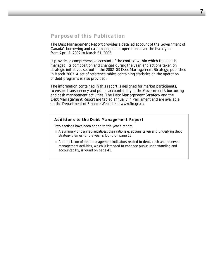# *Purpose of this Publication*

The *Debt Management Report* provides a detailed account of the Government of Canada's borrowing and cash management operations over the fiscal year from April 1, 2002 to March 31, 2003.

It provides a comprehensive account of the context within which the debt is managed, its composition and changes during the year, and actions taken on strategic initiatives set out in the 2002–03 *Debt Management Strategy*, published in March 2002. A set of reference tables containing statistics on the operation of debt programs is also provided.

The information contained in this report is designed for market participants, to ensure transparency and public accountability in the Government's borrowing and cash management activities. The *Debt Management Strategy* and the *Debt Management Report* are tabled annually in Parliament and are available on the Department of Finance Web site at www.fin.gc.ca.

#### *Additions to the* **Debt Management Report**

Two sections have been added to this year's report.

- A summary of planned initiatives, their rationale, actions taken and underlying debt strategy themes for the year is found on page 12.
- A compilation of debt management indicators related to debt, cash and reserves management activities, which is intended to enhance public understanding and accountability, is found on page 41.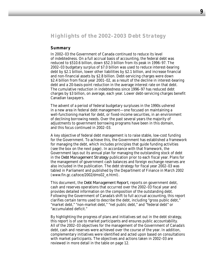# *Highlights of the 2002–2003 Debt Strategy*

#### **Summary**

In 2002–03 the Government of Canada continued to reduce its level of indebtedness. On a full accrual basis of accounting, the federal debt was reduced to \$510.6 billion, down \$52.3 billion from its peak in 1996–97. The 2002–03 budgetary surplus of \$7.0 billion was used to reduce interest-bearing debt by \$2.1 billion, lower other liabilities by \$2.1 billion, and increase financial and non-financial assets by \$2.8 billion. Debt-servicing charges were down \$2.4 billion from fiscal year 2001–02, as a result of the decline in interest-bearing debt and a 20-basis-point reduction in the average interest rate on that debt. The cumulative reduction in indebtedness since 1996–97 has reduced debt charges by \$3 billion, on average, each year. Lower debt-servicing charges benefit Canadian taxpayers.

The advent of a period of federal budgetary surpluses in the 1990s ushered in a new area in federal debt management—one focused on maintaining a well-functioning market for debt, or fixed-income securities, in an environment of declining borrowing needs. Over the past several years the majority of adjustments to government borrowing programs have been in this domain, and this focus continued in 2002–03.

A key objective of federal debt management is to raise stable, low-cost funding for the Government. To achieve this, the Government has established a framework for managing the debt, which includes principles that guide funding activities (see the box on the next page). In accordance with that framework, the Government lays out its annual plan for managing the outstanding stock of debt in the *Debt Management Strategy* publication prior to each fiscal year. Plans for the management of government cash balances and foreign exchange reserves are also included in the publication. The debt strategy for fiscal year 2002–03 was tabled in Parliament and published by the Department of Finance in March 2002 (www.fin.gc.ca/toce/2002/dms02\_e.html).

This document, the *Debt Management Report*, reports on government debt, cash and reserves operations that occurred over the 2002–03 fiscal year and provides detailed information on the composition of the outstanding debt. Following the Government of Canada's shift to full accrual accounting, this report clarifies certain terms used to describe the debt, including "gross public debt," "market debt," "non-market debt," "net public debt," and "federal debt" or "accumulated deficit."

By highlighting the progress of plans and initiatives set out in the debt strategy, this report is of use to market participants and ensures public accountability. All of the 2002–03 objectives for the management of the Government of Canada's debt, cash and reserves were achieved over the course of the year. In addition, complementary initiatives were identified and acted upon based on consultations with market participants. The objectives and actions taken in 2002–03 are reviewed in more detail in the table on page 12.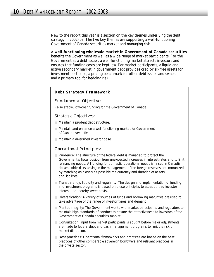New to the report this year is a section on the key themes underlying the debt strategy in 2002–03. The two key themes are supporting a well-functioning Government of Canada securities market and managing risk.

A **well-functioning wholesale market in Government of Canada securities** benefits the Government as well as a wide range of market participants. For the Government as a debt issuer, a well-functioning market attracts investors and ensures that funding costs are kept low. For market participants, a liquid and active secondary market in government debt provides credit-risk-free assets for investment portfolios, a pricing benchmark for other debt issues and swaps, and a primary tool for hedging risk.

#### *Debt Strategy Framework*

#### *Fundamental Objective:*

Raise stable, low-cost funding for the Government of Canada.

#### *Strategic Objectives:*

- Maintain a prudent debt structure.
- $\Box$  Maintain and enhance a well-functioning market for Government of Canada securities.
- Maintain a diversified investor base.

#### *Operational Principles:*

- Prudence: The structure of the federal debt is managed to protect the Government's fiscal position from unexpected increases in interest rates and to limit refinancing needs. All funding for domestic operational needs is raised in Canadian dollars, while risks arising in the management of the foreign reserves are immunized by matching as closely as possible the currency and duration of assets and liabilities.
- Transparency, liquidity and regularity: The design and implementation of funding and investment programs is based on these principles to attract broad investor interest and thereby lower costs.
- Diversification: A variety of sources of funds and borrowing maturities are used to take advantage of the range of investor types and demand.
- Market integrity: The Government works with market participants and regulators to maintain high standards of conduct to ensure the attractiveness to investors of the Government of Canada securities market.
- Consultation: Input from market participants is sought before major adjustments are made to federal debt and cash management programs to limit the risk of market disruption.
- Best practices: Operational frameworks and practices are based on the best practices of other comparable sovereign borrowers and relevant practices in the private sector.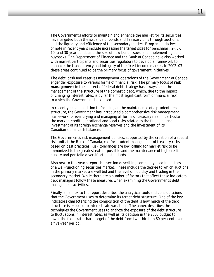The Government's efforts to maintain and enhance the market for its securities have targeted both the issuance of bonds and Treasury bills through auctions, and the liquidity and efficiency of the secondary market. Program initiatives of note in recent years include increasing the target sizes for benchmark 2-, 5-, 10- and 30-year bonds and the size of new bond issues, and implementing bond buybacks. The Department of Finance and the Bank of Canada have also worked with market participants and securities regulators to develop a framework to enhance the transparency and integrity of the fixed-income market. In 2002–03 these areas continued to be the primary focus of government initiatives.

The debt, cash and reserves management operations of the Government of Canada engender exposure to various forms of financial risk. The primary focus of **risk management** in the context of federal debt strategy has always been the management of the structure of the domestic debt, which, due to the impact of changing interest rates, is by far the most significant form of financial risk to which the Government is exposed.

In recent years, in addition to focusing on the maintenance of a prudent debt structure, the Government has introduced a comprehensive risk management framework for identifying and managing all forms of treasury risk, in particular the market, credit, operational and legal risks related to the financing and investment of its foreign exchange reserves and the investment of its Canadian-dollar cash balances.

The Government's risk management policies, supported by the creation of a special risk unit at the Bank of Canada, call for prudent management of treasury risks based on best practices. Risk tolerances are low, calling for market risk to be immunized to the greatest extent possible and the maintenance of high credit quality and portfolio diversification standards.

Also new to this year's report is a section describing commonly used indicators of a well-functioning securities market. These include the degree to which auctions in the primary market are well bid and the level of liquidity and trading in the secondary market. While there are a number of factors that affect these indicators, debt managers follow these measures when examining the Government's debt management activities.

Finally, an annex to the report describes the analytical tools and considerations that the Government uses to determine its target debt structure. One of the key indicators characterizing the composition of the debt is how much of the debt structure is exposed to interest rate variations. The annex describes the techniques the Government uses to analyze the exposure of the debt structure to fluctuations in interest rates, as well as its decision in the 2003 budget to lower the fixed-rate share target of the debt from two-thirds to 60 per cent over a five-year period.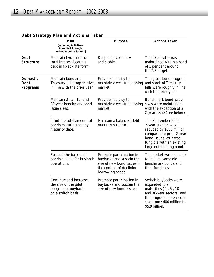|                                                   | Plan<br>(including initiatives<br>identified through<br>mid-year consultations)             | Purpose                                                                                                                            | <b>Actions Taken</b>                                                                                                                                                               |
|---------------------------------------------------|---------------------------------------------------------------------------------------------|------------------------------------------------------------------------------------------------------------------------------------|------------------------------------------------------------------------------------------------------------------------------------------------------------------------------------|
| <b>Debt</b><br><b>Structure</b>                   | Maintain two-thirds of<br>total interest-bearing<br>debt in fixed-rate form.                | Keep debt costs low<br>and stable.                                                                                                 | The fixed ratio was<br>maintained within a band<br>of 3 per cent around<br>the 2/3 target.                                                                                         |
| <b>Domestic</b><br><b>Debt</b><br><b>Programs</b> | Maintain bond and<br>Treasury bill program sizes<br>in line with the prior year.            | Provide liquidity to<br>maintain a well-functioning<br>market.                                                                     | The gross bond program<br>and stock of Treasury<br>bills were roughly in line<br>with the prior year.                                                                              |
|                                                   | Maintain $2-$ , $5-$ , $10-$ and<br>30-year benchmark bond<br>issue sizes.                  | Provide liquidity to<br>maintain a well-functioning<br>market.                                                                     | Benchmark bond issue<br>sizes were maintained,<br>with the exception of a<br>2-year issue (see below).                                                                             |
|                                                   | Limit the total amount of<br>bonds maturing on any<br>maturity date.                        | Maintain a balanced debt<br>maturity structure.                                                                                    | The September 2002<br>2-year auction was<br>reduced by \$500 million<br>compared to prior 2-year<br>bond issues, as it was<br>fungible with an existing<br>large outstanding bond. |
|                                                   | Expand the basket of<br>bonds eligible for buyback<br>operations.                           | Promote participation in<br>buybacks and sustain the<br>size of new bond issues in<br>the context of declining<br>borrowing needs. | The basket was expanded<br>to include some old<br>benchmark bonds and<br>their fungibles.                                                                                          |
|                                                   | Continue and increase<br>the size of the pilot<br>program of buybacks<br>on a switch basis. | Promote participation in<br>buybacks and sustain the<br>size of new bond issues.                                                   | Switch buybacks were<br>expanded to all<br>maturities $(2-, 5-, 10-$<br>and 30-year sectors) and<br>the program increased in<br>size from \$400 million to<br>\$5.9 billion.       |

# **Debt Strategy Plan and Actions Taken**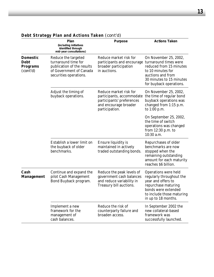|                                                               | Plan                                                                                                                          | Purpose                                                                                                                                                 | <b>Actions Taken</b>                                                                                                                                                     |
|---------------------------------------------------------------|-------------------------------------------------------------------------------------------------------------------------------|---------------------------------------------------------------------------------------------------------------------------------------------------------|--------------------------------------------------------------------------------------------------------------------------------------------------------------------------|
|                                                               | (including initiatives<br>identified through<br>mid-year consultations)                                                       |                                                                                                                                                         |                                                                                                                                                                          |
| <b>Domestic</b><br><b>Debt</b><br><b>Programs</b><br>(cont'd) | Reduce the targeted<br>turnaround time for<br>publication of the results<br>of Government of Canada<br>securities operations. | Reduce market risk for<br>participants and encourage turnaround times were<br>broader participation<br>in auctions.                                     | On November 25, 2002,<br>reduced from 15 minutes<br>to 10 minutes for<br>auctions and from<br>30 minutes to 15 minutes<br>for buyback operations.                        |
|                                                               | Adjust the timing of<br>buyback operations.                                                                                   | Reduce market risk for<br>the time of regular bond<br>participants, accommodate<br>participants' preferences<br>and encourage broader<br>participation. |                                                                                                                                                                          |
|                                                               |                                                                                                                               |                                                                                                                                                         | On September 25, 2002,<br>the time of switch<br>operations was changed<br>from $12:30$ p.m. to<br>10:30 a.m.                                                             |
|                                                               | Establish a lower limit on<br>the buyback of older<br>benchmarks.                                                             | Ensure liquidity is<br>maintained in actively<br>traded outstanding bonds.                                                                              | Repurchases of older<br>benchmarks are now<br>stopped when the<br>remaining outstanding<br>amount for each maturity<br>reaches \$6 billion.                              |
| Cash<br><b>Management</b>                                     | Continue and expand the<br>pilot Cash Management<br>Bond Buyback program.                                                     | Reduce the peak levels of<br>government cash balances<br>and reduce variability in<br>Treasury bill auctions.                                           | Operations were held<br>regularly throughout the<br>year and offers to<br>repurchase maturing<br>bonds were extended<br>to include those maturing<br>in up to 18 months. |
|                                                               | Implement a new<br>framework for the<br>management of<br>cash balances.                                                       | Reduce the risk of<br>counterparty failure and<br>broaden access.                                                                                       | In September 2002 the<br>new collateral-based<br>framework was<br>successfully launched.                                                                                 |

# **Debt Strategy Plan and Actions Taken** *(cont'd)*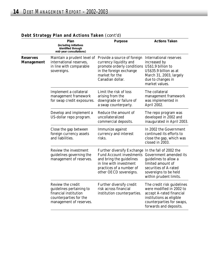|                        | Plan<br>(including initiatives<br>identified through<br>mid-year consultations)                                             | Purpose                                                                                                                                                                                             | <b>Actions Taken</b>                                                                                                                                                  |
|------------------------|-----------------------------------------------------------------------------------------------------------------------------|-----------------------------------------------------------------------------------------------------------------------------------------------------------------------------------------------------|-----------------------------------------------------------------------------------------------------------------------------------------------------------------------|
| Reserves<br>Management | international reserves,<br>in line with comparable<br>sovereigns.                                                           | Maintain a prudent level of Provide a source of foreign<br>currency liquidity and<br>promote orderly conditions US\$1.9 billion to<br>in the foreign exchange<br>market for the<br>Canadian dollar. | International reserves<br>increased by<br>US\$35.9 billion as at<br>March 31, 2003, largely<br>due to changes in<br>market values.                                    |
|                        | Implement a collateral<br>management framework<br>for swap credit exposures.                                                | Limit the risk of loss<br>arising from the<br>downgrade or failure of<br>a swap counterparty.                                                                                                       | The collateral<br>management framework<br>was implemented in<br>April 2002.                                                                                           |
|                        | Develop and implement a<br>US-dollar repo program.                                                                          | Reduce the amount of<br>uncollateralized<br>commercial deposits.                                                                                                                                    | The repo program was<br>developed in 2002 and<br>inaugurated in April 2003.                                                                                           |
|                        | Close the gap between<br>foreign currency assets<br>and liabilities.                                                        | Immunize against<br>currency and interest<br>risks.                                                                                                                                                 | In 2002 the Government<br>continued its efforts to<br>close the gap, which was<br>closed in 2003.                                                                     |
|                        | Review the investment<br>guidelines governing the<br>management of reserves.                                                | Further diversify Exchange In the fall of 2002 the<br><b>Fund Account investments</b><br>and bring the guidelines<br>in line with investment<br>practices of a number of<br>other OECD sovereigns.  | Government amended its<br>guidelines to allow a<br>limited amount of<br>securities of A-rated<br>sovereigns to be held<br>within prudent limits.                      |
|                        | Review the credit<br>guidelines pertaining to<br>financial institution<br>counterparties for the<br>management of reserves. | Further diversify credit<br>risk across financial<br>institution counterparties.                                                                                                                    | The credit risk guidelines<br>were modified in 2002 to<br>accept A-rated financial<br>institutions as eligible<br>counterparties for swaps,<br>forwards and deposits. |
|                        |                                                                                                                             |                                                                                                                                                                                                     |                                                                                                                                                                       |

# **Debt Strategy Plan and Actions Taken** *(cont'd)*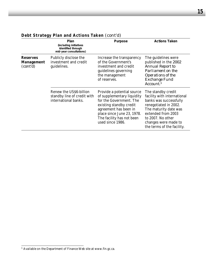|                                                  | Plan<br>(including initiatives<br>identified through<br>mid-year consultations) | Purpose                                                                                                                                                                                                                | <b>Actions Taken</b>                                                                                                                                                                                                           |
|--------------------------------------------------|---------------------------------------------------------------------------------|------------------------------------------------------------------------------------------------------------------------------------------------------------------------------------------------------------------------|--------------------------------------------------------------------------------------------------------------------------------------------------------------------------------------------------------------------------------|
| <b>Reserves</b><br><b>Management</b><br>(cont'd) | Publicly disclose the<br>investment and credit<br>guidelines.                   | Increase the transparency<br>of the Government's<br>investment and credit<br>guidelines governing<br>the management<br>of reserves.                                                                                    | The guidelines were<br>published in the 2002<br>Annual Report to<br>Parliament on the<br>Operations of the<br>Exchange Fund<br>Account. <sup>1</sup>                                                                           |
|                                                  | Renew the US\$6-billion<br>standby line of credit with<br>international banks.  | Provide a potential source<br>of supplementary liquidity<br>for the Government. The<br>existing standby credit<br>agreement has been in<br>place since June 23, 1978.<br>The facility has not been<br>used since 1986. | The standby credit<br>facility with international<br>banks was successfully<br>renegotiated in 2002.<br>The maturity date was<br>extended from 2003<br>to 2007. No other<br>changes were made to<br>the terms of the facility. |

# **Debt Strategy Plan and Actions Taken** *(cont'd)*

 $^{\rm 1}$  Available on the Department of Finance Web site at www.fin.gc.ca.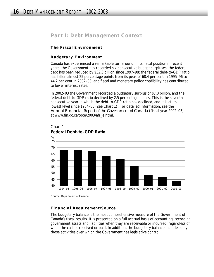# *Part I: Debt Management Context*

# **The Fiscal Environment**

## *Budgetary Environment*

Canada has experienced a remarkable turnaround in its fiscal position in recent years: the Government has recorded six consecutive budget surpluses; the federal debt has been reduced by \$52.3 billion since 1997–98; the federal debt-to-GDP ratio has fallen almost 25 percentage points from its peak of 68.4 per cent in 1995–96 to 44.2 per cent in 2002–03; and fiscal and monetary policy credibility has contributed to lower interest rates.

In 2002–03 the Government recorded a budgetary surplus of \$7.0 billion, and the federal debt-to-GDP ratio declined by 2.5 percentage points. This is the seventh consecutive year in which the debt-to-GDP ratio has declined, and it is at its lowest level since 1984–85 (see Chart 1). For detailed information, see the *Annual Financial Report of the Government of Canada* (fiscal year 2002–03) at www.fin.gc.ca/toce/2003/afr\_e.html.



Chart 1 **Federal Debt–to–GDP Ratio**

Source: Department of Finance.

## *Financial Requirement/Source*

The budgetary balance is the most comprehensive measure of the Government of Canada's fiscal results. It is presented on a full accrual basis of accounting, recording government assets and liabilities when they are receivable or incurred, regardless of when the cash is received or paid. In addition, the budgetary balance includes only those activities over which the Government has legislative control.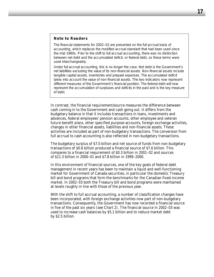#### *Note to Readers*

The financial statements for 2002–03 are presented on the full accrual basis of accounting, which replaces the modified accrual standard that had been used since the mid-1980s. Prior to the shift to full accrual accounting, there was no distinction between net debt and the accumulated deficit, or federal debt, so these terms were used interchangeably.

Under full accrual accounting, this is no longer the case. Net debt is the Government's net liabilities excluding the value of its non-financial assets. Non-financial assets include tangible capital assets, inventories and prepaid expenses. The accumulated deficit takes into account the value of non-financial assets. The two indicators now represent different measures of the Government's financial position. The federal debt will now represent the accumulation of surpluses and deficits in the past and is the key measure of debt.

In contrast, the financial requirement/source measures the difference between cash coming in to the Government and cash going out. It differs from the budgetary balance in that it includes transactions in loans, investments and advances, federal employees' pension accounts, other employee and veteran future benefit plans, other specified purpose accounts, foreign exchange activities, changes in other financial assets, liabilities and non-financial assets. These activities are included as part of non-budgetary transactions. The conversion from full accrual to cash accounting is also reflected in non-budgetary transactions.

The budgetary surplus of \$7.0 billion and net source of funds from non-budgetary transactions of \$0.6 billion produced a financial source of \$7.6 billion. This compares to a financial requirement of \$0.3 billion in 2001–02 and sources of \$11.3 billion in 2000–01 and \$7.8 billion in 1999–2000.

In this environment of financial sources, one of the key goals of federal debt management in recent years has been to maintain a liquid and well-functioning market for Government of Canada securities, in particular the domestic Treasury bill and bond programs that form the benchmarks for the Canadian fixed-income market. In 2002–03 both the Treasury bill and bond programs were maintained at levels roughly in line with those of the previous year.

With the shift to full accrual accounting, a number of classification changes have been incorporated, with foreign exchange activities now part of non-budgetary transactions. Consequently, the Government has now recorded a financial source in five of the past six years (see Chart 2). The financial source in 2002–03 was used to increase cash balances by \$5.1 billion and to reduce market debt by \$2.5 billion.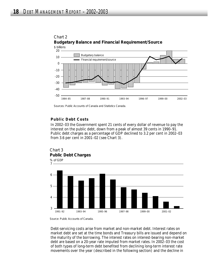



#### *Public Debt Costs*

In 2002–03 the Government spent 21 cents of every dollar of revenue to pay the interest on the public debt, down from a peak of almost 39 cents in 1990–91. Public debt charges as a percentage of GDP declined to 3.2 per cent in 2002–03 from 3.6 per cent in 2001–02 (see Chart 3).





Debt-servicing costs arise from market and non-market debt. Interest rates on market debt are set at the time bonds and Treasury bills are issued and depend on the maturity of the borrowing. The interest rates on interest-bearing non-market debt are based on a 20-year rate imputed from market rates. In 2002–03 the cost of both types of long-term debt benefited from declining long-term interest rate movements over the year (described in the following section) and the decline in

Sources: *Public Accounts of Canada* and Statistics Canada.

Source: *Public Accounts of Canada.*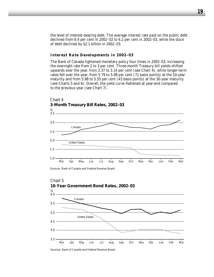the level of interest-bearing debt. The average interest rate paid on the public debt declined from 6.4 per cent in 2001–02 to 6.2 per cent in 2002–03, while the stock of debt declined by \$2.1 billion in 2002–03.

#### *Interest Rate Developments in 2002–03*

The Bank of Canada tightened monetary policy four times in 2002–03, increasing the overnight rate from 2 to 3 per cent. Three-month Treasury bill yields shifted upwards over the year, from 2.37 to 3.14 per cent (see Chart 4), while longer-term rates fell over the year, from 5.79 to 5.08 per cent (71 basis points) at the 10-year maturity and from 5.98 to 5.55 per cent (43 basis points) at the 30-year maturity (see Charts 5 and 6). Overall, the yield curve flattened at year-end compared to the previous year (see Chart 7).



Sources: Bank of Canada and Federal Reserve Board.



Sources: Bank of Canada and Federal Reserve Board.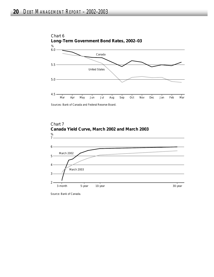

Sources: Bank of Canada and Federal Reserve Board.



Source: Bank of Canada.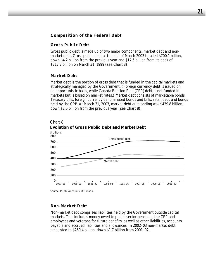## **Composition of the Federal Debt**

#### *Gross Public Debt*

Gross public debt is made up of two major components: market debt and nonmarket debt. Gross public debt at the end of March 2003 totalled \$700.1 billion, down \$4.2 billion from the previous year and \$17.6 billion from its peak of \$717.7 billion on March 31, 1999 (see Chart 8).

#### *Market Debt*

Market debt is the portion of gross debt that is funded in the capital markets and strategically managed by the Government. (Foreign currency debt is issued on an opportunistic basis, while Canada Pension Plan [CPP] debt is not funded in markets but is based on market rates.) Market debt consists of marketable bonds, Treasury bills, foreign currency denominated bonds and bills, retail debt and bonds held by the CPP. At March 31, 2003, market debt outstanding was \$439.8 billion, down \$2.5 billion from the previous year (see Chart 8).



# Chart 8

Source: *Public Accounts of Canada.*

#### *Non-Market Debt*

Non-market debt comprises liabilities held by the Government outside capital markets. This includes money owed to public sector pensions, the CPP and employees and veterans for future benefits, as well as other liabilities, accounts payable and accrued liabilities and allowances. In 2002–03 non-market debt amounted to \$260.4 billion, down \$1.7 billion from 2001–02.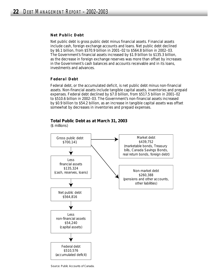#### *Net Public Debt*

Net public debt is gross public debt minus financial assets. Financial assets include cash, foreign exchange accounts and loans. Net public debt declined by \$6.1 billion, from \$570.9 billion in 2001–02 to \$564.8 billion in 2002–03. The Government's financial assets increased by \$1.9 billion to \$135.3 billion, as the decrease in foreign exchange reserves was more than offset by increases in the Government's cash balances and accounts receivable and in its loans, investments and advances.

#### *Federal Debt*

Federal debt, or the accumulated deficit, is net public debt minus non-financial assets. Non-financial assets include tangible capital assets, inventories and prepaid expenses. Federal debt declined by \$7.0 billion, from \$517.5 billion in 2001–02 to \$510.6 billion in 2002–03. The Government's non-financial assets increased by \$0.9 billion to \$54.2 billion, as an increase in tangible capital assets was offset somewhat by decreases in inventories and prepaid expenses.

#### **Total Public Debt as at March 31, 2003**

(\$ millions)



Source: *Public Accounts of Canada.*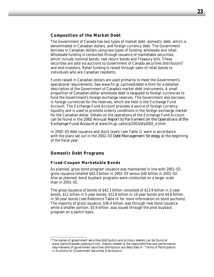#### **Composition of the Market Debt**

The Government of Canada has two types of market debt: domestic debt, which is denominated in Canadian dollars, and foreign currency debt. The Government borrows in Canadian dollars using two types of funding: wholesale and retail. Wholesale funding is conducted through issuance of marketable securities, which include nominal bonds, real return bonds and Treasury bills. These securities are sold via auctions to Government of Canada securities distributors<sup>2</sup> and end-investors. Retail funding is raised through sales of retail bonds to individuals who are Canadian residents.

Funds raised in Canadian dollars are used primarily to meet the Government's operational requirements. See www.fin.gc.ca/invest/debt-e.html for a detailed description of the Government of Canada's market debt instruments. A small proportion of Canadian-dollar wholesale debt is swapped to foreign currencies to fund the Government's foreign exchange reserves. The Government also borrows in foreign currencies for the reserves, which are held in the Exchange Fund Account. The Exchange Fund Account provides a source of foreign currency liquidity and is used to promote orderly conditions in the foreign exchange market for the Canadian dollar. Details on the operations of the Exchange Fund Account can be found in the *2002 Annual Report to Parliament on the Operations of the Exchange Fund Account* at www.fin.gc.ca/toce/2003/efa2002\_e.html.

In 2002–03 debt issuance and stock levels (see Table 1) were in accordance with the plans set out in the 2002–03 *Debt Management Strategy* at the beginning of the fiscal year.

#### **Domestic Debt Programs**

#### *Fixed-Coupon Marketable Bonds*

As planned, gross bond program issuance was maintained in line with 2001–02: gross issuance totalled \$42.3 billion in 2002–03 versus \$40 billion in 2001–02. Also as planned, bond buyback programs were conducted on a larger scale than in 2001–02.

The gross issuance of bonds of \$42.3 billion consisted of \$13.9 billion in 2-year bonds, \$11 billion in 5-year bonds, \$12.6 billion in 10-year bonds and \$4.8 billion in 30-year bonds (see Reference Table IX for more information on bond auctions). The majority of gross issuance, \$36.4 billion, was through new bond issuance while a smaller portion, \$5.9 billion, was issued through the pilot buyback program on a switch basis.

<sup>&</sup>lt;sup>2</sup> The names of government securities distributors and primary dealers can be found at www.bankofcanada.ca/en/auct.htm. Details related to the responsibilities and performance requirements of government securities distributors are described in "Terms of Participation in Auctions for Government Securities Distributors."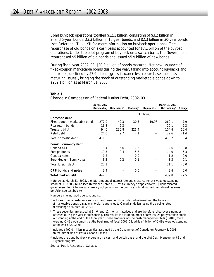Bond buyback operations totalled \$12.1 billion, consisting of \$3.2 billion in 2- and 5-year bonds, \$3.3 billion in 10-year bonds, and \$2.3 billion in 30-year bonds (see Reference Table XII for more information on buyback operations). The repurchase of old bonds on a cash basis accounted for \$7.1 billion of the buyback operations. Under the pilot program of buyback on a switch basis, the Government repurchased \$5 billion of old bonds and issued \$5.9 billion of new bonds.

During fiscal year 2002–03, \$30.3 billion of bonds matured. Net new issuance of fixed-coupon marketable bonds during the year, taking into account buybacks and maturities, declined by \$7.9 billion (gross issuance less repurchases and less maturing issues), bringing the stock of outstanding marketable bonds down to \$269.1 billion as at March 31, 2003.

|                               | Change in Composition or readiational Report, 2002 60 |                         |                       |                   |                                            |        |  |  |  |
|-------------------------------|-------------------------------------------------------|-------------------------|-----------------------|-------------------|--------------------------------------------|--------|--|--|--|
|                               | April 1, 2002<br>Outstanding                          | New issues <sup>a</sup> | Maturing <sup>a</sup> | Repurchase        | March 31, 2003<br>Outstanding <sup>a</sup> | Change |  |  |  |
|                               |                                                       |                         |                       | (\$ billions)     |                                            |        |  |  |  |
| Domestic debt                 |                                                       |                         |                       |                   |                                            |        |  |  |  |
| Fixed-coupon marketable bonds | 277.0                                                 | 42.3                    | 30.3                  | 19.9 <sup>d</sup> | 269.1                                      | $-7.9$ |  |  |  |
| Real return bonds             | 16.8                                                  | 2.3                     |                       |                   | 19.1                                       | 2.3    |  |  |  |
| Treasury billsb               | 94.0                                                  | 236.8                   | 226.4                 |                   | 104.4                                      | 10.4   |  |  |  |
| Retail debt                   | 24.0                                                  | 2.7                     | 4.1                   |                   | 22.6                                       | $-1.4$ |  |  |  |
| Total domestic debt           | 411.8                                                 |                         |                       |                   | 415.2                                      | 3.4    |  |  |  |
| Foreign currency debt         |                                                       |                         |                       |                   |                                            |        |  |  |  |
| Canada bills                  | 3.4                                                   | 16.6                    | 17.3                  |                   | 2.6                                        | $-0.8$ |  |  |  |
| Foreign bonds <sup>c</sup>    | 19.3                                                  | 0.4                     | 5.7                   |                   | 14.0                                       | $-5.3$ |  |  |  |
| Canada notes                  | 1.2                                                   |                         | 0.0                   |                   | 1.2                                        | 0.0    |  |  |  |
| Euro Medium-Term Notes        | 3.2                                                   | 0.2                     | 0.1                   |                   | 3.3                                        | 0.1    |  |  |  |
| Total foreign debt            | 27.1                                                  |                         |                       |                   | 21.1                                       | $-6.0$ |  |  |  |
| CPP bonds and notes           | 3.4                                                   |                         | 0.0                   |                   | 3.4                                        | 0.0    |  |  |  |
| Total market debt             | 442.3                                                 |                         |                       |                   | 439.8                                      | $-2.5$ |  |  |  |

**Table 1** 

*Change in Composition of Federal Market Debt, 2002–03*

Note: As at March 31, 2003, the total amount of interest rate and cross-currency swaps outstanding stood at USD 20.2 billion (see Reference Table XI). Cross-currency swaps convert C\$ denominated government debt into foreign currency obligations for the purpose of funding the international reserves portfolio (see text below).

Numbers may not add due to rounding.

- <sup>a</sup> Includes other adjustments such as the Consumer Price Index adjustment and the translation of marketable bonds payable in foreign currencies to Canadian dollars using the closing rates of exchange at March 31, 2003.
- $<sup>b</sup>$  These securities are issued at 3-, 6- and 12-month maturities and are therefore rolled over a number</sup> of times during the year for refinancing. This results in a larger number of new issues per year than stock outstanding at the end of the fiscal year. These amounts include cash management bills (CMBs); there were no CMBs outstanding at the beginning of fiscal 2002–03, while \$4 billion of CMBs were outstanding at the end of 2002–03.
- <sup>c</sup> Includes \$492.0 million in securities assumed by the Government of Canada on February 5, 2001, on the dissolution of Petro-Canada Limited.
- <sup>d</sup> Includes the bond buyback program on a cash and switch basis, and the pilot Cash Management Bond Buyback program.

Source: *Public Accounts of Canada.*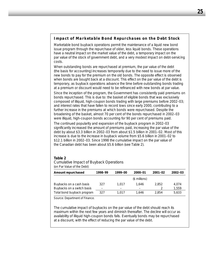## *Impact of Marketable Bond Repurchases on the Debt Stock*

Marketable bond buyback operations permit the maintenance of a liquid new bond issue program through the repurchase of older, less liquid bonds. These operations have a neutral impact on the market value of the debt, a temporary impact on the par value of the stock of government debt, and a very modest impact on debt-servicing costs.

When outstanding bonds are repurchased at premium, the par value of the debt (the basis for accounting) increases temporarily due to the need to issue more of the new bonds to pay for the premium on the old bonds. The opposite effect is observed when bonds are bought back at a discount. This effect on the par value of the debt is temporary, as buyback operations advance the time before outstanding bonds trading at a premium or discount would need to be refinanced with new bonds at par value.

Since the inception of the program, the Government has consistently paid premiums on bonds repurchased. This is due to: the basket of eligible bonds that was exclusively composed of illiquid, high-coupon bonds trading with large premiums before 2002–03; and interest rates that have fallen to record lows since early 2000, contributing to a further increase in the premiums at which bonds were repurchased. Despite the broadening of the basket, almost 70 per cent of the bonds repurchased in 2002–03 were illiquid, high-coupon bonds accounting for 90 per cent of premiums paid.

The continued popularity and expansion of the buyback program in 2002–03 significantly increased the amount of premiums paid, increasing the par value of the debt by about \$3.3 billion in 2002–03 from about \$1.5 billion in 2001–02. Most of this increase is due to the increase in buyback volume from \$5.6 billion in 2001–02 to \$12.1 billion in 2002–03. Since 1998 the cumulative impact on the par value of the Canadian debt has been about \$5.6 billion (see Table 2).

#### **Table 2**

*Cumulative Impact of Buyback Operations*  (on Par Value of the Debt)

| Amount repurchased         | 1998-99 | 1999–00 | 2000-01       | $2001 - 02$ | 2002-03 |
|----------------------------|---------|---------|---------------|-------------|---------|
|                            |         |         | (\$ millions) |             |         |
| Buybacks on a cash basis   | 327     | 1.017   | 1.646         | 2.852       | 4.074   |
| Buybacks on a switch basis |         | -       |               |             | 1.559   |
| Total bond buyback program | 327     | 1.017   | 1.646         | 2.854       | 5.633   |

Source: Department of Finance.

The cumulative impact of buybacks on the par value of the debt should reach its maximum within the next few years and diminish thereafter. The decline will occur as availability of illiquid high-coupon bonds falls. Eventually bonds may be repurchased at a discount, with the effect of reducing the par value of the debt.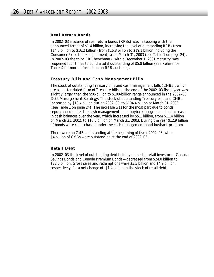#### *Real Return Bonds*

In 2002–03 issuance of real return bonds (RRBs) was in keeping with the announced target of \$1.4 billion, increasing the level of outstanding RRBs from \$14.8 billion to \$16.2 billion (from \$16.8 billion to \$19.1 billion including the Consumer Price Index adjustment) as at March 31, 2003 (see Table 1 on page 24). In 2002–03 the third RRB benchmark, with a December 1, 2031 maturity, was reopened four times to build a total outstanding of \$5.8 billion (see Reference Table X for more information on RRB auctions).

#### *Treasury Bills and Cash Management Bills*

The stock of outstanding Treasury bills and cash management bills (CMBs), which are a shorter-dated form of Treasury bills, at the end of the 2002–03 fiscal year was slightly larger than the \$90-billion to \$100-billion range announced in the 2002–03 *Debt Management Strategy.* The stock of outstanding Treasury bills and CMBs increased by \$10.4 billion during 2002–03, to \$104.4 billion at March 31, 2003 (see Table 1 on page 24). The increase was for the most part due to bonds repurchased under the cash management bond buyback program and an increase in cash balances over the year, which increased by \$5.1 billion, from \$11.4 billion on March 31, 2002, to \$16.5 billion on March 31, 2003. During the year \$12.9 billion of bonds were repurchased under the cash management bond buyback program.

There were no CMBs outstanding at the beginning of fiscal 2002–03, while \$4 billion of CMBs were outstanding at the end of 2002–03.

#### *Retail Debt*

In 2002–03 the level of outstanding debt held by domestic retail investors—Canada Savings Bonds and Canada Premium Bonds—decreased from \$24.0 billion to \$22.6 billion. Gross sales and redemptions were \$3.5 billion and \$4.9 billion, respectively, for a net change of -\$1.4 billion in the stock of retail debt.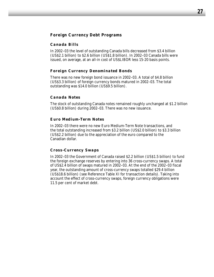### **Foreign Currency Debt Programs**

#### *Canada Bills*

In 2002–03 the level of outstanding Canada bills decreased from \$3.4 billion (US\$2.1 billion) to \$2.6 billion (US\$1.8 billion). In 2002–03 Canada bills were issued, on average, at an all-in cost of US\$LIBOR less 15-20 basis points.

#### *Foreign Currency Denominated Bonds*

There was no new foreign bond issuance in 2002–03. A total of \$4.8 billion (US\$3.3 billion) of foreign currency bonds matured in 2002–03. The total outstanding was \$14.0 billion (US\$9.5 billion).

#### *Canada Notes*

The stock of outstanding Canada notes remained roughly unchanged at \$1.2 billion (US\$0.8 billion) during 2002–03. There was no new issuance.

#### *Euro Medium-Term Notes*

In 2002–03 there were no new Euro Medium-Term Note transactions, and the total outstanding increased from \$3.2 billion (US\$2.0 billion) to \$3.3 billion (US\$2.2 billion) due to the appreciation of the euro compared to the Canadian dollar.

#### *Cross-Currency Swaps*

In 2002–03 the Government of Canada raised \$2.2 billion (US\$1.5 billion) to fund the foreign exchange reserves by entering into 36 cross-currency swaps. A total of US\$2.4 billion of swaps matured in 2002–03. At the end of the 2002–03 fiscal year, the outstanding amount of cross-currency swaps totalled \$29.4 billion (US\$18.6 billion) (see Reference Table XI for transaction details). Taking into account the effect of cross-currency swaps, foreign currency obligations were 11.5 per cent of market debt.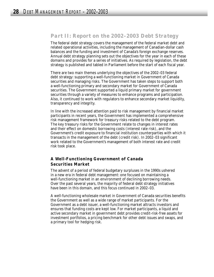# *Part II: Report on the 2002–2003 Debt Strategy*

The federal debt strategy covers the management of the federal market debt and related operational activities, including the management of Canadian-dollar cash balances and the funding and investment of Canada's foreign exchange reserves. Annual debt strategy planning sets out the objectives for the year in each of these domains and provides for a series of initiatives. As required by legislation, the debt strategy is published and tabled in Parliament before the start of each fiscal year.

There are two main themes underlying the objectives of the 2002–03 federal debt strategy: supporting a well-functioning market in Government of Canada securities and managing risks. The Government has taken steps to support both a well-functioning primary and secondary market for Government of Canada securities. The Government supported a liquid primary market for government securities through a variety of measures to enhance programs and participation. Also, it continued to work with regulators to enhance secondary market liquidity, transparency and integrity.

In line with the increased attention paid to risk management by financial market participants in recent years, the Government has implemented a comprehensive risk management framework for treasury risks related to the debt program. The key treasury risks for the Government relate to changes in interest rates and their effect on domestic borrowing costs (interest rate risk), and the Government's credit exposure to financial institution counterparties with which it transacts in the management of the debt (credit risk). In 2002–03 significant work related to the Government's management of both interest rate and credit risk took place.

## **A Well-Functioning Government of Canada Securities Market**

The advent of a period of federal budgetary surpluses in the 1990s ushered in a new era in federal debt management: one focused on maintaining a well-functioning market in an environment of declining borrowing needs. Over the past several years, the majority of federal debt strategy initiatives have been in this domain, and this focus continued in 2002–03.

A well-functioning wholesale market in Government of Canada securities benefits the Government as well as a wide range of market participants. For the Government as a debt issuer, a well-functioning market attracts investors and ensures that funding costs are kept low. For market participants, a liquid and active secondary market in government debt provides credit-risk-free assets for investment portfolios, a pricing benchmark for other debt issues and swaps, and a primary tool for hedging risk.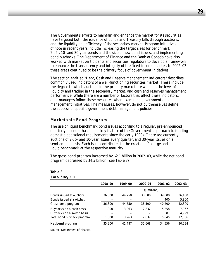The Government's efforts to maintain and enhance the market for its securities have targeted both the issuance of bonds and Treasury bills through auctions, and the liquidity and efficiency of the secondary market. Program initiatives of note in recent years include increasing the target sizes for benchmark 2-, 5-, 10- and 30-year bonds and the size of new bond issues, and implementing bond buybacks. The Department of Finance and the Bank of Canada have also worked with market participants and securities regulators to develop a framework to enhance the transparency and integrity of the fixed-income market. In 2002–03 these areas continued to be the primary focus of government initiatives.

The section entitled "Debt, Cash and Reserve Management Indicators" describes commonly used indicators of a well-functioning securities market. These include the degree to which auctions in the primary market are well bid, the level of liquidity and trading in the secondary market, and cash and reserves management performance. While there are a number of factors that affect these indicators, debt managers follow these measures when examining government debt management initiatives. The measures, however, do not by themselves define the success of specific government debt management policies.

#### *Marketable Bond Program*

The use of liquid benchmark bond issues according to a regular, pre-announced quarterly calendar has been a key feature of the Government's approach to funding domestic operational requirements since the early 1990s. There are currently auctions of 2-, 5- and 10-year issues every quarter, and 30-year issues on a semi-annual basis. Each issue contributes to the creation of a large and liquid benchmark at the respective maturity.

The gross bond program increased by \$2.1 billion in 2002–03, while the net bond program decreased by \$4.3 billion (see Table 3).

| <b>Bond Program</b>                                    |         |         |               |               |                 |  |  |
|--------------------------------------------------------|---------|---------|---------------|---------------|-----------------|--|--|
|                                                        | 1998-99 | 1999-00 | 2000-01       | $2001 - 02$   | 2002-03         |  |  |
|                                                        |         |         | (\$ millions) |               |                 |  |  |
| Bonds issued at auctions<br>Bonds issued at switches   | 36,300  | 44.750  | 38,500        | 39,800<br>400 | 36,400<br>5,900 |  |  |
| Gross bond program                                     | 36,300  | 44.750  | 38,500        | 40.200        | 42,300          |  |  |
| Buybacks on a cash basis<br>Buybacks on a switch basis | 1.000   | 3.263   | 2.832         | 5,258<br>387  | 7,067<br>4,999  |  |  |
| Total bond buyback program                             | 1.000   | 3.263   | 2.832         | 5.645         | 12,066          |  |  |
| Net bond program                                       | 35,300  | 41.487  | 35,668        | 34,556        | 30,234          |  |  |

# **Table 3**

Source: Department of Finance.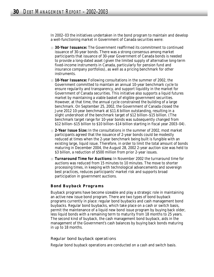In 2002–03 the initiatives undertaken in the bond program to maintain and develop a well-functioning market in Government of Canada securities were:

- **30-Year Issuance:** The Government reaffirmed its commitment to continued issuance of 30-year bonds. There was a strong consensus among market participants that issuance of 30-year Government of Canada bonds is needed to provide a long-dated asset (given the limited supply of alternative long-term fixed-income instruments in Canada, particularly for pension fund and insurance company portfolios), as well as a pricing benchmark for other instruments.
- 10-Year Issuance: Following consultations in the summer of 2002, the Government committed to maintain an annual 10-year benchmark cycle to ensure regularity and transparency, and support liquidity in the market for Government of Canada securities. This initiative also supports a liquid futures market by maintaining a viable basket of eligible government securities. However, at that time, the annual cycle constrained the building of a large benchmark. On September 25, 2002, the Government of Canada closed the June 2012 10-year benchmark at \$11.6 billion outstanding, resulting in a slight undershoot of the benchmark target of \$12 billion–\$15 billion. (The benchmark target range for 10-year bonds was subsequently changed from \$12 billion–\$15 billion to \$10 billion–\$14 billion starting in fiscal year 2003–04).
- **2-Year Issue Size:** In the consultations in the summer of 2002, most market participants agreed that the issuance of 2-year bonds could be modestly reduced at times when the 2-year benchmark being built is fungible with an existing large, liquid issue. Therefore, in order to limit the total amount of bonds maturing in December 2004, the August 28, 2002 2-year auction size was held to \$3 billion, a reduction of \$500 million from prior 2-year issues.
- **Turnaround Time for Auctions:** In November 2002 the turnaround time for auctions was reduced from 15 minutes to 10 minutes. The move to shorter processing times, in keeping with technological advancements and sovereign best practices, reduces participants' market risk and supports broad participation in government auctions.

#### *Bond Buyback Programs*

Buyback programs have become sizeable and play a strategic role in maintaining an active new issue bond program. There are two types of bond buyback programs currently in place: regular bond buybacks and cash management bond buybacks. Regular bond buybacks, which take place on a cash or switch basis, permit the maintenance of a liquid new bond issue program by buying back older, less liquid bonds with a remaining term to maturity from 18 months to 25 years. The second kind of buyback, the cash management bond buyback, aids in the management of the Government's cash balances by buying back bonds maturing in up to 18 months.

#### *Regular bond buyback operations*

Regular bond buyback operations are conducted on a cash and switch basis.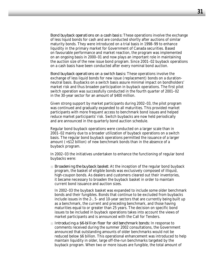*Bond buyback operations on a cash basis:* These operations involve the exchange of less liquid bonds for cash and are conducted shortly after auctions of similar maturity bonds. They were introduced on a trial basis in 1998–99 to enhance liquidity in the primary market for Government of Canada securities. Based on favourable performance and market reaction, the program was implemented on an ongoing basis in 2000–01 and now plays an important role in maintaining the auction size of the new issue bond program. Since 2001–02 buyback operations on a cash basis have been conducted after every nominal bond auction.

*Bond buyback operations on a switch basis:* These operations involve the exchange of less liquid bonds for new issue (replacement) bonds on a durationneutral basis. Buybacks on a switch basis assure minimal impact on bondholders' market risk and thus broaden participation in buyback operations. The first pilot switch operation was successfully conducted in the fourth quarter of 2001–02 in the 30-year sector for an amount of \$400 million.

Given strong support by market participants during 2002–03, the pilot program was continued and gradually expanded to all maturities. This provided market participants with more frequent access to benchmark bond issues and helped reduce market participants' risk. Switch buybacks are now held periodically and are announced in the quarterly bond auction schedule.

Regular bond buyback operations were conducted on a larger scale than in 2001–02 mainly due to a broader utilization of buyback operations on a switch basis. The regular bond buyback operations permitted the issuance of a larger amount (+\$12 billion) of new benchmark bonds than in the absence of a buyback program.

In 2002–03 the initiatives undertaken to enhance the functioning of regular bond buybacks were:

**Broadening the buyback basket:** At the inception of the regular bond buyback program, the basket of eligible bonds was exclusively composed of illiquid, high-coupon bonds. As dealers and customers cleared out their inventories, it became necessary to broaden the buyback basket in order to maintain current bond issuance and auction sizes.

In 2002–03 the buyback basket was expanded to include some older benchmark bonds and their fungibles. Bonds that continue to be excluded from buybacks include issues in the 2-, 5- and 10-year sectors that are currently being built up as a benchmark, the current and preceding benchmark, and those having maturities equal to or greater than 25 years. The decision on specific bond issues to be included in buyback operations takes into account the views of market participants and is announced with the Call for Tenders.

■ *Introducing a \$6-billion floor for old benchmark bonds:* In response to comments received during the summer 2002 consultations, the Government announced that outstanding amounts of older benchmarks would not be reduced below \$6 billion. This operational enhancement was introduced to help maintain liquidity in older, large off-the-run benchmarks targeted by the buyback program. When two or more issues are fungible, the total amount of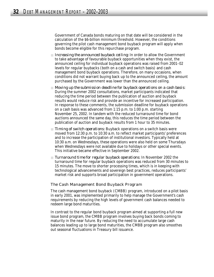Government of Canada bonds maturing on that date will be considered in the calculation of the \$6-billion minimum threshold. However, the conditions governing the pilot cash management bond buyback program will apply when bonds become eligible for this repurchase program.

- *Increasing the announced buyback ceiling:* In order to allow the Government to take advantage of favourable buyback opportunities when they exist, the announced ceiling for individual buyback operations was raised from 2001–02 levels for regular buybacks (both on a cash and switch basis) and cash management bond buyback operations. Therefore, on many occasions, when conditions did not warrant buying back up to the announced ceiling, the amount purchased by the Government was lower than the announced ceiling.
- *Moving up the submission deadline for buyback operations on a cash basis:* During the summer 2002 consultations, market participants indicated that reducing the time period between the publication of auction and buyback results would reduce risk and provide an incentive for increased participation. In response to these comments, the submission deadline for buyback operations on a cash basis was advanced from 1:15 p.m. to 1:00 p.m. starting November 25, 2002. In tandem with the reduced turnaround time for bond auctions announced the same day, this reduces the time period between the publication of auction and buyback results from 1 hour to 35 minutes.
- **Timing of switch operations:** Buyback operations on a switch basis were moved from 12:30 p.m. to 10:30 a.m. to reflect market participants' preferences and to increase the participation of institutional investors. Typically held at 10:30 a.m. on Wednesdays, these operations were also held on some Thursdays when Wednesdays were not available due to holidays or other special events. This initiative became effective in September 2002.
- *Turnaround time for regular buyback operations:* In November 2002 the turnaround time for regular buyback operations was reduced from 30 minutes to 15 minutes. The move to shorter processing times, which is in keeping with technological advancements and sovereign best practices, reduces participants' market risk and supports broad participation in government operations.

#### *The Cash Management Bond Buyback Program*

The cash management bond buyback (CMBB) program, introduced on a pilot basis in early 2001, was implemented primarily to help manage the Government's cash requirements by reducing the high levels of government cash balances needed to redeem large bond maturities.

In contrast to the regular bond buyback program aimed at supporting a full new issue bond program, the CMBB program involves buying back bonds coming to maturity in the near future. By reducing the need to accumulate large cash balances leading up to large bond maturities, the CMBB program also smoothes out seasonal fluctuations in Treasury bill issuance.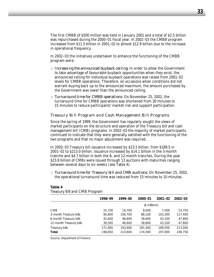The first CMBB of \$500 million was held in January 2001 and a total of \$2.5 billion was repurchased during the 2000–01 fiscal year. In 2002–03 the CMBB program increased from \$11.5 billion in 2001–02 to almost \$12.9 billion due to the increase in operational frequency.

In 2002–03 the initiatives undertaken to enhance the functioning of the CMBB program were:

- *Increasing the announced buyback ceiling:* In order to allow the Government to take advantage of favourable buyback opportunities when they exist, the announced ceiling for individual buyback operations was raised from 2001–02 levels for CMBB operations. Therefore, on occasions when conditions did not warrant buying back up to the announced maximum, the amount purchased by the Government was lower than the announced ceiling.
- *Turnaround time for CMBB operations:* On November 25, 2002, the turnaround time for CMBB operations was shortened from 30 minutes to 15 minutes to reduce participants' market risk and support participation.

#### *Treasury Bill Program and Cash Management Bill Programs*

Since the spring of 1999, the Government has regularly sought the views of market participants on the structure and operation of the Treasury bill and cash management bill (CMB) programs. In 2002–03 the majority of market participants continued to indicate that they were generally satisfied with the functioning of the two programs and that no major adjustment was required.

In 2002–03 Treasury bill issuance increased by \$23.5 billion, from \$189.5 in 2001–02 to \$213.0 billion. Issuance increased by \$14.1 billion in the 3-month tranche and \$4.7 billion in both the 6- and 12-month tranches. During the year \$23.8 billion of CMBs were issued through 13 auctions with maturities ranging between several days to six weeks (see Table 4).

■ *Turnaround time for Treasury bill and CMB auctions:* On November 25, 2002, the operational turnaround time was reduced from 15 minutes to 10 minutes.

#### **Table 4**

|                         | 1998-99 | 1999-00 | 2000-01       | $2001 - 02$ | $2002 - 03$ |
|-------------------------|---------|---------|---------------|-------------|-------------|
|                         |         |         | (\$ millions) |             |             |
| <b>CMB</b>              | 25,750  | 19,700  | 9.000         | 7.500       | 23,750      |
| 3-month Treasury bills  | 90,800  | 100,700 | 88,100        | 103,300     | 117,400     |
| 6-month Treasury bills  | 42,600  | 46.600  | 38,600        | 43,100      | 47,800      |
| 12-month Treasury bills | 39,500  | 46,600  | 38,600        | 43,100      | 47,800      |
| Treasury bills          | 172,900 | 193,900 | 165,300       | 189,500     | 213,000     |
| Total                   | 198,650 | 213,600 | 174,300       | 197.000     | 236,750     |

*Treasury Bill and CMB Program*

Source: Department of Finance.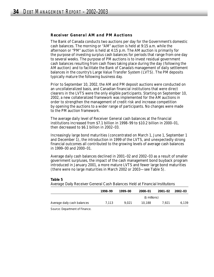#### *Receiver General AM and PM Auctions*

The Bank of Canada conducts two auctions per day for the Government's domestic cash balances. The morning or "AM" auction is held at 9:15 a.m. while the afternoon or "PM" auction is held at 4:15 p.m. The AM auction is primarily for the purpose of investing surplus cash balances for periods that range from one day to several weeks. The purpose of PM auctions is to invest residual government cash balances resulting from cash flows taking place during the day (following the AM auction) and to facilitate the Bank of Canada's management of daily settlement balances in the country's Large Value Transfer System (LVTS). The PM deposits typically mature the following business day.

Prior to September 10, 2002, the AM and PM deposit auctions were conducted on an uncollateralized basis, and Canadian financial institutions that were direct clearers in the LVTS were the only eligible participants. Starting on September 10, 2002, a new collateralized framework was implemented for the AM auctions in order to strengthen the management of credit risk and increase competition by opening the auctions to a wider range of participants. No changes were made to the PM auction framework.

The average daily level of Receiver General cash balances at the financial institutions increased from \$7.1 billion in 1998–99 to \$10.2 billion in 2000–01, then decreased to \$6.1 billion in 2002–03.

Increasingly large bond maturities (concentrated on March 1, June 1, September 1 and December 1), the introduction in 1999 of the LVTS, and unexpectedly strong financial outcomes all contributed to the growing levels of average cash balances in 1999–00 and 2000–01.

Average daily cash balances declined in 2001–02 and 2002–03 as a result of smaller government surpluses, the impact of the cash management bond buyback program introduced in January 2001, a more mature LVTS and fewer large bond maturities (there were no large maturities in March 2002 or 2003—see Table 5).

#### **Table 5**

*Average Daily Receiver General Cash Balances Held at Financial Institutions*

|                               | 1998-99 | 1999–00 | 2000-01       | 2001-02 | 2002–03 |
|-------------------------------|---------|---------|---------------|---------|---------|
|                               |         |         | (\$ millions) |         |         |
| Average daily cash balances   | 7.113   | 9.021   | 10.188        | 7.921   | 6.139   |
| Source: Denartment of Einance |         |         |               |         |         |

Source: Department of Finance.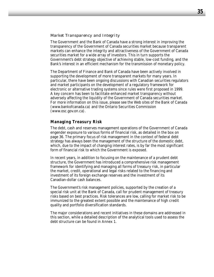#### *Market Transparency and Integrity*

The Government and the Bank of Canada have a strong interest in improving the transparency of the Government of Canada securities market because transparent markets can enhance the integrity and attractiveness of the Government of Canada securities market for a wide array of investors. This in turn supports the Government's debt strategy objective of achieving stable, low-cost funding, and the Bank's interest in an efficient mechanism for the transmission of monetary policy.

The Department of Finance and Bank of Canada have been actively involved in supporting the development of more transparent markets for many years. In particular, there have been ongoing discussions with Canadian securities regulators and market participants on the development of a regulatory framework for electronic or alternative trading systems since rules were first proposed in 1999. A key concern has been to facilitate enhanced market transparency without adversely affecting the liquidity of the Government of Canada securities market. For more information on this issue, please see the Web sites of the Bank of Canada (www.bankofcanada.ca) and the Ontario Securities Commission (www.osc.gov.on.ca).

## **Managing Treasury Risk**

The debt, cash and reserves management operations of the Government of Canada engender exposure to various forms of financial risk, as detailed in the box on page 36. The primary focus of risk management in the context of federal debt strategy has always been the management of the structure of the domestic debt, which, due to the impact of changing interest rates, is by far the most significant form of financial risk to which the Government is exposed.

In recent years, in addition to focusing on the maintenance of a prudent debt structure, the Government has introduced a comprehensive risk management framework for identifying and managing all forms of treasury risk, in particular the market, credit, operational and legal risks related to the financing and investment of its foreign exchange reserves and the investment of its Canadian-dollar cash balances.

The Government's risk management policies, supported by the creation of a special risk unit at the Bank of Canada, call for prudent management of treasury risks based on best practices. Risk tolerances are low, calling for market risk to be immunized to the greatest extent possible and the maintenance of high credit quality and portfolio diversification standards.

The major considerations and recent initiatives in these domains are addressed in this section, while a detailed description of the analytical tools used to assess the debt structure can be found in Annex 1.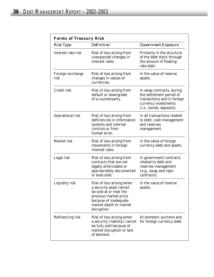|                          | <b>Forms of Treasury Risk</b>                                                                                                                                             |                                                                                                                                          |  |  |  |  |
|--------------------------|---------------------------------------------------------------------------------------------------------------------------------------------------------------------------|------------------------------------------------------------------------------------------------------------------------------------------|--|--|--|--|
| <b>Risk Type</b>         | <b>Definition</b>                                                                                                                                                         | <b>Government Exposure</b>                                                                                                               |  |  |  |  |
| Interest rate risk       | Risk of loss arising from<br>unexpected changes in<br>interest rates.                                                                                                     | Primarily in the structure<br>of the debt stock through<br>the amount of floating-<br>rate debt.                                         |  |  |  |  |
| Foreign exchange<br>risk | Risk of loss arising from<br>changes in values of<br>currencies.                                                                                                          | In the value of reserve<br>assets.                                                                                                       |  |  |  |  |
| Credit risk              | Risk of loss arising from<br>default or downgrade<br>of a counterparty.                                                                                                   | In swap contracts, during<br>the settlement period of<br>transactions and in foreign<br>currency investments<br>(i.e., bonds, deposits). |  |  |  |  |
| Operational risk         | Risk of loss arising from<br>deficiencies in information<br>systems and internal<br>controls or from<br>human error.                                                      | In all transactions related<br>to debt, cash management<br>and reserves<br>management.                                                   |  |  |  |  |
| Market risk              | Risk of loss arising from<br>movements in foreign<br>interest rates.                                                                                                      | In the value of foreign<br>currency debt and assets.                                                                                     |  |  |  |  |
| Legal risk               | Risk of loss arising from<br>contracts that are not<br>legally enforceable or<br>appropriately documented<br>or executed.                                                 | In government contracts<br>related to debt and<br>reserves management<br>(e.g., swap and repo<br>contracts).                             |  |  |  |  |
| Liquidity risk           | Risk of loss arising when<br>a security asset cannot<br>be sold at or near the<br>previous market price<br>because of inadequate<br>market depth or market<br>disruption. | In the value of reserve<br>assets.                                                                                                       |  |  |  |  |
| Refinancing risk         | Risk of loss arising when<br>a security (liability) cannot<br>be fully sold because of<br>market disruption or lack<br>of demand.                                         | At domestic auctions and<br>for foreign currency debt.                                                                                   |  |  |  |  |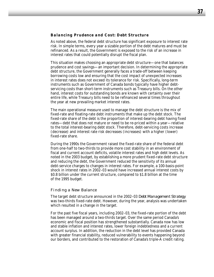#### *Balancing Prudence and Cost: Debt Structure*

As noted above, the federal debt structure has significant exposure to interest rate risk. In simple terms, every year a sizable portion of the debt matures and must be refinanced. As a result, the Government is exposed to the risk of an increase in interest rates that could potentially disrupt the fiscal plan.

This situation makes choosing an appropriate debt structure—one that balances prudence and cost savings—an important decision. In determining the appropriate debt structure, the Government generally faces a trade-off between keeping borrowing costs low and ensuring that the cost impact of unexpected increases in interest rates does not exceed its tolerance for risk. Specifically, long-term instruments such as Government of Canada bonds typically have higher debtservicing costs than short-term instruments such as Treasury bills. On the other hand, interest costs for outstanding bonds are known with certainty over their entire life, while Treasury bills need to be refinanced several times throughout the year at new prevailing market interest rates.

The main operational measure used to manage the debt structure is the mix of fixed-rate and floating-rate debt instruments that make up the debt stock. The fixed-rate share of the debt is the proportion of interest-bearing debt having fixed rates—debt that does not mature or need to be re-priced within a year—relative to the total interest-bearing debt stock. Therefore, debt-servicing costs increase (decrease) and interest rate risk decreases (increases) with a higher (lower) fixed-rate share.

During the 1990s the Government raised the fixed-rate share of the federal debt from one-half to two-thirds to provide more cost stability in an environment of fiscal and current account deficits, volatile interest rates and high debt levels. As noted in the 2003 budget, by establishing a more prudent fixed-rate debt structure and reducing the debt, the Government reduced the sensitivity of its annual debt-service charges to changes in interest rates. For example, a 100-basis-point shock in interest rates in 2002–03 would have increased annual interest costs by \$0.8 billion under the current structure, compared to \$1.8 billion at the time of the 1995 budget.

#### *Finding a New Balance*

The target debt structure announced in the 2002–03 *Debt Management Strategy* was two-thirds fixed-rate debt. However, during the year, analysis was undertaken which resulted in a change in the target.

For the past five fiscal years, including 2002–03, the fixed-rate portion of the debt has been managed around a two-thirds target. Over the same period Canada's economic and fiscal position has strengthened substantially. Canada now has low and stable inflation and interest rates, lower foreign indebtedness and a current account surplus. In addition, the reduction in the debt level has provided Canada with greater financial stability, reduced vulnerability to events happening beyond our borders, and contributed to the restoration of Canada's triple-A credit rating.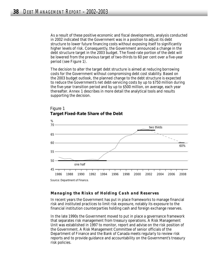As a result of these positive economic and fiscal developments, analysis conducted in 2002 indicated that the Government was in a position to adjust its debt structure to lower future financing costs without exposing itself to significantly higher levels of risk. Consequently, the Government announced a change in the debt structure target in the 2003 budget. The fixed-rate portion of the debt will be lowered from the previous target of two-thirds to 60 per cent over a five-year period (see Figure 1).

The decision to alter the target debt structure is aimed at reducing borrowing costs for the Government without compromising debt cost stability. Based on the 2003 budget outlook, the planned change to the debt structure is expected to reduce the Government's net debt-servicing costs by up to \$750 million during the five-year transition period and by up to \$500 million, on average, each year thereafter. Annex 1 describes in more detail the analytical tools and results supporting the decision.



#### Figure 1 **Target Fixed-Rate Share of the Debt**

#### *Managing the Risks of Holding Cash and Reserves*

In recent years the Government has put in place frameworks to manage financial risk and instituted practices to limit risk exposure, notably its exposure to the financial institution counterparties holding cash and foreign exchange reserves.

In the late 1990s the Government moved to put in place a governance framework that separates risk management from treasury operations. A Risk Management Unit was established in 1997 to monitor, report and advise on the risk position of the Government. A Risk Management Committee of senior officials of the Department of Finance and the Bank of Canada meets regularly to review risk reports and to provide guidance and accountability on the Government's treasury risk policies.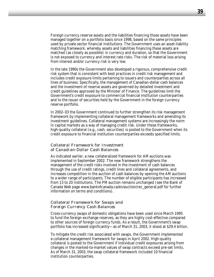Foreign currency reserve assets and the liabilities financing those assets have been managed together on a portfolio basis since 1998, based on the same principles used by private sector financial institutions. The Government uses an asset-liability matching framework, whereby assets and liabilities financing these assets are matched (as closely as possible) in currency and duration, so that the Government is not exposed to currency and interest rate risks. The risk of material loss arising from interest and/or currency risk is very low.

In the late 1990s the Government also developed a rigorous, comprehensive credit risk system that is consistent with best practices in credit risk management and includes credit exposure limits pertaining to issuers and counterparties across all lines of business. Specifically, the management of Canadian-dollar cash balances and the investment of reserve assets are governed by detailed investment and credit guidelines approved by the Minister of Finance. The guidelines limit the Government's credit exposure to commercial financial institution counterparties and to the issuer of securities held by the Government in the foreign currency reserve portfolio.

In 2002–03 the Government continued to further strengthen its risk management framework by implementing collateral management frameworks and amending its investment guidelines. Collateral management systems are increasingly the norm in capital markets as a way of managing credit risk. Under these frameworks, high-quality collateral (e.g., cash, securities) is posted to the Government when its credit exposure to financial institution counterparties exceeds specified limits.

#### *Collateral Framework for Investment of Canadian-Dollar Cash Balances*

As indicated earlier, a new collateralized framework for AM auctions was implemented in September 2002. The new framework strengthens the management of the credit risks involved in the investment of cash balances through the use of credit ratings, credit lines and collateral agreements, and increases competition in the auction of cash balances by opening the AM auctions to a wider range of participants. The number of eligible participants has increased from 13 to 20 institutions. The PM auction remains unchanged (see the Bank of Canada Web page www.bankofcanada.ca/en/auction/rec\_general.pdf for further information on terms and conditions).

#### *Collateral Framework for Swaps and Foreign Currency Cash Balances*

Cross-currency swaps of domestic obligations have been used since March 1995 to fund the foreign exchange reserves, as they are highly cost-effective compared to other sources of foreign currency funds. As a result, the Government's swap portfolio has increased significantly—as of March 31, 2003, it stood at \$29.4 billion.

To mitigate the credit risk associated with swaps, the Government implemented a collateral management framework for swaps in April 2002. High-quality collateral is posted to the Government if individual credit exposures arising from changes in the marked-to-market values of swap contracts exceed pre-set limits. As of March 31, 2003, the swap collateral framework included 10 financial institution counterparties.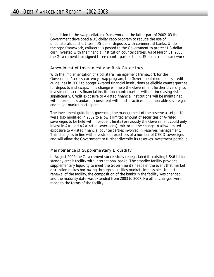In addition to the swap collateral framework, in the latter part of 2002–03 the Government developed a US-dollar repo program to reduce the use of uncollateralized short-term US-dollar deposits with commercial banks. Under the repo framework, collateral is posted to the Government to protect US-dollar cash invested with the financial institution counterparties. As of March 31, 2003, the Government had signed three counterparties to its US-dollar repo framework.

#### *Amendment of Investment and Risk Guidelines*

With the implementation of a collateral management framework for the Government's cross-currency swap program, the Government modified its credit guidelines in 2002 to accept A-rated financial institutions as eligible counterparties for deposits and swaps. This change will help the Government further diversify its investments across financial institution counterparties without increasing risk significantly. Credit exposure to A-rated financial institutions will be maintained within prudent standards, consistent with best practices of comparable sovereigns and major market participants.

The investment guidelines governing the management of the reserve asset portfolio were also modified in 2002 to allow a limited amount of securities of A-rated sovereigns to be held within prudent limits (previously the Government could only invest in AA- and AAA-rated sovereigns), mirroring the change to allow limited exposure to A-rated financial counterparties involved in reserves management. This change is in line with investment practices of a number of OECD sovereigns and will allow the Government to further diversify its reserves investment portfolio.

### *Maintenance of Supplementary Liquidity*

In August 2002 the Government successfully renegotiated its existing US\$6-billion standby credit facility with international banks. The standby facility provides supplementary liquidity to meet the Government's needs in the event that market disruption makes borrowing through securities markets impossible. Under the renewal of the facility, the composition of the banks in the facility was changed, and the maturity date was extended from 2003 to 2007. No other changes were made to the terms of the facility.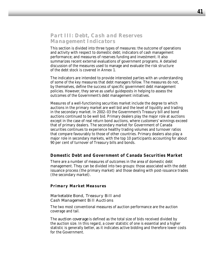## *Part III: Debt, Cash and Reserves Management Indicators*

This section is divided into three types of measures: the outcome of operations and activity with respect to domestic debt; indicators of cash management performance; and measures of reserves funding and investment. It also summarizes recent external evaluations of government programs. A detailed discussion of the measures used to manage and evaluate the risk structure of the debt stock is covered in Annex 1.

The indicators are intended to provide interested parties with an understanding of some of the key measures that debt managers follow. The measures do not, by themselves, define the success of specific government debt management policies. However, they serve as useful guideposts in helping to assess the outcomes of the Government's debt management initiatives.

Measures of a well-functioning securities market include the degree to which auctions in the primary market are well bid and the level of liquidity and trading in the secondary market. In 2002–03 the Government's Treasury bill and bond auctions continued to be well bid. Primary dealers play the major role at auctions except in the case of real return bond auctions, where customers' winnings exceed that of primary dealers. The secondary market for Government of Canada securities continues to experience healthy trading volumes and turnover ratios that compare favourably to those of other countries. Primary dealers also play a major role in secondary markets, with the top 10 participants accounting for about 90 per cent of turnover of Treasury bills and bonds.

### **Domestic Debt and Government of Canada Securities Market**

There are a number of measures of outcomes in the area of domestic debt management. They can be divided into two groups: those associated with the debt issuance process (the primary market) and those dealing with post-issuance trades (the secondary market).

#### *Primary Market Measures*

#### *Marketable Bond, Treasury Bill and Cash Management Bill Auctions*

The two most conventional measures of auction performance are the auction coverage and tail.

The *auction coverage* is defined as the total size of bids received divided by the auction size. In this regard, a cover statistic of one is essential and a higher statistic is generally better, as it indicates active bidding and therefore lower costs for the Government.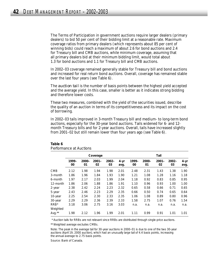The Terms of Participation in government auctions require larger dealers (primary dealers) to bid 50 per cent of their bidding limit at a reasonable rate. Maximum coverage ratios from primary dealers (which represents about 85 per cent of winning bids) could reach a maximum of about 2.6 for bond auctions and 2.4 for Treasury bill and CMB auctions, while minimum coverage, assuming that all primary dealers bid at their minimum bidding limit, would total about 1.3 for bond auctions and 1.1 for Treasury bill and CMB auctions.

In 2002–03 coverage remained generally stable for Treasury bill and bond auctions and increased for real return bond auctions. Overall, coverage has remained stable over the last four years (see Table 6).

The *auction tail* is the number of basis points between the highest yield accepted and the average yield. In this case, smaller is better as it indicates strong bidding and therefore lower costs.

These two measures, combined with the yield of the securities issued, describe the quality of an auction in terms of its competitiveness and its impact on the cost of borrowing.

In 2002–03 tails improved in 3-month Treasury bill and medium- to long-term bond auctions, especially for the 30-year bond auctions. Tails widened for 6- and 12 month Treasury bills and for 2-year auctions. Overall, tails have increased slightly from 2001–02 but still remain lower than four years ago (see Table 6).

|            | Coverage    |                |                |                | Tail             |             |                |                |                |                  |
|------------|-------------|----------------|----------------|----------------|------------------|-------------|----------------|----------------|----------------|------------------|
|            | 1999-<br>00 | $2000 -$<br>01 | $2001 -$<br>02 | $2002 -$<br>03 | $4 - yr$<br>avg. | 1999-<br>00 | $2000 -$<br>01 | $2001 -$<br>02 | $2002 -$<br>03 | $4 - yr$<br>avg. |
| <b>CMB</b> | 2.12        | 1.98           | 1.94           | 1.98           | 2.01             | 2.48        | 2.31           | 1.43           | 1.38           | 1.90             |
| 3-month    | 1.86        | 1.96           | 1.84           | 1.93           | 1.90             | 1.21        | 1.08           | 1.28           | 1.16           | 1.18             |
| 6-month    | 1.97        | 2.17           | 2.03           | 1.99           | 2.04             | 1.18        | 0.92           | 0.83           | 0.85           | 0.95             |
| 12-month   | 1.86        | 2.06           | 1.88           | 1.86           | 1.91             | 1.10        | 0.96           | 0.93           | 1.00           | 1.00             |
| 2-year     | 2.38        | 2.42           | 2.24           | 2.23           | 2.32             | 0.65        | 0.58           | 0.66           | 0.71           | 0.65             |
| 5-year     | 2.43        | 2.46           | 2.23           | 2.29           | 2.35             | 0.66        | 0.50           | 0.74           | 0.65           | 0.64             |
| 10-year    | 2.25        | 2.54           | 2.30           | 2.33           | 2.35             | 1.06        | 1.08           | 0.89           | 0.80           | 0.96             |
| 30-year    | 2.29        | 2.29           | 2.36           | 2.39           | 2.33             | 1.58        | 2.75           | 1.07           | 0.76           | 1.54             |
| $RRB^*$    | 3.18        | 3.06           | 2.75           | 3.16           | 3.03             | n.a.        | n.a.           | n.a.           | n.a.           | n.a.             |
| Weighted   |             |                |                |                |                  |             |                |                |                |                  |
| Avg.**     | 1.98        | 2.12           | 1.96           | 1.99           | 2.01             | 1.11        | 0.99           | 0.91           | 1.01           | 1.01             |

#### **Table 6** *Performance at Auctions*

\* Auction tails for RRBs are not relevant since RRBs are distributed through single-price auctions.

\*\* Weighted average excludes CMBs.

Note: The peak in the average tail for 30-year auctions in 2000–01 is due to one of the two 30-year auctions (April 19, 2000 auction), which had an unusually large tail of 4.4 basis points, increasing the annual average to 2.75 basis points.

Source: Bank of Canada.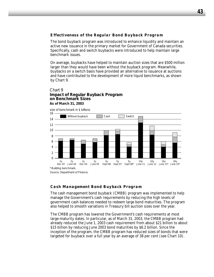## *Effectiveness of the Regular Bond Buyback Program*

The bond buyback program was introduced to enhance liquidity and maintain an active new issuance in the primary market for Government of Canada securities. Specifically, cash and switch buybacks were introduced to help maintain large benchmark issues.

On average, buybacks have helped to maintain auction sizes that are \$500 million larger than they would have been without the buyback program. Meanwhile, buybacks on a switch basis have provided an alternative to issuance at auctions and have contributed to the development of more liquid benchmarks, as shown by Chart 9.

#### Chart 9 **Impact of Regular Buyback Program on Benchmark Sizes As of March 31, 2003**



Source: Department of Finance.

### *Cash Management Bond Buyback Program*

The cash management bond buyback (CMBB) program was implemented to help manage the Government's cash requirements by reducing the high levels of government cash balances needed to redeem large bond maturities. The program also helped to smooth variations in Treasury bill auction sizes over the year.

The CMBB program has lowered the Government's cash requirements at most large-maturity dates. In particular, as of March 31, 2003, the CMBB program had already reduced the June 1, 2003 cash requirement from about \$21 billion to about \$15 billion by reducing June 2003 bond maturities by \$6.2 billion. Since the inception of the program, the CMBB program has reduced sizes of bonds that were targeted for buyback over a full year by an average of 38 per cent (see Chart 10).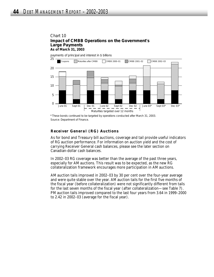#### Chart 10 **Impact of CMBB Operations on the Government's Large Payments As of March 31, 2003**

payments of principal and interest in \$ billions



<sup>\*</sup> These bonds continued to be targeted by operations conducted after March 31, 2003. Source: Department of Finance.

## *Receiver General (RG) Auctions*

As for bond and Treasury bill auctions, coverage and tail provide useful indicators of RG auction performance. For information on auction yield and the cost of carrying Receiver General cash balances, please see the later section on Canadian-dollar cash balances.

In 2002–03 RG coverage was better than the average of the past three years, especially for AM auctions. This result was to be expected, as the new RG collateralization framework encourages more participation in AM auctions.

AM auction tails improved in 2002–03 by 30 per cent over the four-year average and were quite stable over the year. AM auction tails for the first five months of the fiscal year (before collateralization) were not significantly different from tails for the last seven months of the fiscal year (after collateralization—see Table 7). PM auction tails improved compared to the last four years from 3.64 in 1999–2000 to 2.42 in 2002–03 (average for the fiscal year).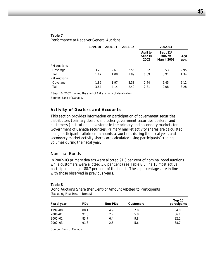|                    | 1999-00 | 2000-01 | $2001 - 02$ |                             | 2002-03                                              |              |
|--------------------|---------|---------|-------------|-----------------------------|------------------------------------------------------|--------------|
|                    |         |         |             | April to<br>Sept 10<br>2002 | Sept 11 <sup>*</sup><br>2002 to<br><b>March 2003</b> | 4-yr<br>avg. |
| <b>AM Auctions</b> |         |         |             |                             |                                                      |              |
| Coverage           | 3.28    | 2.67    | 2.55        | 3.32                        | 3.53                                                 | 2.95         |
| Tail               | 1.47    | 1.08    | 1.89        | 0.69                        | 0.91                                                 | 1.34         |
| <b>PM Auctions</b> |         |         |             |                             |                                                      |              |
| Coverage           | 1.89    | 1.97    | 2.33        | 2.44                        | 2.45                                                 | 2.12         |
| Tail               | 3.64    | 4.14    | 2.40        | 2.81                        | 2.08                                                 | 3.28         |

#### **Table 7** *Performance at Receiver General Auctions*

\* Sept.10, 2002 marked the start of AM auction collateralization.

Source: Bank of Canada.

### *Activity of Dealers and Accounts*

This section provides information on participation of government securities distributors (primary dealers and other government securities dealers) and customers (institutional investors) in the primary and secondary markets for Government of Canada securities. Primary market activity shares are calculated using participants' allotment amounts at auctions during the fiscal year, and secondary market activity shares are calculated using participants' trading volumes during the fiscal year.

#### *Nominal Bonds*

In 2002–03 primary dealers were allotted 91.8 per cent of nominal bond auctions while customers were allotted 5.6 per cent (see Table 8). The 10 most active participants bought 88.7 per cent of the bonds. These percentages are in line with those observed in previous years.

| Fiscal year | <b>PDs</b> | Non-PDs | <b>Customers</b> | Top 10<br>participants |
|-------------|------------|---------|------------------|------------------------|
| 1999-00     | 88.1       | 4.9     | 7.0              | 84.8                   |
| 2000-01     | 91.5       | 2.7     | 5.8              | 86.1                   |
| $2001 - 02$ | 83.7       | 6.4     | 9.8              | 82.2                   |
| $2002 - 03$ | 91.8       | 2.5     | 5.6              | 88.7                   |

#### **Table 8**

*Bond Auctions Share (Per Cent) of Amount Allotted to Participants* (Excluding Real Return Bonds)

Source: Bank of Canada.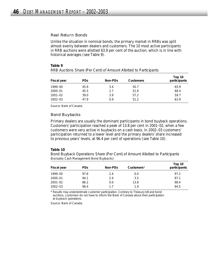#### *Real Return Bonds*

Unlike the situation in nominal bonds, the primary market in RRBs was split almost evenly between dealers and customers. The 10 most active participants in RRB auctions were allotted 63.9 per cent of the auction, which is in line with historical averages (see Table 9).

#### **Table 9**

| Fiscal year | <b>PDs</b> | Non-PDs | <b>Customers</b> | Top 10<br>participants |
|-------------|------------|---------|------------------|------------------------|
| 1999-00     | 45.9       | 3.4     | 50.7             | 65.9                   |
| 2000-01     | 45.5       | 2.7     | 51.8             | 68.4                   |
| $2001 - 02$ | 39.0       | 3.9     | 57.2             | 59.7                   |
| $2002 - 03$ | 47.9       | 0.9     | 51.2             | 63.9                   |

*RRB Auctions Share (Per Cent) of Amount Allotted to Participants*

Source: Bank of Canada.

#### *Bond Buybacks*

Primary dealers are usually the dominant participants in bond buyback operations. Customers' participation reached a peak of 13.8 per cent in 2001–02, when a few customers were very active in buybacks on a cash basis. In 2002–03 customers' participation returned to a lower level and the primary dealers' share increased to previous years' levels, at 96.4 per cent of operations (see Table 10).

#### **Table 10**

*Bond Buyback Operations Share (Per Cent) of Amount Allotted to Participants*  (Excludes Cash Management Bond Buybacks)

| Fiscal year | <b>PDs</b> | Non-PDs | Customers <sup>*</sup> | Top 10<br>participants |
|-------------|------------|---------|------------------------|------------------------|
| 1999-00     | 97.6       | 2.4     | 0.0                    | 97.2                   |
| 2000-01     | 94.1       | 2.4     | 3.5                    | 97.1                   |
| $2001 - 02$ | 86.2       | 0.0     | 13.8                   | 98.4                   |
| $2002 - 03$ | 96.4       | 17      | 19                     | 94.5                   |

\* Results may underestimate customer participation. Contrary to Treasury bill and bond auctions, customers do not have to inform the Bank of Canada about their participation at buyback operations.

Source: Bank of Canada.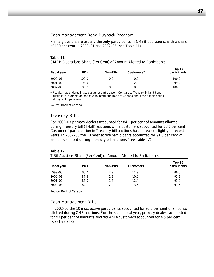#### *Cash Management Bond Buyback Program*

Primary dealers are usually the only participants in CMBB operations, with a share of 100 per cent in 2000–01 and 2002–03 (see Table 11).

| Table 11                                                                   |  |
|----------------------------------------------------------------------------|--|
| <b>CMBB Operations Share (Per Cent) of Amount Allotted to Participants</b> |  |

| Fiscal year | PD <sub>S</sub> | Non-PDs | Customers <sup>*</sup> | Top 10<br>participants |
|-------------|-----------------|---------|------------------------|------------------------|
| 2000-01     | 100.0           | 0.0     | 0.0                    | 100.0                  |
| 2001–02     | 95.9            | 12      | 2.9                    | 99.2                   |
| 2002-03     | 100.0           | 0.0     | 0.0                    | 100.0                  |

\* Results may underestimate customer participation. Contrary to Treasury bill and bond auctions, customers do not have to inform the Bank of Canada about their participation at buyback operations.

Source: Bank of Canada.

#### *Treasury Bills*

For 2002–03 primary dealers accounted for 84.1 per cent of amounts allotted during Treasury bill (T-bill) auctions while customers accounted for 13.6 per cent. Customers' participation in Treasury bill auctions has increased slightly in recent years. In 2002–03 the 10 most active participants accounted for 91.5 per cent of amounts allotted during Treasury bill auctions (see Table 12).

#### **Table 12**

*T-Bill Auctions Share (Per Cent) of Amount Allotted to Participants*

| Fiscal year | <b>PD<sub>S</sub></b> | Non-PDs | <b>Customers</b> | Top 10<br>participants |
|-------------|-----------------------|---------|------------------|------------------------|
| 1999–00     | 85.2                  | 2.9     | 11.9             | 88.0                   |
| 2000-01     | 87.6                  | 1.5     | 10.9             | 92.5                   |
| $2001 - 02$ | 86.0                  | 1.6     | 12.4             | 93.0                   |
| 2002-03     | 84.1                  | 2.2     | 13.6             | 91.5                   |

Source: Bank of Canada.

#### *Cash Management Bills*

In 2002–03 the 10 most active participants accounted for 95.5 per cent of amounts allotted during CMB auctions. For the same fiscal year, primary dealers accounted for 93 per cent of amounts allotted while customers accounted for 4.5 per cent (see Table 13).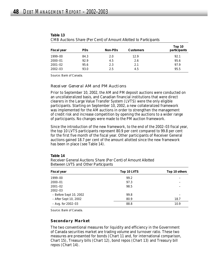| Fiscal year | <b>PDs</b> | Non-PDs | <b>Customers</b> | Top 10<br>participants |
|-------------|------------|---------|------------------|------------------------|
| 1999-00     | 84.3       | 2.0     | 12.9             | 92.1                   |
| 2000-01     | 92.9       | 4.5     | 2.6              | 95.6                   |
| $2001 - 02$ | 95.6       | 2.3     | 2.1              | 97.9                   |
| $2002 - 03$ | 93.0       | 2.5     | 4.5              | 95.5                   |
|             |            |         |                  |                        |

| Table 13 |                                                                  |
|----------|------------------------------------------------------------------|
|          | CMB Auctions Share (Per Cent) of Amount Allotted to Participants |

Source: Bank of Canada.

#### *Receiver General AM and PM Auctions*

Prior to September 10, 2002, the AM and PM deposit auctions were conducted on an uncollateralized basis, and Canadian financial institutions that were direct clearers in the Large Value Transfer System (LVTS) were the only eligible participants. Starting on September 10, 2002, a new collateralized framework was implemented for the AM auctions in order to strengthen the management of credit risk and increase competition by opening the auctions to a wider range of participants. No changes were made to the PM auction framework.

Since the introduction of the new framework, to the end of the 2002–03 fiscal year, the top 10 LVTS participants represent 80.9 per cent compared to 99.8 per cent for the first five month of the fiscal year. Other participants of Receiver General auctions gained 18.7 per cent of the amount allotted since the new framework has been in place (see Table 14).

#### **Table 14**

*Receiver General Auctions Share (Per Cent) of Amount Allotted Between LVTS and Other Participants*

| Fiscal year            | Top 10 LVTS | Top 10 others |
|------------------------|-------------|---------------|
| 1999-00                | 99.2        |               |
| 2000-01                | 97.3        |               |
| $2001 - 02$            | 98.5        |               |
| $2002 - 03$            |             |               |
| - Before Sept 10, 2002 | 99.8        |               |
| - After Sept 10, 2002  | 80.9        | 18.7          |
| $-$ Avg. for 2002–03   | 88.8        | 10.9          |

Source: Bank of Canada.

### *Secondary Market*

The two conventional measures for liquidity and efficiency in the Government of Canada securities market are trading volume and turnover ratio. These two measures are presented for bonds (Chart 11 and, for international comparison, Chart 15), Treasury bills (Chart 12), bond repos (Chart 13) and Treasury bill repos (Chart 14).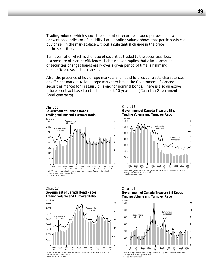Trading volume, which shows the amount of securities traded per period, is a conventional indicator of liquidity. Large trading volume shows that participants can buy or sell in the marketplace without a substantial change in the price of the securities.

Turnover ratio, which is the ratio of securities traded to the securities float, is a measure of market efficiency. High turnover implies that a large amount of securities changes hands easily over a given period of time, a hallmark of an efficient securities market.

Also, the presence of liquid repo markets and liquid futures contracts characterizes an efficient market. A liquid repo market exists in the Government of Canada securities market for Treasury bills and for nominal bonds. There is also an active futures contract based on the benchmark 10-year bond (Canadian Government Bond contracts).







#### Chart 13 **Government of Canada Bond Repos Trading Volume and Turnover Ratio**







**49**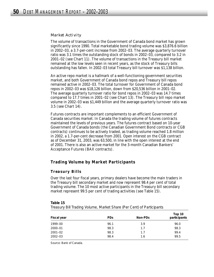#### *Market Activity*

The volume of transactions in the Government of Canada bond market has grown significantly since 1990. Total marketable bond trading volume was \$3,876.6 billion in 2002–03, a 3.7-per-cent increase from 2002–03. The average quarterly turnover ratio was 3.1 times the outstanding stock of bonds in 2002–03, compared to 3.2 in 2001–02 (see Chart 11). The volume of transactions in the Treasury bill market remained at the low levels seen in recent years, as the stock of Treasury bills outstanding has fallen. In 2002–03 total Treasury bill turnover was \$1,138 billion.

An active repo market is a hallmark of a well-functioning government securities market, and both Government of Canada bond repos and Treasury bill repos remained active in 2002–03. The total turnover for Government of Canada bond repos in 2002–03 was \$18,126 billion, down from \$20,536 billion in 2001–02. The average quarterly turnover ratio for bond repos in 2002–03 was 14.7 times compared to 17.7 times in 2001–02 (see Chart 13). The Treasury bill repo market volume in 2002–03 was \$1,449 billion and the average quarterly turnover ratio was 3.5 (see Chart 14).

Futures contracts are important complements to an efficient Government of Canada securities market. In Canada the trading volume of futures contracts maintained the levels of previous years. The futures contract based on 10-year Government of Canada bonds (the Canadian Government Bond contracts or CGB contracts) continues to be actively traded, as trading volume reached 1.8 million in 2002, a 1.7-per-cent decrease from 2001. Open interest on the CGB contract as of December 31, 2003, was 63,500, in line with the open interest at the end of 2001. There is also an active market for the 3-month Canadian Bankers' Acceptance Futures (BAX contracts).

## **Trading Volume by Market Participants**

### *Treasury Bills*

Over the last four fiscal years, primary dealers have become the main traders in the Treasury bill secondary market and now represent 98.4 per cent of total trading volume. The 10 most active participants in the Treasury bill secondary market represent 99.5 per cent of trading activities (see Table 15).

#### **Table 15**

*Treasury Bill Trading Volume, Market Share (Per Cent) of Participants*

| Fiscal year | PD <sub>S</sub> | Non-PDs | Top 10<br>participants |
|-------------|-----------------|---------|------------------------|
| 1999–00     | 96.1            | 3.9     | 96.0                   |
| 2000-01     | 98.3            | 1.7     | 98.3                   |
| 2001-02     | 98.3            | 1.7     | 99.4                   |
| $2002 - 03$ | 98.4            | 1.6     | 99.5                   |

Source: Bank of Canada.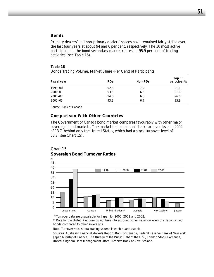#### *Bonds*

Primary dealers' and non-primary dealers' shares have remained fairly stable over the last four years at about 94 and 6 per cent, respectively. The 10 most active participants in the bond secondary market represent 95.9 per cent of trading activities (see Table 16).

#### **Table 16**

| Fiscal year | <b>PDs</b> | Non-PDs | Top 10<br>participants |
|-------------|------------|---------|------------------------|
| 1999-00     | 92.8       | 7.2     | 91.1                   |
| 2000-01     | 93.5       | 6.5     | 91.6                   |
| $2001 - 02$ | 94.0       | 6.0     | 96.0                   |
| $2002 - 03$ | 93.3       | 6.7     | 95.9                   |

*Bonds Trading Volume, Market Share (Per Cent) of Participants*

Source: Bank of Canada.

#### *Comparison With Other Countries*

The Government of Canada bond market compares favourably with other major sovereign bond markets. The market had an annual stock turnover level in 2002 of 13.7, behind only the United States, which had a stock turnover level of 38.7 (see Chart 15).

#### $O_{\alpha}$ United States Canada United Kingdom\*\* Australia New Zealand Japan\* 25 30 35 40 45 20 15 10 5  $\Omega$ 1999 2000 2001 2002

## Chart 15 **Sovereign Bond Turnover Ratios**

\* Turnover data are unavailable for Japan for 2000, 2001 and 2002.

\*\* Data for the United Kingdom do not take into account higher issuance levels of inflation-linked bonds compared to other sovereigns.

Note: Turnover ratio is total trading volume in each quarter/stock.

Sources: *Australian Financial Markets Report*, Bank of Canada, Federal Reserve Bank of New York, Japan Ministry of Finance, The Bureau of the Public Debt of the U.S., London Stock Exchange, United Kingdom Debt Management Office, Reserve Bank of New Zealand.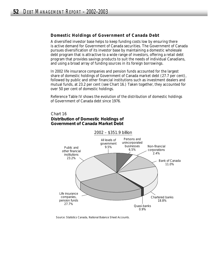## **Domestic Holdings of Government of Canada Debt**

A diversified investor base helps to keep funding costs low by ensuring there is active demand for Government of Canada securities. The Government of Canada pursues diversification of its investor base by maintaining a domestic wholesale debt program that is attractive to a wide range of investors, offering a retail debt program that provides savings products to suit the needs of individual Canadians, and using a broad array of funding sources in its foreign borrowings.

In 2002 life insurance companies and pension funds accounted for the largest share of domestic holdings of Government of Canada market debt (27.7 per cent), followed by public and other financial institutions such as investment dealers and mutual funds, at 23.2 per cent (see Chart 16.) Taken together, they accounted for over 50 per cent of domestic holdings.

Reference Table IV shows the evolution of the distribution of domestic holdings of Government of Canada debt since 1976.

## Chart 16 **Distribution of Domestic Holdings of Government of Canada Market Debt**



Source: Statistics Canada, *National Balance Sheet Accounts*.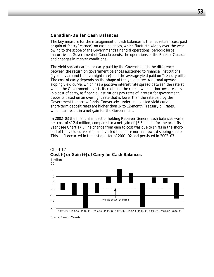### **Canadian-Dollar Cash Balances**

The key measure for the management of cash balances is the net return (cost paid or gain of "carry" earned) on cash balances, which fluctuate widely over the year owing to the scope of the Government's financial operations, periodic large maturities of Government of Canada bonds, the operations of the Bank of Canada and changes in market conditions.

The yield spread earned or carry paid by the Government is the difference between the return on government balances auctioned to financial institutions (typically around the overnight rate) and the average yield paid on Treasury bills. The cost of carry depends on the shape of the yield curve. A normal upward sloping yield curve, which has a positive interest rate spread between the rate at which the Government invests its cash and the rate at which it borrows, results in a cost of carry, as financial institutions pay rates of interest for government deposits based on an overnight rate that is lower than the rate paid by the Government to borrow funds. Conversely, under an inverted yield curve, short-term deposit rates are higher than 3- to 12-month Treasury bill rates, which can result in a net gain for the Government.

In 2002–03 the financial impact of holding Receiver General cash balances was a net cost of \$12.4 million, compared to a net gain of \$3.5 million for the prior fiscal year (see Chart 17). The change from gain to cost was due to shifts in the shortend of the yield curve from an inverted to a more normal upward sloping shape. This shift occurred in the last quarter of 2001–02 and persisted in 2002–03.



## Chart 17 **Cost (-) or Gain (+) of Carry for Cash Balances**

Source: Bank of Canada.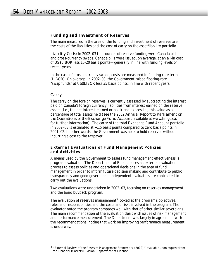#### **Funding and Investment of Reserves**

The main measures in the area of the funding and investment of reserves are the costs of the liabilities and the cost of carry on the asset/liability portfolio.

*Liability Costs:* In 2002–03 the sources of reserve funding were Canada bills and cross-currency swaps. Canada bills were issued, on average, at an all-in cost of US\$LIBOR less 15-20 basis points—generally in line with funding levels of recent years.

In the case of cross-currency swaps, costs are measured in floating-rate terms (LIBOR). On average, in 2002–03, the Government raised floating-rate "swap funds" at US\$LIBOR less 35 basis points, in line with recent years.

#### *Carry*

The carry on the foreign reserves is currently assessed by subtracting the interest paid on Canada's foreign currency liabilities from interest earned on the reserve assets (i.e., the net interest earned or paid) and expressing this value as a percentage of total assets held (see the 2002 *Annual Report to Parliament on the Operations of the Exchange Fund Account*, available at www.fin.gc.ca, for further information). The carry of the total Exchange Fund Account portfolio in 2002–03 is estimated at +1.5 basis points compared to zero basis points in 2001–02. In other words, the Government was able to hold reserves without incurring a cost to the taxpayer.

### *External Evaluations of Fund Management Policies and Activities*

A means used by the Government to assess fund management effectiveness is program evaluation. The Department of Finance uses an external evaluation process to assess policies and operational decisions in the area of fund management in order to inform future decision making and contribute to public transparency and good governance. Independent evaluators are contracted to carry out the evaluations.

Two evaluations were undertaken in 2002–03, focusing on reserves management and the bond buyback program.

The evaluation of reserves management<sup>3</sup> looked at the program's objectives, roles and responsibilities and the costs and risks involved in the program. The evaluator noted the program compares well with that of other similar sovereigns. The main recommendation of the evaluation dealt with issues of risk management and performance measurement. The Department was largely in agreement with the recommendations, noting that work on improving performance measurement is underway.

<sup>3</sup> "External Review of the Reserves Management Framework (2002)," available upon request from the Financial Markets Division, Department of Finance.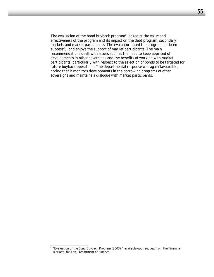The evaluation of the bond buyback program<sup>4</sup> looked at the value and effectiveness of the program and its impact on the debt program, secondary markets and market participants. The evaluator noted the program has been successful and enjoys the support of market participants. The main recommendations dealt with issues such as the need to keep apprised of developments in other sovereigns and the benefits of working with market participants, particularly with respect to the selection of bonds to be targeted for future buyback operations. The departmental response was again favourable, noting that it monitors developments in the borrowing programs of other sovereigns and maintains a dialogue with market participants.

<sup>4</sup> "Evaluation of the Bond Buyback Program (2003)," available upon request from the Financial Markets Division, Department of Finance.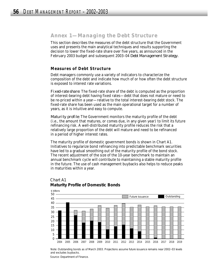## *Annex 1—Managing the Debt Structure*

This section describes the measures of the debt structure that the Government uses and presents the main analytical techniques and results supporting the decision to lower the fixed-rate share over five years, as announced in the February 2003 budget and subsequent 2003–04 *Debt Management Strategy*.

## **Measures of Debt Structure**

Debt managers commonly use a variety of indicators to characterize the composition of the debt and indicate how much of or how often the debt structure is exposed to interest rate variations.

*Fixed-rate share:* The fixed-rate share of the debt is computed as the proportion of interest-bearing debt having fixed rates—debt that does not mature or need to be re-priced within a year—relative to the total interest-bearing debt stock. The fixed-rate share has been used as the main operational target for a number of years, as it is intuitive and easy to compute.

*Maturity profile:* The Government monitors the maturity profile of the debt (i.e., the amount that matures, or comes due, in any given year) to limit its future refinancing risk. A well-distributed maturity profile reduces the risk that a relatively large proportion of the debt will mature and need to be refinanced in a period of higher interest rates.

The maturity profile of domestic government bonds is shown in Chart A1. Initiatives to regularize bond refinancing into predictable benchmark securities have led to a gradual smoothing out of the maturity profile of the bond stock. The recent adjustment of the size of the 10-year benchmark to maintain an annual benchmark cycle will contribute to maintaining a stable maturity profile in the future. The use of cash management buybacks also helps to reduce peaks in maturities within a year.



#### Chart A1 **Maturity Profile of Domestic Bonds**

Note: Outstanding bonds as of March 2003. Projections assume future issuance remains near 2002–03 levels and excludes buybacks.

Source: Department of Finance.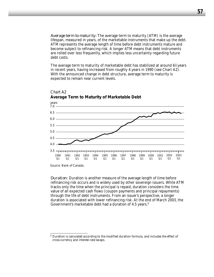*Average term to maturity:* The average term to maturity (ATM) is the average lifespan, measured in years, of the marketable instruments that make up the debt. ATM represents the average length of time before debt instruments mature and become subject to refinancing risk. A longer ATM means that debt instruments are rolled over less frequently, which implies less uncertainty regarding future debt costs.

The average term to maturity of marketable debt has stabilized at around  $6\%$ years in recent years, having increased from roughly 4 years in 1990 (see Chart A2). With the announced change in debt structure, average term to maturity is expected to remain near current levels.



#### Chart A2 **Average Term to Maturity of Marketable Debt**

*Duration:* Duration is another measure of the average length of time before refinancing risk occurs and is widely used by other sovereign issuers. While ATM tracks only the time when the principal is repaid, duration considers the time value of all expected cash flows (coupon payments and principal repayments) through the life of debt instruments. From an issuer's perspective, a longer duration is associated with lower refinancing risk. At the end of March 2003, the Government's marketable debt had a duration of 4.5 years.<sup>5</sup>

Source: Bank of Canada.

<sup>5</sup> Duration is calculated according to the modified duration formula, and includes the effect of cross-currency and interest-rate swaps.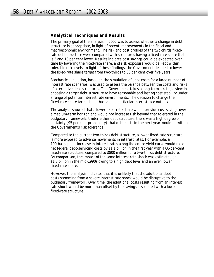## **Analytical Techniques and Results**

The primary goal of the analysis in 2002 was to assess whether a change in debt structure is appropriate, in light of recent improvements in the fiscal and macroeconomic environment. The risk and cost profiles of the two-thirds fixedrate debt structure were compared with structures having a fixed-rate share that is 5 and 10 per cent lower. Results indicate cost savings could be expected over time by lowering the fixed-rate share, and risk exposure would be kept within tolerable risk levels. In light of these findings, the Government decided to lower the fixed-rate share target from two-thirds to 60 per cent over five years.

Stochastic simulation, based on the simulation of debt costs for a large number of interest rate scenarios, was used to assess the balance between the costs and risks of alternative debt structures. The Government takes a long-term strategic view in choosing a target debt structure to have reasonable and lasting cost stability under a range of potential interest rate environments. The decision to change the fixed-rate share target is not based on a particular interest rate outlook.

The analysis showed that a lower fixed-rate share would provide cost savings over a medium-term horizon and would not increase risk beyond that tolerated in the budgetary framework. Under either debt structure, there was a high degree of certainty (95 per cent probability) that debt costs in the next year would be within the Government's risk tolerance.

Compared to the current two-thirds debt structure, a lower fixed-rate structure is more exposed to adverse movements in interest rates. For example, a 100-basis-point increase in interest rates along the entire yield curve would raise net federal debt-servicing costs by \$1.1 billion in the first year with a 60-per-cent fixed-rate structure, compared to \$800 million for a two-thirds debt structure. By comparison, the impact of the same interest rate shock was estimated at \$1.8 billion in the mid-1990s owing to a high debt level and an even lower fixed-rate share.

However, the analysis indicates that it is unlikely that the additional debt costs stemming from a severe interest rate shock would be disruptive to the budgetary framework. Over time, the additional costs resulting from an interest rate shock would be more than offset by the savings associated with a lower fixed-rate structure.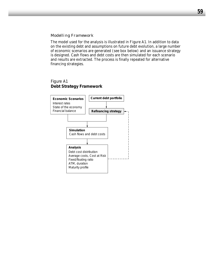#### *Modelling Framework*

The model used for the analysis is illustrated in Figure A1. In addition to data on the existing debt and assumptions on future debt evolution, a large number of economic scenarios are generated (see box below) and an issuance strategy is designed. Cash flows and debt costs are then simulated for each scenario and results are extracted. The process is finally repeated for alternative financing strategies.

## Figure A1 **Debt Strategy Framework**

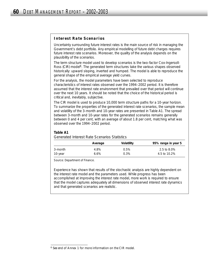## *Interest Rate Scenarios*

Uncertainty surrounding future interest rates is the main source of risk in managing the Government's debt portfolio. Any empirical modelling of future debt charges requires future interest rate scenarios. Moreover, the quality of the analysis depends on the plausibility of the scenarios.

The term structure model used to develop scenarios is the two-factor Cox-Ingersoll-Ross (CIR) model<sup>6</sup>. The generated term structures take the various shapes observed historically: upward sloping, inverted and humped. The model is able to reproduce the general shape of the empirical average yield curves.

For the analysis, the model parameters have been selected to reproduce characteristics of interest rates observed over the 1994–2002 period. It is therefore assumed that the interest rate environment that prevailed over that period will continue over the next 10 years. It should be noted that the choice of the historical period is critical and, inevitably, subjective.

The CIR model is used to produce 10,000 term structure paths for a 10-year horizon. To summarize the properties of the generated interest rate scenarios, the sample mean and volatility of the 3-month and 10-year rates are presented in Table A1. The spread between 3-month and 10-year rates for the generated scenarios remains generally between 0 and 4 per cent, with an average of about 1.8 per cent, matching what was observed over the 1994–2002 period.

### **Table A1**

*Generated Interest Rate Scenarios Statistics*

|         | Average | Volatility | 95% range in year 5 |
|---------|---------|------------|---------------------|
| 3-month | 4.8%    | 0.5%       | 2.5 to 8.0%         |
| 10-year | 6.6%    | 0.3%       | 4.5 to 10.2%        |

Source: Department of Finance.

Experience has shown that results of the stochastic analysis are highly dependent on the interest rate model and the parameters used. While progress has been accomplished at improving the interest rate model, more work is required to ensure that the model captures adequately all dimensions of observed interest rate dynamics and that generated scenarios are realistic.

<sup>6</sup> See end of Annex 1 for more information on the CIR model.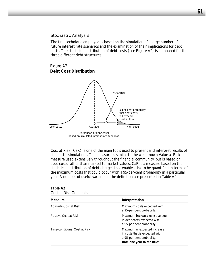#### *Stochastic Analysis*

The first technique employed is based on the simulation of a large number of future interest rate scenarios and the examination of their implications for debt costs. The statistical distribution of debt costs (see Figure A2) is compared for the three different debt structures.

## Figure A2 **Debt Cost Distribution**



Cost at Risk (CaR) is one of the main tools used to present and interpret results of stochastic simulations. This measure is similar to the well-known Value at Risk measure used extensively throughout the financial community, but is based on debt costs rather than marked-to-market values. CaR is a measure based on the statistical distribution of debt charges that enables risk to be quantified in terms of the maximum costs that could occur with a 95-per-cent probability in a particular year. A number of useful variants in the definition are presented in Table A2.

| Cost at Risk Concepts         |                                                                                                                           |
|-------------------------------|---------------------------------------------------------------------------------------------------------------------------|
| Measure                       | Interpretation                                                                                                            |
| Absolute Cost at Risk         | Maximum costs expected with<br>a 95-per-cent probability.                                                                 |
| Relative Cost at Risk         | Maximum increase over average<br>in-debt costs expected with<br>a 95-per-cent probability.                                |
| Time-conditional Cost at Risk | Maximum unexpected increase<br>in costs that is expected with<br>a 95-per-cent probability,<br>from one year to the next. |

**Table A2**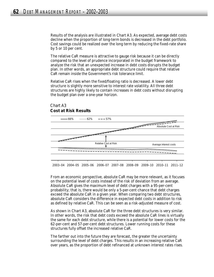Results of the analysis are illustrated in Chart A3. As expected, average debt costs decline when the proportion of long-term bonds is decreased in the debt portfolio. Cost savings could be realized over the long term by reducing the fixed-rate share by 5 or 10 per cent.

The relative CaR measure is attractive to gauge risk because it can be directly compared to the level of prudence incorporated in the budget framework to analyze the risk that an unexpected increase in debt costs disrupts the budget plan. In other words, an appropriate debt structure could require that relative CaR remain inside the Government's risk tolerance limit.

Relative CaR rises when the fixed/floating ratio is decreased. A lower debt structure is slightly more sensitive to interest rate volatility. All three debt structures are highly likely to contain increases in debt costs without disrupting the budget plan over a one-year horizon.



From an economic perspective, absolute CaR may be more relevant, as it focuses on the potential level of costs instead of the risk of deviation from an average. Absolute CaR gives the maximum level of debt charges with a 95-per-cent probability; that is, there would be only a 5-per-cent chance that debt charges exceed the absolute CaR in a given year. When comparing two debt structures, absolute CaR considers the difference in expected debt costs in addition to risk as defined by relative CaR. This can be seen as a risk-adjusted measure of cost.

As shown in Chart A3, absolute CaR for the three debt structures is very similar. In other words, the risk that debt costs exceed the absolute CaR lines is virtually the same for each debt structure, while there is a potential for lower costs for the 62-per-cent and 57-per-cent debt structures. Lower running costs for these structures fully offset the increased relative CaR.

The farther out into the future they are forecast, the greater the uncertainty surrounding the level of debt charges. This results in an increasing relative CaR over years, as the proportion of debt refinanced at unknown interest rates rises.

## Chart A3 **Cost at Risk Results**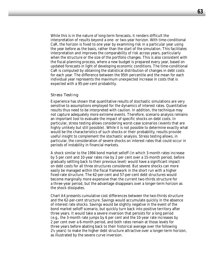While this is in the nature of long-term forecasts, it renders difficult the interpretation of results beyond a one- or two-year horizon. With time-conditional CaR, the horizon is fixed to one year by examining risk in a particular year using the year before as the basis, rather than the start of the simulation. This facilitates interpretation and improves the comparability of risk across years, particularly when the structure or the size of the portfolio changes. This is also consistent with the fiscal-planning process, where a new budget is prepared every year, based on updated forecasts in light of developing economic conditions. The time-conditional CaR is computed by obtaining the statistical distribution of changes in debt costs for each year. The difference between the 95th percentile and the mean for each individual year represents the maximum unexpected increase in costs that is expected with a 95-per-cent probability.

#### *Stress Testing*

Experience has shown that quantitative results of stochastic simulations are very sensitive to assumptions employed for the dynamics of interest rates. Quantitative results thus need to be interpreted with caution. In addition, the technique may not capture adequately more extreme events. Therefore, scenario analysis remains an important tool to evaluate the impact of specific shocks on debt costs. In particular, stress testing allows considering worst-case scenarios (events that are highly unlikely but still possible). While it is not possible to determine exactly what would be the characteristics of such shocks or their probability, results provide useful insight to complement the stochastic analysis. Stress testing allows, in particular, the consideration of severe shocks on interest rates that could occur in periods of instability in financial markets.

A shock similar to the 1994 bond market selloff (in which 3-month rates increase by 5 per cent and 10-year rates rise by 2 per cent over a 15-month period, before gradually settling back to their previous level) would have a significant impact on debt costs for all three structures considered. But severe shocks can more easily be managed within the fiscal framework in the short run with a higher fixed-rate structure. The 62-per-cent and 57-per-cent debt structures would become marginally more expensive than the current two-thirds structure for a three-year period, but the advantage disappears over a longer-term horizon as the shock dissipates.

Chart A4 presents cumulative cost differences between the two-thirds structure and the 62-per-cent structure. Savings would accumulate quickly in the absence of interest rate shocks. Savings would be slightly negative in the event of the bond market selloff scenario, but quickly turn back into positive territory after three years. It would take a severe inversion that persists for a long period (e.g., the 3-month rate jumps by 6 per cent and the 10-year rate increases by 2 per cent over a 6-month period, and both rates remain at those levels for three years before abating back to their historical average over the following  $2\frac{1}{2}$  years) to make the higher debt structure attractive over a longer-term horizon, as illustrated by the severe curve inversion.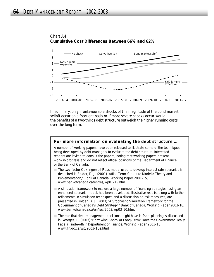

## Chart A4 **Cumulative Cost Differences Between 66% and 62%**

In summary, only if unfavourable shocks of the magnitude of the bond market selloff occur on a frequent basis or if more severe shocks occur would the benefits of a two-thirds debt structure outweigh the higher running costs over the long term.

## **For more information on evaluating the debt structure …**

A number of working papers have been released to illustrate some of the techniques being developed by debt managers to evaluate the debt structure. Interested readers are invited to consult the papers, noting that working papers present work-in-progress and do not reflect official positions of the Department of Finance or the Bank of Canada.

- The two-factor Cox-Ingersoll-Ross model used to develop interest rate scenarios is described in Bolder, D. J. (2001) "Affine Term-Structure Models: Theory and Implementation," Bank of Canada, Working Paper 2001-15, www.bankofcanada.ca/en/res/wp01-15.htm.
- A simulation framework to explore a large number of financing strategies, using an enhanced scenario model, has been developed. Illustrative results, along with further refinements in simulation techniques and a discussion on risk measures, are presented in Bolder, D. J. (2003) "A Stochastic Simulation Framework for the Government of Canada's Debt Strategy," Bank of Canada, Working Paper 2003-10, www.bankofcanada.ca/en/res/2003/wp03-10.htm.
- $\Box$  The role that debt management decisions might have in fiscal planning is discussed in Georges, P. (2003) "Borrowing Short- or Long-Term: Does the Government Really Face a Trade-off?," Department of Finance, Working Paper 2003-16, www.fin.gc.ca/wp/2003-16e.html.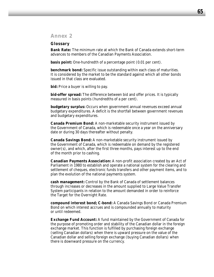## *Annex 2*

#### **Glossary**

**Bank Rate:** The minimum rate at which the Bank of Canada extends short-term advances to members of the Canadian Payments Association.

**basis point:** One-hundredth of a percentage point (0.01 per cent).

**benchmark bond:** Specific issue outstanding within each class of maturities. It is considered by the market to be the standard against which all other bonds issued in that class are evaluated.

**bid:** Price a buyer is willing to pay.

**bid-offer spread:** The difference between bid and offer prices. It is typically measured in basis points (hundredths of a per cent).

**budgetary surplus:** Occurs when government annual revenues exceed annual budgetary expenditures. A deficit is the shortfall between government revenues and budgetary expenditures.

**Canada Premium Bond:** A non-marketable security instrument issued by the Government of Canada, which is redeemable once a year on the anniversary date or during 30 days thereafter without penalty.

**Canada Savings Bond:** A non-marketable security instrument issued by the Government of Canada, which is redeemable on demand by the registered  $a$  owner(s), and which, after the first three months, pays interest up to the end of the month prior to cashing.

**Canadian Payments Association:** A non-profit association created by an Act of Parliament in 1980 to establish and operate a national system for the clearing and settlement of cheques, electronic funds transfers and other payment items, and to plan the evolution of the national payments system.

**cash management:** Control by the Bank of Canada of settlement balances through increases or decreases in the amount supplied to Large Value Transfer System participants in relation to the amount demanded in order to reinforce the Target for the Overnight Rate.

**compound interest bond; C-bond:** A Canada Savings Bond or Canada Premium Bond on which interest accrues and is compounded annually to maturity or until redeemed.

**Exchange Fund Account:** A fund maintained by the Government of Canada for the purpose of promoting order and stability of the Canadian dollar in the foreign exchange market. This function is fulfilled by purchasing foreign exchange (selling Canadian dollars) when there is upward pressure on the value of the Canadian dollar and selling foreign exchange (buying Canadian dollars) when there is downward pressure on the currency.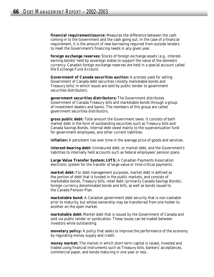**financial requirement/source:** Measures the difference between the cash coming in to the Government and the cash going out. In the case of a financial requirement, it is the amount of new borrowing required from outside lenders to meet the Government's financing needs in any given year.

**foreign exchange reserves:** Stocks of foreign exchange assets (e.g., interestearning bonds) held by sovereign states to support the value of the domestic currency. Canada's foreign exchange reserves are held in a special account called the Exchange Fund Account.

**Government of Canada securities auction:** A process used for selling Government of Canada debt securities (mostly marketable bonds and Treasury bills) in which issues are sold by public tender to government securities distributors.

**government securities distributors:** The Government distributes Government of Canada Treasury bills and marketable bonds through a group of investment dealers and banks. The members of this group are called government securities distributors.

**gross public debt:** Total amount the Government owes. It consists of both market debt in the form of outstanding securities such as Treasury bills and Canada Savings Bonds, internal debt owed mainly to the superannuation fund for government employees, and other current liabilities.

**inflation:** A persistent rise over time in the average price of goods and services.

**interest-bearing debt:** Unmatured debt, or market debt, and the Government's liabilities to internally held accounts such as federal employees' pension plans.

**Large Value Transfer System; LVTS:** A Canadian Payments Association electronic system for the transfer of large-value or time-critical payments.

**market debt:** For debt management purposes, market debt is defined as the portion of debt that is funded in the public markets, and consists of marketable bonds, Treasury bills, retail debt (primarily Canada Savings Bonds), foreign currency denominated bonds and bills, as well as bonds issued to the Canada Pension Plan.

**marketable bond:** A Canadian government debt security that is non-cashable prior to maturity, but whose ownership may be transferred from one holder to another on the open market.

**marketable debt:** Market debt that is issued by the Government of Canada and sold via public tender or syndication. These issues can be traded between investors while outstanding.

**monetary policy:** A policy that seeks to improve the performance of the economy by regulating money supply and credit.

**money market:** The market in which short-term capital is raised, invested and traded using financial instruments such as Treasury bills, bankers' acceptances, commercial paper, and bonds maturing in one year or less.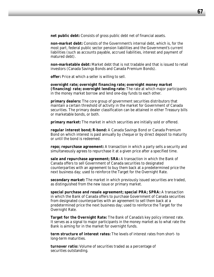**net public debt:** Consists of gross public debt net of financial assets.

**non-market debt:** Consists of the Government's internal debt, which is, for the most part, federal public sector pension liabilities and the Government's current liabilities (such as accounts payable, accrued liabilities, interest and payment of matured debt).

**non-marketable debt:** Market debt that is not tradable and that is issued to retail investors (Canada Savings Bonds and Canada Premium Bonds).

**offer:** Price at which a seller is willing to sell.

**overnight rate; overnight financing rate; overnight money market (financing) rate; overnight lending rate:** The rate at which major participants in the money market borrow and lend one-day funds to each other.

**primary dealers:** The core group of government securities distributors that maintain a certain threshold of activity in the market for Government of Canada securities. The primary dealer classification can be attained in either Treasury bills or marketable bonds, or both.

**primary market:** The market in which securities are initially sold or offered.

**regular interest bond; R-bond:** A Canada Savings Bond or Canada Premium Bond on which interest is paid annually by cheque or by direct deposit to maturity or until the bond is redeemed.

**repo; repurchase agreement:** A transaction in which a party sells a security and simultaneously agrees to repurchase it at a given price after a specified time.

**sale and repurchase agreement; SRA:** A transaction in which the Bank of Canada offers to sell Government of Canada securities to designated counterparties with an agreement to buy them back at a predetermined price the next business day; used to reinforce the Target for the Overnight Rate.

**secondary market:** The market in which previously issued securities are traded, as distinguished from the new issue or primary market.

**special purchase and resale agreement; special PRA; SPRA:** A transaction in which the Bank of Canada offers to purchase Government of Canada securities from designated counterparties with an agreement to sell them back at a predetermined price the next business day; used to reinforce the Target for the Overnight Rate.

**Target for the Overnight Rate:** The Bank of Canada's key policy interest rate. It serves as a signal to major participants in the money market as to what rate the Bank is aiming for in the market for overnight funds.

**term structure of interest rates:** The levels of interest rates from short- to long-term maturities.

**turnover ratio:** Volume of securities traded as a percentage of securities outstanding.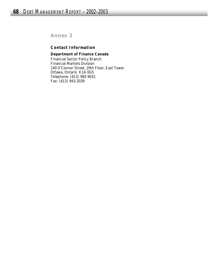*Annex 3*

## **Contact Information**

## **Department of Finance Canada**

Financial Sector Policy Branch Financial Markets Division 140 O'Connor Street, 20th Floor, East Tower Ottawa, Ontario K1A 0G5 Telephone: (613) 992-9031 Fax: (613) 943-2039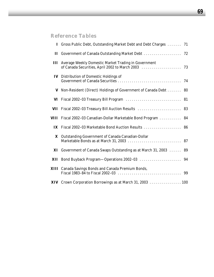# *Reference Tables*

|     | I Gross Public Debt, Outstanding Market Debt and Debt Charges                                          | 71 |
|-----|--------------------------------------------------------------------------------------------------------|----|
|     |                                                                                                        |    |
| Ш   | Average Weekly Domestic Market Trading in Government<br>of Canada Securities, April 2002 to March 2003 | 73 |
| IV  | Distribution of Domestic Holdings of                                                                   |    |
| V   | Non-Resident (Direct) Holdings of Government of Canada Debt  80                                        |    |
| VI  |                                                                                                        |    |
| VII |                                                                                                        |    |
|     | VIII Fiscal 2002–03 Canadian-Dollar Marketable Bond Program  84                                        |    |
|     |                                                                                                        |    |
| X   | Outstanding Government of Canada Canadian-Dollar                                                       |    |
|     | XI Government of Canada Swaps Outstanding as at March 31, 2003                                         | 89 |
|     |                                                                                                        |    |
|     | <b>XIII</b> Canada Savings Bonds and Canada Premium Bonds,                                             |    |
|     | XIV Crown Corporation Borrowings as at March 31, 2003 100                                              |    |
|     |                                                                                                        |    |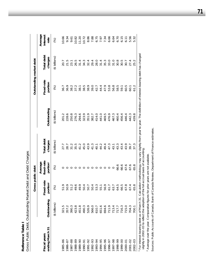| Gross Public Debt, Outstanding Market Debt and Debt Charges<br>Reference<br>Table    |               |                                    |                                               |                       |                                                                                                                                                              |                         |                       |                             |
|--------------------------------------------------------------------------------------|---------------|------------------------------------|-----------------------------------------------|-----------------------|--------------------------------------------------------------------------------------------------------------------------------------------------------------|-------------------------|-----------------------|-----------------------------|
|                                                                                      |               | Gross public debt                  |                                               |                       |                                                                                                                                                              | Outstanding market debt |                       |                             |
| ending March 31<br>Fiscal vears                                                      | Outstanding   | Fixed-rate<br>portion <sup>1</sup> | fixed-rate<br>Average<br>portion <sup>2</sup> | Total debt<br>charges | Outstanding                                                                                                                                                  | Fixed-rate<br>portion   | Total debt<br>charges | Average<br>interest<br>rate |
|                                                                                      | (\$ billions) | $\mathcal{S}$                      | $\mathcal{E}$                                 | (\$ billions)         | (\$ billions)                                                                                                                                                | (%)                     | $($ \$ billions)      | (%)                         |
| 1985-86                                                                              | 321.5         | 51.9                               |                                               | 27.7                  | 201.2                                                                                                                                                        | 36.7                    | 20.7                  | 10.66                       |
| 1986-87                                                                              | 357.2         | 50.9                               |                                               | 28.7                  | 228.6                                                                                                                                                        | 36.9                    | 21.5                  | 9.34                        |
| 1987-88                                                                              | 390.3         | 51.2                               |                                               | 31.2                  | 250.8                                                                                                                                                        | 38.2                    | 23.1                  | 9.61                        |
| 1988-89                                                                              | 423.8         | 49.6                               |                                               | 35.5                  | 276.3                                                                                                                                                        | 37.2                    | 26.5                  | 10.82                       |
| 06-6861                                                                              | 451.8         | 49.9                               |                                               | 41.2                  | 294.6                                                                                                                                                        | 38.1                    | 31.4                  | 11.20                       |
| 1990-91                                                                              | 490.3         | 50.4                               |                                               | 45.0                  | 323.9                                                                                                                                                        | 38.5                    | 34.3                  | 10.72                       |
| 1991-92                                                                              | 526.9         | 50.7                               |                                               | 43.9                  | 351.9                                                                                                                                                        | 38.9                    | 32.4                  | 8.86                        |
| 1992-93                                                                              | 566.0         | 50.4                               | ○                                             | 41.3                  | 382.7                                                                                                                                                        | 39.0                    | 29.4                  | 7.88                        |
| 1993-94                                                                              | 610.7         | 53.3                               |                                               | 40.1                  | 414.0                                                                                                                                                        | 42.7                    | <b>28.0</b>           | 6.75                        |
| 1994-95                                                                              | 651.6         | 55.1                               |                                               | 44.2                  | 441.0                                                                                                                                                        | 44.4                    | 31.4                  | 7.97                        |
| 1995-96                                                                              | 694.6         | 56.9                               |                                               | 49.4                  | 469.5                                                                                                                                                        | 47.9                    | 35.3                  | 7.34                        |
| 1996-97                                                                              | 711.9         | 61.7                               |                                               | 47.3                  | 476.9                                                                                                                                                        | 53.8                    | 33.0                  | 6.66                        |
| 1997-98                                                                              | 713.4         | 63.7                               |                                               | 43.1                  | 467.3                                                                                                                                                        | 56.8                    | 31.0                  | 6.64                        |
| 1998-99                                                                              | 717.7         | 64.5                               | 66.6                                          | 43.3                  | 460.4                                                                                                                                                        | 58.5                    | 30.8                  | 6.70                        |
| 00-6661                                                                              | 716.3         | 66.5                               | 66.6                                          | 43.4                  | 456.4                                                                                                                                                        | 59.1                    | 30.5                  | 6.15                        |
| 2000-01                                                                              | 715.0         | 67.8                               | 67.6                                          | 43.9                  | 446.4                                                                                                                                                        | 60.5                    | 30.7                  | 6.11                        |
| $2001 - 02$                                                                          | 704.3         | 67.4                               | 67.6                                          | 39.7                  | 442.3                                                                                                                                                        | 60.1                    | 27.4                  | 5.56                        |
| 2002-03                                                                              | 700.1         | 65.8                               | 65.8                                          | 37.3                  | 439.8                                                                                                                                                        | 61.2                    | 25.2                  | 5.32                        |
| slightly in 2002-03 to reflect the adoption of the full accrual basis of accounting. |               |                                    |                                               |                       | 1 For interest-bearing debt as of March 31. Calculation methodology may vary slightly from year to year. The definition of interest-bearing debt has changed |                         |                       |                             |

<sup>2</sup> Average over the year. Comparative figures for prior years are not available. Average over the year. Comparative figures for prior years are not available.

Sources: Public Accounts of Canada, Bank of Canada Review, Department of Finance estimates. Sources: *Public Accounts of Canada*, *Bank of Canada Review*, Department of Finance estimates.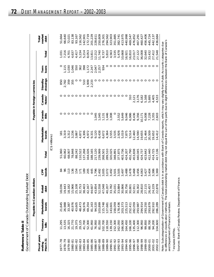|                                                            | $\sim$<br>í<br>l<br>$. \int$<br>N こくこうこうしょう<br>$\frac{1}{2}$<br>֧֦֦֦֪֪֦֪֦֖֧֧֦֧֧֧֧֧֪֧֪֧֪֧֚֚֚֚֝֝֝֬֝֝֬֝֬֝֓֝֬֝֓֬֝֬֝֓֝֬֝֓֝֓֝֓֝֓֝֓֬֝֓֝֓֝֬֝֓֝֬֝֬֝֬֝֓֝֬֝֓֝<br>)<br>)<br>)<br>J |
|------------------------------------------------------------|------------------------------------------------------------------------------------------------------------------------------------------------------------------------|
| _<br>2<br>$\frac{1}{2}$<br>י הרהרה ה<br>Ĭ.<br>$\mathbf{r}$ | J cpucue<br>j<br>J<br>j<br>)<br>.<br>م<br>+ הותרת המ<br>I                                                                                                              |

|                                               |                   | Payable in Canadiar                                                                                                                                            | dollars                                      |                     |         |                     |                 | Payable in foreign currencies |                     |               |        |                         |
|-----------------------------------------------|-------------------|----------------------------------------------------------------------------------------------------------------------------------------------------------------|----------------------------------------------|---------------------|---------|---------------------|-----------------|-------------------------------|---------------------|---------------|--------|-------------------------|
| Fiscal years<br>March <sub>31</sub><br>ending | Treasury<br>bills | Marketable<br>bonds                                                                                                                                            | lie<br>debt<br>Rei                           | bonds<br><b>GPP</b> | Total   | Marketable<br>bonds | Canada<br>Bills | Canada<br>Notes <sup>1</sup>  | drawings<br>Standby | loans<br>Term | Total  | market<br>Total<br>debt |
|                                               |                   |                                                                                                                                                                |                                              |                     |         | (C\$ millions)      |                 |                               |                     |               |        |                         |
| 977–78                                        | 11,295            | 21,645                                                                                                                                                         | 036<br>$\infty$                              | 84                  | 51,060  | $\frac{5}{18}$      |                 |                               | 850                 | O             | 1,031  | 51,664                  |
| $978 - 79$                                    | 13,535            | 26,988                                                                                                                                                         | .443                                         | $\delta$            | 60,062  | 3,319               |                 |                               | 2,782               | 1,115         | 7,216  | 66,640                  |
| 08-676                                        | 16,325            | 33,387                                                                                                                                                         | 182<br>$\frac{\infty}{1}$ $\frac{\infty}{1}$ | 113                 | 68,007  | 3,312               |                 |                               | 359                 | 1,030         | 4,701  | 72,02                   |
| 1980-81                                       | 21,770            | 40,976                                                                                                                                                         | 966<br>15                                    | 136                 | 78,848  | 3,236               |                 |                               | 355                 | 1,046         | 4,637  | 83,138                  |
| $981 - 82$                                    | 19,375            | 43,605                                                                                                                                                         | 108<br>25,                                   | 154                 | 88,242  | 3,867               | $\circ$         | $\circ$                       | $\circ$             | 550           | 4,417  | 93,167                  |
| 1982-83                                       | 29,125            | 48,473                                                                                                                                                         |                                              | 171                 | 110,522 | 4,872               | $\circ$         | ○                             | $\circ$             | 362           | 5,234  | 116,562                 |
| 983-84                                        | 41,700            | 56,976                                                                                                                                                         | 32,753<br>38,403<br>42,167<br>44,607         | 189                 | 137,268 | 4,306               | $\circ$         | ○                             | 510                 | 398           | 5,214  | 142,901                 |
| 984-85                                        | 52,300            | 69,354                                                                                                                                                         |                                              | 205                 | 164,026 | 4,972               | $\circ$         |                               | 1,909               | 1,172         | 8,053  | 172,719                 |
| 985-86                                        | 61,950            | 81,163                                                                                                                                                         |                                              | 445                 | 188,165 | 9,331               | $\circ$         |                               | 2,233               | 2,247         | 13,811 | 201,229                 |
| 986-87                                        | 76,950            | 94,520                                                                                                                                                         | 43,854                                       | 1,796               | 217,120 | 9,120               | 1,045           |                               | O                   | 2,047         | 12,212 | 228,611                 |
| 1987-88                                       | 81,050            | 103,899                                                                                                                                                        | 52,558<br>47,048                             | 2,492               | 239,999 | 8,438               | 1,045           |                               |                     | 2,257         | 11,740 | 250,809                 |
| 1988-89                                       | 102,700           | 115,748                                                                                                                                                        |                                              | 3,005               | 268,501 | 6,672               | 1,131           |                               | O                   | 934           | 8,737  | 276,30                  |
| 06-6861                                       | 118,550           | 127,681                                                                                                                                                        | 40,207                                       | 3,072               | 289,510 | 4,364               | 1,446           |                               | c                   |               | 5,810  | 294,562                 |
| 1990-91                                       | 139,150           | 143,601                                                                                                                                                        |                                              | 3,492               | 320,025 | 3,555               | 1,008           |                               | ◠                   |               | 4,563  | 323,903                 |
| 1991-92                                       | 152,300           | 158,059                                                                                                                                                        |                                              | 3,501               | 348,891 | 3,535               |                 |                               | ◠                   | $\circ$       | 3,535  | 351,885                 |
| 1992-93                                       | 162,050           | 178,436                                                                                                                                                        | 33,782<br>35,031<br>33,884<br>30,866         | 3,505               | 377,875 | 2,926               | 2,552           |                               | ◠                   | $\circ$       | 5,478  | 382,741                 |
| 993-94                                        | 166,000           | 203,373                                                                                                                                                        |                                              | 3,497               | 403,736 |                     | 5,649           |                               | ◠                   | $\circ$       | 10,668 | 413,975                 |
| 994-95                                        | 164,450           | 225,513                                                                                                                                                        | ,756<br>30 <sub>l</sub>                      | 3,488               | 424,207 | 7,875               | 9,046           |                               | ◠                   | $\circ$       | 16,921 | 440,998                 |
| 995-96                                        | 166,100           | 252,411                                                                                                                                                        | 30,801                                       | 3,478               | 452,790 | 9,514               | 6,986           | 310                           | $\circ$             | O             | 16,810 | 469,547                 |
| 1996-97                                       | 135,400           | 282,059                                                                                                                                                        | 911<br>32 <sub>i</sub>                       | 3,468               | 453,838 | 12,460              | 8,436           | 2,121                         | $\circ$             | O             | 23,017 | 476,852                 |
| 1997-98                                       | 112,300           | 293,987                                                                                                                                                        | 30,302                                       | 3,456               | 440,045 | 14,590              | 9,356           | 3,176                         | $\circ$             | ○             | 27,122 | 467,291                 |
| 1998-99                                       | 96,950            | 294,914                                                                                                                                                        | 28,810                                       | 4,063               | 424,737 | 19,655              | 10,171          | 6,182                         | $\circ$             |               | 36,008 | 460,42                  |
| 1999-00                                       | 99,850            | 293,250                                                                                                                                                        | 715<br>27,                                   | 3,427               | 423,642 | 21,464              | 6,008           | 5,168                         | $\circ$             | O             | 32,640 | 456,406                 |
| 2000-01                                       | 88,700            | 293,879                                                                                                                                                        | 26,457                                       | 3,404               | 412,440 | 20,509              | 7,228           | 5,695                         | $\circ$             | $\circ$       | 33,432 | 445,724                 |
| $2001 - 02$                                   | 94,200            | 292,910                                                                                                                                                        | 24,229<br>22,878                             | 3,386               | 414,725 | 19,652              | 3,355           | 4,405                         | $\circ$             | $\circ$       | 27,412 | 442,137                 |
| 2002-03                                       | 04,600            | 286,289                                                                                                                                                        |                                              | 3,369               | 417,136 | 14,412              | 2,603           | 4,533                         |                     |               | 21,548 | 436,684                 |
|                                               |                   | Note: Subcategorization of Government of Canada debt is in accordance with Bank of Canada reports, which may vary slightly from Public Accounts categories due |                                              |                     |         |                     |                 |                               |                     |               |        |                         |

to differences in classification methods. The total outstanding market debt may not equal the sum of the parts due to slight differences between the Bank of Canada's<br>and Department of Finance's numbers. to differences in classification methods. The total outstanding market debt may not equal the sum of the parts due to slight differences between the Bank of Canada's and Department of Finance's numbers.

<sup>1</sup> Includes EMTNs. Includes EMTNs.

Sources: Bank of Canada Review, Department of Finance. Sources: *Bank of Canada Review,* Department of Finance.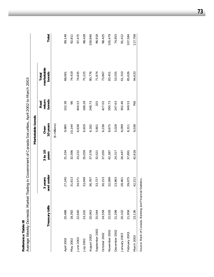| ٠    |  |
|------|--|
| ۱    |  |
| ŕ    |  |
|      |  |
| くりょう |  |
| Č    |  |
|      |  |

| Reference Table III |                                                           | Average Weekly Domestic Market Trading in Government of Canada Securities, April 2002 to March 2003 |                  |                     |                         |                              |         |
|---------------------|-----------------------------------------------------------|-----------------------------------------------------------------------------------------------------|------------------|---------------------|-------------------------|------------------------------|---------|
|                     |                                                           |                                                                                                     |                  | Marketable bonds    |                         |                              |         |
|                     | Treasury bills                                            | nd under<br>3 years<br>ᢐ                                                                            | 3 to 10<br>years | 10 years<br>Over    | bonds<br>return<br>Real | marketable<br>bonds<br>Total | Total   |
|                     |                                                           |                                                                                                     |                  | $($ \$ millions $)$ |                         |                              |         |
| April 2002          | 20,488                                                    | 27,240                                                                                              | 31,334           | 9,985               | 102.38                  | 68,661                       | 89,149  |
| May 2002            | 18,392                                                    | 31,613                                                                                              | 32,566           | 10,144              | 96                      | 74,419                       | 92,811  |
| June 2002           | 22,640                                                    | 34,571                                                                                              | 33,222           | 6,638               | 404.53                  | 74,835                       | 97,475  |
| July 2002           | 23,202                                                    | 33,049                                                                                              | 35,059           | 6,929               | 188.28                  | 75,225                       | 98,428  |
| August 2002         | 20,063                                                    | 36,767                                                                                              | 37,578           | 6,182               | 248.73                  | 80,776                       | 100,840 |
| September 2002      | 25,044                                                    | 33,727                                                                                              | 32,021           | 5,801               | 325                     | 71,874                       | 96,918  |
| October 2002        | 24,558                                                    | 30,153                                                                                              | 37,050           | 6,238               | 427.02                  | 73,867                       | 98,425  |
| November 2002       | 22,028                                                    | 32,099                                                                                              | 42,387           | 8,675               | 290.73                  | 83,451                       | 105,479 |
| December 2002       | 21,298                                                    | 23,963                                                                                              | 24,317           | 5,028               | 247.63                  | 53,555                       | 74,853  |
| January 2003        | 20,102                                                    | 28,461                                                                                              | 26,447           | 6,099               | 302.46                  | 61,310                       | 81,412  |
| February 2003       | 21,958                                                    | 39,075                                                                                              | 37,891           | 8,311               | 349.53                  | 85,626                       | 107,584 |
| March 2003          | 23,136                                                    | 42,211                                                                                              | 42,618           | 9,038               | 766                     | 94,633                       | 117,769 |
|                     | Source: Bank of Canada, Banking and Financial Statistics. |                                                                                                     |                  |                     |                         |                              |         |

**73**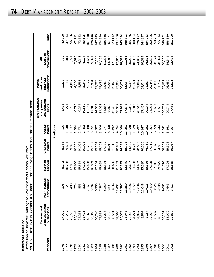| ,        |        |
|----------|--------|
| 응<br>Ĥ   | ا<br>، |
| eference |        |
|          |        |
|          |        |
| ř        | i      |
|          |        |

|  | Distribution of Domestic Holdings of Government of Canada Securities<br>AI AIRBI ANIN IAINS | PART A —Treasury Rills, Canada Rills, Ronds 1 Capada Savings Ronds and Capada Premium Rond |  |
|--|---------------------------------------------------------------------------------------------|--------------------------------------------------------------------------------------------|--|
|--|---------------------------------------------------------------------------------------------|--------------------------------------------------------------------------------------------|--|

|          | PART A — Treasury Bills, Canada Bills, Bonds, Canada Savings Bonds and Canada Premium Bonds |                                                              |                   |                    |                              |                                                     |                                                               |                                           |                    |
|----------|---------------------------------------------------------------------------------------------|--------------------------------------------------------------|-------------------|--------------------|------------------------------|-----------------------------------------------------|---------------------------------------------------------------|-------------------------------------------|--------------------|
| Year end | unincorporated<br>Persons and<br>businesses                                                 | Non-financial<br>corporations                                | Bank of<br>Canada | Chartered<br>banks | banks <sup>2</sup><br>Quasi- | Life insurance<br>and pension<br>companies<br>funds | institutions <sup>3</sup><br>and other<br>financial<br>Public | government <sup>4</sup><br>levels of<br>₹ | Total <sup>5</sup> |
|          |                                                                                             |                                                              |                   |                    | $($ \$ millions $)$          |                                                     |                                                               |                                           |                    |
| 1976     | 17,932                                                                                      | 395                                                          | 8,242             | 8,666              | 716                          | 1,436                                               | 2,273                                                         | 730                                       | 40,390             |
| 1977     | 20,277                                                                                      | 321                                                          | 10,268            | 9,601              | .048                         | 2,271                                               | 3,114                                                         | 1,014                                     | 47,914             |
| 1978     | 22,723                                                                                      | 403                                                          | 12,001            | 9,896              | <b>537</b>                   | 3,738                                               | 4,017                                                         | 1,721                                     | 56,036             |
| 1979     | 23,144                                                                                      | 374                                                          | 13,656            | 10,156             | 1,684                        | 6,716                                               | 4,103                                                         | 2,878                                     | 62,711             |
| 1980     | 24,253                                                                                      | 555                                                          | 15,858            | 10,002             | 2,771                        | 9,274                                               | 5,561                                                         | 4,248                                     | 72,522             |
| 1981     | 33,425                                                                                      | 520                                                          | 17,100            | 10,003             | 2,452                        | 10,569                                              | 5,342                                                         | 4,194                                     | 83,605             |
| 1982     | 42,320                                                                                      |                                                              | 15,428            | 11,233             | 3,288                        | 13,151                                              | 9,177                                                         | 4,654                                     | 101,518            |
| 1983     | 50,306                                                                                      |                                                              | 16,859            | 15,107             | 5,551                        | 17,816                                              | 9,984                                                         | 5,321                                     | 126,446            |
| 1984     | 60,748                                                                                      |                                                              | 17,184            | 15,164             | 4,887                        | 24,039                                              | 11,978                                                        | 7,166                                     | 147,949            |
| 1985     | 74,331                                                                                      |                                                              | 15,668            | 15,198             | 5,706                        | 31,068                                              | 15,086                                                        | 10,106                                    | 174,550            |
| 1986     | 71,073                                                                                      |                                                              | 18,374            | 17,779             | 7,277                        | 34,887                                              | 18,414                                                        | 11,293                                    | 185,356            |
| 1987     | 83,732                                                                                      | 2 502<br>2 502 303 507<br>2 502 507<br>2 507 507<br>2 507 50 | 20,201            | 16,012             | 6,400                        | 38,870                                              | 19,547                                                        | 13,918                                    | 207,271            |
| 1988     | 86,591                                                                                      |                                                              | 20,606            | 21,115             | 7,492                        | 42,460                                              | 19,028                                                        | 17,186                                    | 223,112            |
| 1989     | 81,566                                                                                      | 402                                                          | 21,133            | 20,804             | 9,854                        | 48,037                                              | 23,950                                                        | 17,840                                    | 234,586            |
| 1990     | 80,079                                                                                      | 797                                                          | 20,325            | 24,224             | 10,460                       | 52,984                                              | 26,051                                                        | 19,574                                    | 245,494            |
| 1991     | 72,945                                                                                      | 580<br>tttagan                                               | 22,370            | 35,792             | 12,091                       | 57,846                                              | 33,054                                                        | 21,015                                    | 266,693            |
| 1992     | 70,930                                                                                      | 696                                                          | 22,607            | 44,555             | 12,428                       | 62,042                                              | 39,396                                                        | 20,222                                    | 285,876            |
| 1993     | 61,221                                                                                      | 359                                                          | 23,498            | 60,242             | 11,229                       | 69,917                                              | 45,321                                                        | 18,397                                    | 300,184            |
| 1994     | 52,842                                                                                      | 039                                                          | 24,902            | 70,063             | 9,992                        | 78,545                                              | 52,847                                                        | 24,967                                    | 326,197            |
| 1995     | 48,867                                                                                      | 048                                                          | 23,590            | 76,560             | 10,947                       | 87,467                                              | 59,044                                                        | 26,324                                    | 344,847            |
| 1996     | 46,187                                                                                      | 013<br>$\overline{10}$                                       | 25,556            | 74,789             | 10,952                       | 90,174                                              | 71,514                                                        | 24,828                                    | 354,013            |
| 1997     | 39,924                                                                                      | 470<br>$\overline{O}$                                        | 27,198            | 67,715             | 7,054                        | 94,991                                              | 79,445                                                        | 25,509                                    | 352,306            |
| 1998     | 33,537                                                                                      |                                                              | 27,911            | 66,375             | 6,659                        | 99,687                                              | 79,895                                                        | 28,174                                    | 350,763            |
| 1999     | 37,118                                                                                      |                                                              | 29,075            | 54,080             | 7,944                        | 08,656                                              | 81,257                                                        | 28,394                                    | 355,814            |
| 2000     | 33,259                                                                                      |                                                              | 31,726            | 58,269             | 2,842                        | 108,752                                             | 73,911                                                        | 30,280                                    | 348,101            |
| 2001     | 33,979                                                                                      | 8,525<br>9,290<br>9,062<br>7,643<br>8,417                    | 37,204            | 65,396             | 3,561                        | 99,744                                              | 76,482                                                        | 34,341                                    | 358,350            |
| 2002     | 22,860                                                                                      |                                                              | 38,859            | 66,057             | 3,307                        | 97,463                                              | 81,521                                                        | 33,436                                    | 351,920            |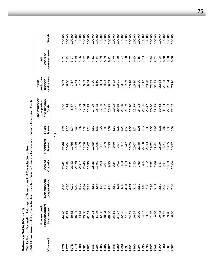Reference Table IV (cont'd)<br>Distribution of Domestic Holdings of Government of Canada Securities **Reference Table IV** *(cont'd)*

*Distribution of Domestic Holdings of Government of Canada Securities*

| $\infty$<br>PART | -Treasury Bills, Canada Bills,              | $\mathbf{C}$                         |                   |                    |                              | onds, <sup>1</sup> Canada Savings Bonds and Canada Premium Bonds |                                                               |                                           |                    |
|------------------|---------------------------------------------|--------------------------------------|-------------------|--------------------|------------------------------|------------------------------------------------------------------|---------------------------------------------------------------|-------------------------------------------|--------------------|
| Year end         | unincorporated<br>Persons and<br>businesses | Non-financial<br>corporations        | Bank of<br>Canada | Chartered<br>banks | banks <sup>2</sup><br>Quasi- | Life insurance<br>and pension<br>companies<br>funds              | institutions <sup>3</sup><br>and other<br>financial<br>Public | government <sup>4</sup><br>levels of<br>₹ | Total <sup>5</sup> |
|                  |                                             |                                      |                   |                    | $\mathcal{S}$                |                                                                  |                                                               |                                           |                    |
| 97.              | 44.40                                       | 0.98                                 | 20.41             | 21.46              | 1.77                         | 56<br>$\dot{\infty}$                                             | 5.63                                                          | $\frac{1}{8}$                             | 100.00             |
| 1977             | 42.32                                       | 0.67                                 | 21.43             | 20.04              | 2.19                         | 4.74                                                             | 6.50                                                          | 2.12                                      | 100.00             |
| 1978             | 40.55                                       | 0.72                                 | 21.42             | 17.66              | 2.74                         | 6.67                                                             | 7.17                                                          | 3.07                                      | 100.00             |
| 1979             | 36.91                                       | 0.60                                 | 21.78             | 16.19              | 2.69                         | 10.71                                                            | 6.54                                                          | 4.59                                      | 100.00             |
| 1980             | 33.44                                       | 0.77                                 | 21.87             | 13.79              | 3.82                         | 12.79                                                            | 7.67                                                          | 5.86                                      | 100.00             |
| 1981             | 39.98                                       | 0.62                                 | 20.45             | 11.96              | 2.93                         | 12.64                                                            | 6.39                                                          | 5.02                                      | 100.00             |
| 1982             | 41.69                                       | 2.23                                 | 15.20             | 11.07              | 3.24                         | 12.95                                                            | 9.04                                                          | 4.58                                      | 100.00             |
| 1983             | 39.78                                       | 4.35                                 | 13.33             | 11.95              | 4.39                         | 14.09                                                            | 7.90                                                          | 4.21                                      | 100.00             |
| 1984             | 41.06                                       | 4.58                                 | 11.61             | 10.25              | 3.30                         | 16.25                                                            | 8.10                                                          | 4.84                                      | 100.00             |
| 1985             | 42.58                                       | 4.23                                 | 8.98              | 8.71               | $3.27$<br>$3.93$             | 17.80                                                            | 8.64                                                          | 5.79                                      | 100.00             |
| 1986             | 38.34                                       | 3.38                                 | 9.91              | 59<br>$\circ$      |                              | 8.82                                                             | 9.93                                                          |                                           | 100.00             |
| 1987             | 40.40                                       | 4.14                                 | 9.75              | 7.73               | 3.09                         | 18.75                                                            | 9.43                                                          | 6.09<br>6.71                              | 100.00             |
| 1988             | 38.81                                       | 3.87                                 | 9.24              | 9.46               | 3.36                         | 19.03                                                            | 8.53                                                          | 7.70                                      | 100.00             |
| 1989             | 34.77                                       | 4.86                                 | 9.01              | 8.87               | 4.20                         | 20.48                                                            | 10.21                                                         | 7.60                                      | 100.00             |
| 1990             | 32.62                                       | 4.81                                 | 8.28              | 9.87               | 4.26                         | 21.58                                                            | 10.61                                                         | 7.97                                      | 100.00             |
| 1991             | 27.35                                       | 4.34                                 | 8.39              | 13.42              | 4.53                         | 21.69                                                            | 12.39                                                         | 7.88                                      | 100.00             |
| 1992             | 24.81                                       | 4.79                                 | 7.91              | 15.59              | 4.35                         | 21.70                                                            | 13.78                                                         | 7.07                                      | 100.00             |
| 1993             | 20.39                                       | 3.45                                 | 7.83              | 20.07              | 3.74                         | 23.29                                                            | 15.10                                                         |                                           | 100.00             |
| 1994             | 16.20                                       | 3.69                                 | 7.63              | 21.48              | 3.06                         | 24.08                                                            | 16.20                                                         | $6.13$<br>7.65                            | 100.00             |
| 1995             | 14.17                                       | 3.49                                 | 6.84              | 22.20              | 3.17                         | 15.36                                                            | 17.12                                                         | 7.63                                      | 100.00             |
| 1996             | 13.05                                       | 83<br>$\overline{\mathcal{N}}$       | 7.22              | 21.13              | 3.09                         | 25.47                                                            | 20.20                                                         | 7.01                                      | 100.00             |
| 1997             | 11.33                                       | 2.97                                 | 7.72              | 19.22              | 2.00                         | 26.96                                                            | 22.55                                                         | 7.24                                      | 100.00             |
| 1998             | 9.56                                        | 2.43                                 | 7.96              | 18.92              | 06.1                         | 28.42                                                            | 22.78                                                         | 8.03                                      | 100.00             |
| 1999             | 10.43                                       | $\tilde{\circ}$<br>$\overline{\sim}$ | 8.17              | 15.20              | 2.23                         | 30.54                                                            | 22.84                                                         | 7.98                                      | 100.00             |
| 2000             | 9.55                                        | 2.60                                 | 9.11              | 16.74              | 0.82                         | 31.24                                                            | 21.23                                                         | 8.70                                      | 100.00             |
| 2001             | 9.48                                        | 2.13                                 | 10.38             | 18.25              | 0.99                         | 27.83                                                            | 21.34                                                         | 9.58                                      | 100.00             |
| 2002             | 50<br>$\circ$                               | 2.39                                 | 11.04             | 8.77               | $\overline{5}$<br>Ö          | 27.69                                                            | 23.16                                                         | 50<br>$\sigma$                            | 100.00             |
|                  |                                             |                                      |                   |                    |                              |                                                                  |                                                               |                                           |                    |

**75**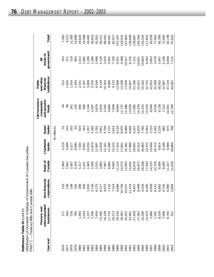| Reference Table IV (cont'd)                                        |
|--------------------------------------------------------------------|
| Distribution of Domestic Holdings of Government of Canada Securiti |
| PART C — Treasury Bills and Canada Bills                           |

| Year end                     | unincorporated<br>Persons and<br>businesses                                                                                                                                                                                                                                                         | Non-financial<br>rations<br>corpor | Bank of<br>Canada | Chartered<br>banks | banks <sup>2</sup><br>Quasi- | Life insurance<br>and pension<br>companies<br>funds | institutions <sup>3</sup><br>and other<br>financial<br>Public | government <sup>4</sup><br>levels of<br>₹ | Total <sup>5</sup> |
|------------------------------|-----------------------------------------------------------------------------------------------------------------------------------------------------------------------------------------------------------------------------------------------------------------------------------------------------|------------------------------------|-------------------|--------------------|------------------------------|-----------------------------------------------------|---------------------------------------------------------------|-------------------------------------------|--------------------|
|                              |                                                                                                                                                                                                                                                                                                     |                                    |                   |                    | $(\$$ millions)              |                                                     |                                                               |                                           |                    |
| 1976                         |                                                                                                                                                                                                                                                                                                     |                                    | 1,964             | 4,219              | 52                           |                                                     | 515                                                           | 193                                       | 7,283              |
| 1977                         | 171<br>397<br>5785                                                                                                                                                                                                                                                                                  | 36                                 | 2,461             | 4,949              | 143                          | $\frac{8}{2}$                                       | 1,020                                                         | 311                                       | 9,512              |
| 1978                         |                                                                                                                                                                                                                                                                                                     | 198                                | 3,567             | 5,517              | 193                          | 261                                                 | 1,554                                                         | 519                                       | 12,385             |
| 1979                         |                                                                                                                                                                                                                                                                                                     | 165                                | 4,345             | 6,690              | 65                           | 245                                                 | 1,550                                                         | 843                                       | 14,688             |
| 1980                         | 1,493                                                                                                                                                                                                                                                                                               | 288                                | 5,317             | 7,500              | 619                          | 460                                                 | 2,431                                                         | 1,512                                     | 19,620             |
| 1981<br>1982<br>1983         | 1,019                                                                                                                                                                                                                                                                                               | 369                                | 5,431             | 8,597              | 343                          | 560                                                 | 2,187                                                         | 1,082                                     | 19,588             |
|                              |                                                                                                                                                                                                                                                                                                     |                                    | 2,483             | 10,034             | 1,357                        | 1,244                                               | 5,008                                                         | 1,199                                     | 24,492             |
|                              |                                                                                                                                                                                                                                                                                                     |                                    | 2,595             | 12,879             | 3,180                        | 2,587                                               | 5,376                                                         | 1,286                                     | 36,815             |
| 1984                         |                                                                                                                                                                                                                                                                                                     | 1,930<br>5,146<br>6,275            | 3,515             | 12,997             | 2,792                        | 3,876                                               | 6,544                                                         | 2,498                                     | 45,951             |
| 1985                         | $\begin{array}{l} 1.237 \\ 3.766 \\ 7.454 \\ 8.349 \\ 1.723 \\ 1.7349 \\ 1.733 \\ 1.733 \\ 1.733 \\ 1.733 \\ 1.733 \\ 1.733 \\ 1.733 \\ 1.733 \\ 1.733 \\ 1.733 \\ 1.733 \\ 1.733 \\ 1.733 \\ 1.733 \\ 1.733 \\ 1.733 \\ 1.733 \\ 1.733 \\ 1.733 \\ 1.733 \\ 1.733 \\ 1.733 \\ 1.733 \\ 1.733 \\ 1$ |                                    | 3,985             | 12,629             | 3,651                        | 3,924                                               | 8,129                                                         | 4,136                                     | 56,311             |
| 1986                         |                                                                                                                                                                                                                                                                                                     |                                    | 7,967             | 15,161             | 4,709                        | 3,592                                               | 10,164                                                        | 3,416                                     | 66,042             |
| 1987<br>1988                 |                                                                                                                                                                                                                                                                                                     |                                    | 9,682             | 11,498             | 3,725                        | 4,806                                               | 9,589                                                         | 5,002                                     | 69,267             |
|                              |                                                                                                                                                                                                                                                                                                     |                                    | 9,945             | 15,224             | 5,614                        | 7,648                                               | 9,133                                                         | 7,726                                     | 82,917             |
|                              |                                                                                                                                                                                                                                                                                                     |                                    | 11,124            | 17,410             | 8,116                        | 9,664                                               | 12,908                                                        | 9,251                                     | 107,297            |
|                              |                                                                                                                                                                                                                                                                                                     |                                    | 10,574            | 17,841             | 8,976                        | 11,737                                              | 13,298                                                        | 9,388                                     | 119,031            |
| 1989<br>1990<br>1991<br>1992 |                                                                                                                                                                                                                                                                                                     |                                    | 13,093            | 24,382             | 9,089                        | 12,386                                              | 17,636                                                        | 10,417                                    | 127,863            |
|                              |                                                                                                                                                                                                                                                                                                     |                                    | 14,634            | 27,989             | 9,646                        | 13,639                                              | 19,907                                                        | 8,726                                     | 138,696            |
| 1993                         |                                                                                                                                                                                                                                                                                                     |                                    | 16,876            | 29,901             | 9,222                        | 17,085                                              | 22,336                                                        | 7,151                                     | 139,687            |
| 1994                         |                                                                                                                                                                                                                                                                                                     |                                    | 18,973            | 30,415             | 6,879                        | 14,376                                              | 22,021                                                        | 10,631                                    | 129,356            |
| 1995                         |                                                                                                                                                                                                                                                                                                     |                                    | 18,298            | 30,865             | 7,760                        | 15,315                                              | 25,183                                                        | 10,603                                    | 133,524            |
| 1996                         |                                                                                                                                                                                                                                                                                                     |                                    | 17,593            | 23,470             | 5,493                        | 13,520                                              | 32,752                                                        | 6,264                                     | 117,851            |
| 1997                         | 5,966                                                                                                                                                                                                                                                                                               |                                    | 14,233            | 19,448             | 3,133                        | 8,944                                               | 32,653                                                        | 3,803                                     | 95,038             |
| 1998                         | 1,291                                                                                                                                                                                                                                                                                               |                                    | 10,729            | 16,713             | 2,392                        | 4,529                                               | 32,508                                                        | 3,578                                     | 77,955             |
| 1999                         |                                                                                                                                                                                                                                                                                                     | $6,215$<br>$6,662$<br>$6,735$      | 8,584             | 9,814              | .234<br>ကဲ                   | 8,128                                               | 36,932                                                        | 3,497                                     | 85,390             |
| 2000                         | 8,539<br>7,568                                                                                                                                                                                                                                                                                      |                                    | 8,090             | 6,188              | 685                          | 7,222                                               | 31,087                                                        | 5,108                                     | 72,683             |
| 2001<br>2002                 | 8,744<br>551                                                                                                                                                                                                                                                                                        | 6,894<br>5,894                     | 11,427            | 9,969              | 675                          | 10,401                                              | 37,154                                                        | 6,838                                     | 92,198             |
|                              |                                                                                                                                                                                                                                                                                                     |                                    | 11,639            | 18,869             | 708                          | 12,768                                              | 40,087                                                        | 7,115                                     | 97,631             |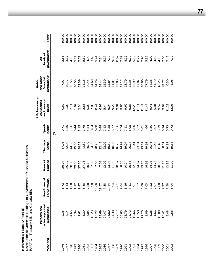Distribution of Domestic Holdings of Government of Canada Securities *Distribution of Domestic Holdings of Government of Canada Securities* PART D-Treasury Bills and Canada Bills PART D—Treasury Bills and Canada Bills Reference Table IV (cont'd) **Reference Table IV** *(cont'd)*

Total<sup>5</sup> 100.00 100.00 100.00 100.00 100.00 100.00 100.00 100.00 100.00 100.00 100.00 100.00 100.00 100.00 100.00 100.00 100.00 100.00 100.00 100.00 100.00  $00.00$ 1976 2.35 1.72 26.97 57.93 0.71 0.60 7.07 2.65 100.00  $00.00$ 1977 4.14 1.43 25.87 52.03 1.50 1.03 10.72 3.27 100.00  $00.00$ 1978 4.65 1.60 28.80 44.55 1.56 2.11 12.55 4.19 100.00  $00.00$ 1979 5.34 1.12 29.58 45.55 0.44 1.67 10.55 5.74 100.00 1980 7.61 1.47 27.10 38.23 3.15 2.34 12.39 7.71 100.00 1981 5.20 1.88 27.73 43.89 1.75 2.86 11.16 5.52 100.00 1982 5.05 7.88 10.14 40.97 5.54 5.08 20.45 4.90 100.00 1983 10.23 13.98 13.98 13.98 13.98 13.98 13.98 14.60 14.60 10.000 1984 16.22 13.66 7.65 28.28 6.08 8.44 14.24 5.44 100.00 1985 23.69 11.57 7.08 22.43 6.48 6.97 14.44 7.34 100.00 1986 24.47 7.38 12.06 22.96 7.13 5.44 15.39 5.17 100.00 1987 25.60 10.44 13.98 16.60 5.38 6.94 13.84 7.22 100.00 1988 24.38 24.38 24.38 19.34 19.36 10.77 9.32 11.01 10.11 10.11 24.38 100.00 1989 27.17 27.17 9.01 10.37 16.23 7.56 9.01 12.03 12.03 8.62 10.00 00.000 30.63 9.04 9.98 9.98 9.98 10.00 9.98 10.00 10.00 10.00 10.00 10.00 10.00 10.00 10.00 10.00 10 1991 23.79 8.16 8.16 19.07 19.07 19.07 10.24 13.79 8.16 8.19 13.79 13.79 13.79 20.00 1992 23.72 8.11 10.55 20.18 6.95 9.83 14.35 6.29 100.00 1993 19.66 6.91 12.08 21.41 6.60 12.23 15.99 5.12 100.00 1994 13.58 6.57 14.67 23.51 5.32 11.11 17.02 8.22 100.00 1995 12.20 6.89 13.70 23.12 5.81 11.47 18.86 7.94 100.00 1996 8.89 7.03 14.93 19.91 4.66 11.47 27.79 5.32 100.00 1997 6.28 6.28 6.28 14.96 14.96 14.36 14.36 14.36 14.36 14.36 14.36 14.38 14.38 14.38 14.38 14.38 14.38 14.38 1998 1.66 7.97 13.76 21.44 3.07 5.81 41.70 4.59 100.00 1999 10.00 10.00 10.00 11.80 11.49 9.7.79 9.9.00 10.00 10.00 10.00 10.00 10.00 10.00 10.00 10.00 10.00 10.00 1 2000 10.41 9.27 11.13 8.51 0.94 9.94 42.77 7.03 100.00 100.00 2001 9.48 7.58 12.39 10.81 0.73 11.28 40.30 7.42 100.00 100.00 2002 0.56 6.04 11.92 19.33 0.73 13.08 41.06 7.29 100.00where the sesses in the strong intervalsal is a sessence of the sessence of the sessence of the sessence of the corporation of  $\sim$ government<sup>4</sup> levels of **uniformation is a considerable as**  $\frac{1}{2}$  **and**  $\frac{1}{2}$  **and**  $\frac{1}{2}$  **and**  $\frac{1}{2}$  **and**  $\frac{1}{2}$  **of**  $\frac{1}{2}$  **of**  $\frac{1}{2}$  **of**  $\frac{1}{2}$  **of**  $\frac{1}{2}$  **of**  $\frac{1}{2}$  **of**  $\frac{1}{2}$  **of**  $\frac{1}{2}$  **of**  $\frac{1}{2}$  **of**  $\frac{1}{2}$  **of** 4.19 5.74  $7.71$ <br>5.52<br>4.90 3.49 5.44 7.34 5.17 7.22 9.32 8.62<br>7.89 8.15 6.29 5.12 8.22 7.94 5.32 4.00 4.59 4.10 7.03 7.42 65 3.27  $\bar{a}$ **Persons and companies and other All** institutions<sup>3</sup> and other financial Public **Life insurance Public**  $11.16$ 15.39 13.79 18.86 27.79 7.07 10.72 12.55 10.55 12.39 20.45  $14.60$ 14.24 14.44 13.84  $11.01$  $12.03$  $11.17$ 14.35 15.99 17.02 34.36 41.70 43.25 42.77 40.30 41.06 Life insurance and pension companies  $0.60$  $1.03$  $2.11$ 1.67 2.34 2.86 5.08 7.03 8.44 6.97 5.44 6.94 9.22 9.01 9.86 9.69 9.83 12.23  $11.11$  $11.47$  $11.47$ 9.41 5.81 9.52 9.94 11.28 13.08 funds Quasi-<br>banks<sup>2</sup>  $3.15$ 1.75 5.54 8.64 6.08 6.48 7.13 5.38 6.77 7.56 7.54  $7.11$ 6.95 6.60 5.32 5.81 4.66 3.30 3.79 1.50 1.56 0.44 3.07 0.94 0.73 0.73 0.71 (%) Chartered<br>banks 57.93 52.03 44.55 45.55 38.23<br>43.89 40.97 34.98 28.28  $22.43$ 22.96 16.60 18.36 16.23 19.07 20.18 23.12 19.91 20.46 21.44 11.49  $21.41$ 23.51  $8.51$  $10.81$ 19.33 Bank of<br>Canada 28.80 13.76 26.97 25.87 29.58 27.10 27.73  $10.14$ 7.05 7.65 7.08 12.06 13.98 1.99 10.37 8.88  $10.24$ 10.55 12.08  $14.67$ 13.70 14.93 14.98 10.05  $11.13$ 12.39 11.92 Non-financial corporations 1.43  $1.60$  $1.12$ 1.47 1.88 7.88 13.98 13.66 11.57 7.38 10.44 8.94 9.04  $8.16$  $8.11$ 6.57 6.89 7.03 7.22 7.97 7.80 9.27 7.58<br>6.04  $1.72$ 9.01 6.91 Persons and<br>unincorporated businesses 7.61<br>5.20<br>5.05 10.23 23.69 25.60 24.38 30.63 23.79 19.66 13.58 12.20 8.89 6.28 2.35 4.14 4.65 5.34 24.47 27.17 23.72  $1.66$ 10.00  $10.41$ 9.48  $0.56$ Year end 976 1977 1978 1979 1980 1982 1983 1984 1985 1986 1987 1988 1989 1990 1991 1992 1993 1994 1995 1996 1997 1998 1999 2000 2002 1981 2001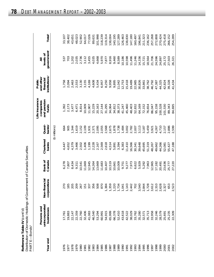| Reference Table IV (cont'd)                                      |
|------------------------------------------------------------------|
| Distribution of Domestic Holdings of Government of Canada Securi |
| PART E-Bonds                                                     |

| FARI E—DUIUS |                                             |                                                                                                                                                                                                                                                                                                     |                   |                    |                              |                                                     |                                                               |                                           |                    |
|--------------|---------------------------------------------|-----------------------------------------------------------------------------------------------------------------------------------------------------------------------------------------------------------------------------------------------------------------------------------------------------|-------------------|--------------------|------------------------------|-----------------------------------------------------|---------------------------------------------------------------|-------------------------------------------|--------------------|
| Year end     | unincorporated<br>Persons and<br>businesses | nancial<br>corporations<br>Non-fir                                                                                                                                                                                                                                                                  | Canada<br>Bank of | Chartered<br>banks | banks <sup>2</sup><br>Quasi- | Life insurance<br>and pension<br>companies<br>funds | institutions <sup>3</sup><br>and other<br>financial<br>Public | government <sup>4</sup><br>levels of<br>₹ | Total <sup>5</sup> |
|              |                                             |                                                                                                                                                                                                                                                                                                     |                   |                    | (\$ millions)                |                                                     |                                                               |                                           |                    |
| 197          | 17,761                                      |                                                                                                                                                                                                                                                                                                     | 6,278             | 4,447              | 664                          | 1,392                                               | 1,758                                                         | 537                                       | 33,107             |
| 1977         | 19,883                                      | 270<br>185                                                                                                                                                                                                                                                                                          | 7,807             | 4,652              | 905                          | 2,173                                               | 2,094                                                         | 703                                       | 38,402             |
| 1978         | 22,147                                      | 205                                                                                                                                                                                                                                                                                                 | 8,434             | 4,379              | 1,344                        | 3,477                                               | 2,463                                                         | 1,202                                     | 43,651             |
| 1979         | 22,359                                      | 209                                                                                                                                                                                                                                                                                                 | 9,311             | 3,466              | 1,619                        | 6,471                                               | 2,553                                                         | 2,035                                     | 48,023             |
| 1980         | 22,760                                      | 267                                                                                                                                                                                                                                                                                                 | 10,541            | 2,502              | 2,152                        | 8,814                                               | 3,130                                                         | 2,736                                     | 52,902             |
| 1981         | 32,406                                      | 151                                                                                                                                                                                                                                                                                                 | 11,669            | 1,406              | 2,109                        | 10,009                                              | 3,155                                                         | 3,112                                     | 64,017             |
| 1982         | 41,083                                      | 337                                                                                                                                                                                                                                                                                                 | 12,945            | 1,199              | 1,931                        | 11,907                                              | 4,169                                                         | 3,455                                     | 77,026             |
| 1983         | 46,540                                      | 356                                                                                                                                                                                                                                                                                                 | 14,264            | 2,228              | 2,371                        | 15,229                                              | 4,608                                                         | 4,035                                     | 89,631             |
| 1984         | 53,294                                      | 508                                                                                                                                                                                                                                                                                                 | 13,669            | 2,167              | 2,095                        | 20,163                                              | 5,434                                                         | 4,668                                     | 101,998            |
| 1985         | 60,991                                      | 870                                                                                                                                                                                                                                                                                                 | 11,683            | 2,569              | 2,055                        | 27,144                                              | 6,957                                                         | 5,970                                     | 118,239            |
| 1986         | 54,915                                      | 1,384                                                                                                                                                                                                                                                                                               | 10,407            | 2,618              | 2,568                        | 31,295                                              | 8,250                                                         | 7,877                                     | 119,314            |
| 1987         | 65,999                                      |                                                                                                                                                                                                                                                                                                     | 10,519            | 4,514              | 2,675                        | 34,064                                              | 9,958                                                         | 8,916                                     | 138,004            |
| 1988         | 66,378                                      |                                                                                                                                                                                                                                                                                                     | 10,661            | 5,891              | 1,878                        | 34,812                                              | 9,895                                                         | 9,460                                     | 140,195            |
| 1989         | 52,410                                      | $\begin{array}{c} 1.3559 \\ 1.220 \\ 1.734 \\ 1.041 \\ 1.43 \\ 2.442 \\ 2.43 \\ 2.442 \\ 2.442 \\ 2.442 \\ 2.442 \\ 2.442 \\ 2.442 \\ 2.442 \\ 2.442 \\ 2.442 \\ 2.442 \\ 2.442 \\ 2.442 \\ 2.442 \\ 2.442 \\ 2.442 \\ 2.442 \\ 2.442 \\ 2.442 \\ 2.442 \\ 2.442 \\ 2.442 \\ 2.442 \\ 2.442 \\ 2.4$ | 10,009            | 3,394              | 1,738                        | 38,373                                              | 11,042                                                        | 8,589                                     | 127,289            |
| 1990         | 43,618                                      |                                                                                                                                                                                                                                                                                                     | 9,751             | 6,383              | 1,484                        | 41,247                                              | 12,753                                                        | 10,186                                    | 126,463            |
| 1991         | 42,522                                      |                                                                                                                                                                                                                                                                                                     | 9,277             | 11,410             | 3,002                        | 45,460                                              | 15,418                                                        | 10,598                                    | 138,830            |
| 1992         | 38,029                                      |                                                                                                                                                                                                                                                                                                     | 7,973             | 16,566             | 2,782                        | 48,403                                              | 19,489                                                        | 11,496                                    | 147,180            |
| 1993         | 33,762                                      | 702                                                                                                                                                                                                                                                                                                 | 6,622             | 30,341             | 2,007                        | 52,832                                              | 22,985                                                        | 11,246                                    | 160,497            |
| 1994         | 35,280                                      | 540                                                                                                                                                                                                                                                                                                 | 5,929             | 39,648             | 3,113                        | 64,169                                              | 30,826                                                        | 14,336                                    | 196, 84            |
| 1995         | 32,571                                      | 3<br>2 3 4 5 7 7 8 7 8 9 8 9<br>3 7 7 8 9 0 9 8 9 7<br>3 7 7 9 9 0 9 8 7                                                                                                                                                                                                                            | 5,292             | 45,695             | 3,187                        | 72,152                                              | 33,861                                                        | 15,721                                    | 211,323            |
| 1996         | 35,713                                      |                                                                                                                                                                                                                                                                                                     | 7,963             | 51,319             | 5,459                        | 76,654                                              | 38,762                                                        | 18,564                                    | 236,162            |
| 1997         | 33,958                                      |                                                                                                                                                                                                                                                                                                     | 12,965            | 48,267             | 3,921                        | 86,047                                              | 46,792                                                        | 21,706                                    | 257,268            |
| 1998         | 32,246                                      |                                                                                                                                                                                                                                                                                                     | 17,182            | 49,662             | 4,267                        | 95,158                                              | 47,387                                                        | 24,596                                    | 272,808            |
| 1999         | 28,579                                      |                                                                                                                                                                                                                                                                                                     | 20,491            | 44,266             | 4,710                        | 100,528                                             | 44,325                                                        | 24,897                                    | 270,424            |
| 2000         | 25,691                                      |                                                                                                                                                                                                                                                                                                     | 23,636            | 52,081             | 2,157                        | 01,530                                              | 42,824                                                        | 25,172                                    | 275,418            |
| 2001         | 25,235                                      | 653                                                                                                                                                                                                                                                                                                 | 25,777            | 55,427             | 2,886                        | 89,343                                              | 39,328                                                        | 27,503                                    | 266,152            |
| 2002         | 22,309                                      | 523<br>$\sim$                                                                                                                                                                                                                                                                                       | 27,220            | 47,188             | 2,599                        | 84,695                                              | 41,434                                                        | 26,321                                    | 254,289            |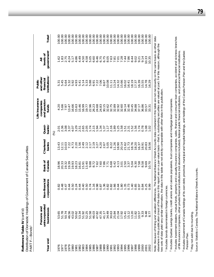Distribution of Domestic Holdings of Government of Canada Securities<br>PART F—Bonds<sup>1</sup> *Distribution of Domestic Holdings of Government of Canada Securities* Reference Table IV (cont'd) **Reference Table IV** *(cont'd)* PART F—Bonds1

| Year end | unincorporated<br>Persons and<br>businesses                                                                                                                             | Non-financial<br>corporations                       | Bank of<br>Canada          | Chartered<br>banks | $b$ anks <sup>2</sup><br>Quasi- | Life insurance<br>and pension<br>companies<br>funds | institutions <sup>3</sup><br>and other<br>financial<br>Public | government <sup>4</sup><br>levels of<br>₹ | Total <sup>5</sup>                                                  |
|----------|-------------------------------------------------------------------------------------------------------------------------------------------------------------------------|-----------------------------------------------------|----------------------------|--------------------|---------------------------------|-----------------------------------------------------|---------------------------------------------------------------|-------------------------------------------|---------------------------------------------------------------------|
|          |                                                                                                                                                                         |                                                     |                            |                    | $\mathcal{\widetilde{S}}$       |                                                     |                                                               |                                           |                                                                     |
| 5        |                                                                                                                                                                         |                                                     | $\infty$<br>$\infty$       | 3.4                |                                 | 4.20                                                |                                                               | $\sim$<br>Ģ                               | $\overline{5}$                                                      |
| 1977     | 53.65<br>51.78                                                                                                                                                          | 8347<br>0000                                        |                            | 12.11              | 01<br>013605<br>0101010         |                                                     | 5.45                                                          |                                           | 100.00                                                              |
| 1978     | 50.74                                                                                                                                                                   |                                                     | 20.33<br>19.32             | 10.03              |                                 | 5.66                                                | 5.64                                                          | 1.83                                      | 100.00                                                              |
|          | 46.56                                                                                                                                                                   | $\frac{4}{4}$<br>$\circ$                            | 19.39                      |                    |                                 | 13.47                                               | 5.32                                                          |                                           |                                                                     |
|          | 43.02                                                                                                                                                                   | 50<br>$\circ$                                       | 19.93                      | 7.22               | 4.07                            | 6.66                                                | 5.92                                                          | $4.24$<br>5.17                            | $\begin{array}{c} 100.00 \\ 100.00 \\ 100.00 \end{array}$           |
|          | 50.62                                                                                                                                                                   | 0.24                                                | 18.23                      | 2.20               |                                 | 5.63                                                | 4.93                                                          | 4.86                                      |                                                                     |
|          | 53.34                                                                                                                                                                   | 0.44                                                | 16.81                      | 1.56               | 2.51                            | 5.46                                                |                                                               |                                           | 100.00                                                              |
|          | 51.92                                                                                                                                                                   | 0.40                                                | 15.91                      | 2.49               | 2.65                            | 16.99                                               |                                                               | $4.50$<br>$4.50$                          | 100.00                                                              |
|          | 52.25                                                                                                                                                                   | 0.50                                                | 13.40                      |                    | 2.05                            | 19.77                                               | $17708$<br>$4798$<br>$4798$                                   | $40000$<br>$40000$<br>$4000$              | 100.00                                                              |
|          | 51.58<br>46.03<br>47.35<br>47.35                                                                                                                                        | $\begin{array}{c} 0.74 \\ 1.68 \\ 0.76 \end{array}$ | 9.32<br>8.72<br>7.62       |                    | 1.74                            |                                                     |                                                               |                                           | 100.00                                                              |
|          |                                                                                                                                                                         |                                                     |                            |                    | 2.15                            | 2238315<br>2238315<br>224323                        | 6.91                                                          |                                           | $\begin{array}{c} 100.00 \\ 100.00 \\ 100.00 \\ 100.00 \end{array}$ |
|          |                                                                                                                                                                         |                                                     |                            |                    | 1.94                            |                                                     | 7.22                                                          |                                           |                                                                     |
|          |                                                                                                                                                                         |                                                     | 7.60<br>$\Gamma$           |                    | 1.34                            |                                                     |                                                               |                                           |                                                                     |
|          | 41.17                                                                                                                                                                   | $0.000000000000000000$                              | 7.86                       |                    | 1.37                            |                                                     | 8.67                                                          | 675<br>00575<br>0087                      |                                                                     |
|          | 34.49                                                                                                                                                                   |                                                     | 7.71                       |                    | 1.17                            | 32.62                                               | 10.08                                                         |                                           | 100.00                                                              |
|          | 30.63                                                                                                                                                                   |                                                     | 6.68                       |                    | 2.16                            |                                                     | 11.11                                                         |                                           | 100.00                                                              |
|          | 25.84                                                                                                                                                                   |                                                     | 5.42                       | 1.26               | 1.89                            | 32.89                                               | 13.24                                                         | 7.81                                      | 100.00                                                              |
|          |                                                                                                                                                                         |                                                     | $4.73$<br>$7.50$<br>$2.50$ | 18.90              |                                 |                                                     | 14.32                                                         | 7.01                                      |                                                                     |
|          |                                                                                                                                                                         |                                                     |                            | 20.14              |                                 |                                                     | 5.66                                                          | 7.28                                      |                                                                     |
|          | $17.92$<br>$15.41$<br>$15.12$                                                                                                                                           |                                                     |                            | 21.62              | $1.58$<br>$1.51$<br>$1.51$      | 32.92<br>32.60<br>34.14                             | 16.02                                                         | 7.86                                      |                                                                     |
|          |                                                                                                                                                                         | $0.73$<br>$1.40$                                    | $3.37$<br>$5.04$           | 21.73              | 2.31                            | 32.46                                               | 6.41                                                          |                                           |                                                                     |
|          | 13.20                                                                                                                                                                   |                                                     |                            | 18.76              | 1.52                            | 33.45                                               | 8.19                                                          | 8.44                                      |                                                                     |
|          | 1.82                                                                                                                                                                    | 0.85                                                | 6.30                       | 18.20              | 1.56                            | 34.88                                               | 17.37                                                         | 9.02                                      |                                                                     |
|          | 10.57                                                                                                                                                                   | 0.97                                                | 7.58                       | 16.37              | 1.74                            | 37.17                                               | 6.39                                                          | 9.21                                      | 100.00                                                              |
|          | 9.33                                                                                                                                                                    | 0.84                                                | 8.58                       | 18.91              | 0.78                            | 36.86                                               | 5.55                                                          | 9.14                                      | 8<br>100.                                                           |
|          | 9.18<br>8.77                                                                                                                                                            | 25<br>$\circ$                                       | 9.69                       | 20.83              | 1.08                            | 57<br>33.<br>33.                                    | 4.78                                                          | 0.35<br>0.35                              | 100.00                                                              |
|          |                                                                                                                                                                         | δó<br>$\circ$                                       | 0.70                       | -56<br>$\infty$    | S                               | $\overline{3}$                                      | 29<br>Ó                                                       |                                           | 8<br>$\overline{O}$                                                 |
|          | Note: Because of timing and valuation differences, The National Balance Sheet Accounts data contained in this table are not necessarily on the same basis as other data |                                                     |                            |                    |                                 |                                                     |                                                               |                                           |                                                                     |

elsewhere in this publication (most of the data in this report are on a par-value basis—that is, outstanding securities are valued at par). For this reason, although the<br>two sets of data yield very similar information, the elsewhere in this publication (most of the data in this report are on a par-value basis—that is, outstanding securities are valued at par). For this reason, although the two sets of data yield very similar information, the data in this table are not strictly comparable with other data in this publication.

1 Includes bonds denominated in foreign currencies Includes bonds denominated in foreign currencies. <sup>2</sup> Includes Quebec savings banks, credit unions and caisses populaires, trust companies and mortgage loan companies. Includes Quebec savings banks, credit unions and caisses populaires, trust companies and mortgage loan companies.

<sup>3</sup> Includes investment dealers, mutual funds, property and casualty insurance companies, sales, finance and consumer loan companies, accident and sickness branches<br>of life insurance companies, other private financial inst Includes investment dealers, mutual funds, property and casualty insurance companies, sales, finance and consumer loan companies, accident and sickness branches of life insurance companies, other private financial institutions (not elsewhere included), federal public financial institutions, and provincial financial institutions.

<sup>4</sup> Includes Government of Canada holdings of its own debt, provincial, municipal and hospital holdings, and holdings of the Canada Pension Plan and the Quebec Includes Government of Canada holdings of its own debt, provincial, municipal and hospital holdings, and holdings of the Canada Pension Plan and the Quebec Pension Plan. Pension Plan.

<sup>5</sup> May not add due to rounding. May not add due to rounding. Source: Statistics Canada, The National Balance Sheet Accounts. Source: Statistics Canada, *The National Balance Sheet Accounts*.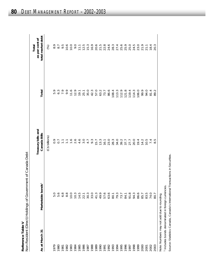|                   | (Direct) Holdings of Government of Canada Debt |
|-------------------|------------------------------------------------|
|                   |                                                |
|                   |                                                |
| Reference Table V | lon Docional<br>ı                              |

| As at March 31                            | 0 <sup>1</sup><br>Marketable b | Treasury bills and<br>Canada Bills       | Total                                                          | total market debt<br>as per cent of<br>Total |
|-------------------------------------------|--------------------------------|------------------------------------------|----------------------------------------------------------------|----------------------------------------------|
|                                           |                                | (C\$ billions)                           |                                                                | (%)                                          |
| 1979                                      | 5.0                            |                                          | 5.9                                                            | 8.9                                          |
| 1980                                      |                                |                                          |                                                                |                                              |
| 1981<br>1982                              | 5.8<br>6.8                     |                                          | $6.\overline{3}$<br>7.9                                        | $9.\overline{5}$                             |
|                                           | 8.8                            |                                          | 9.9                                                            | 10.6                                         |
| 1983<br>1984                              | 10.0                           |                                          |                                                                | 10.0                                         |
|                                           | 10.3                           | 0 0 1 1 1 2 3 4 9 0<br>0 0 1 1 1 2 4 9 0 | $11.6$<br>$12.9$                                               | 0.6                                          |
| 1985                                      | 14.5                           |                                          |                                                                | 111                                          |
| 1986<br>1987<br>1989<br>1989              | 22.1                           |                                          | $19.1$<br>$25.1$<br>$35.0$                                     | 12.5                                         |
|                                           | 30.3                           | 4.7                                      |                                                                | $15.3$<br>$16.9$                             |
|                                           | 33.0                           | 9.3<br>15.7                              | 42.3                                                           |                                              |
|                                           | 41.3                           |                                          | 57.0                                                           | 20.6                                         |
|                                           | 49.9                           | 13.3                                     | 63.2                                                           | 21.5                                         |
|                                           | 57.6                           | 16.1                                     | 73.7                                                           |                                              |
|                                           |                                |                                          | 86.6                                                           |                                              |
|                                           |                                |                                          |                                                                |                                              |
|                                           |                                |                                          |                                                                |                                              |
|                                           | 63.6<br>80.1<br>73.7           |                                          | $\begin{array}{c} 108.4 \\ 113.3 \\ 12.9 \\ 121.8 \end{array}$ |                                              |
|                                           | 84.1                           |                                          |                                                                |                                              |
|                                           | 91.3                           |                                          | 119.4                                                          |                                              |
|                                           |                                |                                          | 114.3                                                          |                                              |
|                                           | 86.6                           |                                          | 106.0                                                          |                                              |
|                                           | 85.7                           |                                          | 99.9                                                           | 21.9                                         |
|                                           | 83.5                           |                                          | 94.0                                                           | 21.1                                         |
|                                           | 74.0                           | 7.4                                      | 81.4                                                           | 18.4                                         |
| 2000<br>2001<br>2003<br>2003              | 80.7                           | 8.5                                      | 89.2                                                           | 20.3                                         |
| Note: Numbers may not add duo to rounding |                                |                                          |                                                                |                                              |

<sup>1</sup> Includes bonds denominated in foreign currencies. Includes bonds denominated in foreign currencies. Note: Numbers may net add to te in Note: Numbers may not add due to rounding.

Source: Statistics Canada, Canada's International Transactions in Securities. Source: Statistics Canada, *Canada's International Transactions in Securities.*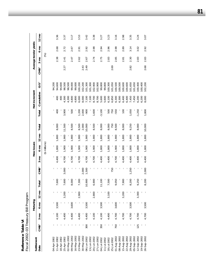| Fiscal 2002-03 Treasury Bill Program |                          |                |                |                 |        |                  |              |                |                 |        |          |               |                 |                  |                |                       |                 |
|--------------------------------------|--------------------------|----------------|----------------|-----------------|--------|------------------|--------------|----------------|-----------------|--------|----------|---------------|-----------------|------------------|----------------|-----------------------|-----------------|
| Settlement                           |                          |                | Maturing       |                 |        |                  |              | New issues     |                 |        |          | Net increment |                 |                  |                | Average tender yields |                 |
| Date                                 | CMB <sup>1</sup>         | $3 \text{ mo}$ | $6 \text{ mo}$ | $12 \text{ mo}$ | Total  | CMB <sup>1</sup> | ρm<br>$\sim$ | $6 \text{ mo}$ | $12 \text{ mo}$ | Total  | Total    | Cumulative    | OS <sup>2</sup> | CMB <sup>1</sup> | $3 \text{ mo}$ | $6 \text{ mo}$        | $12 \text{ mo}$ |
|                                      |                          |                |                |                 |        |                  |              | (\$ millions)  |                 |        |          |               |                 |                  | (%)            |                       |                 |
| 04-Apr-2002                          |                          |                |                |                 |        |                  |              |                |                 |        |          |               | 94,200          |                  |                |                       |                 |
| 11-Apr-2002                          |                          | 4,100          | 3,500          |                 | 7,600  |                  | 4,400        | 1,800          | 1,800           | 8,000  | 400      | 400           | 94,600          |                  | 2.38           | 2.68                  | 3.36            |
| 18-Apr-2002                          |                          |                |                |                 |        |                  |              |                |                 |        |          | 400           | 94,600          |                  |                |                       |                 |
| 25-Apr-2002                          |                          | 4,400          |                | 3,200           | 7,600  | 3,000            | 4,700        | 1,900          | 0061            | 11,500 | 3,900    | <b>300</b>    | 98,500          | 2.27             | 2.41           | 2.72                  | 3.37            |
| 02-May-2002                          |                          |                |                |                 |        |                  |              |                |                 |        |          | 4,300         | 98,500          |                  |                |                       |                 |
| 09-May-2002                          |                          | 4,400          | 3,600          |                 | 8,000  |                  | 4,700        | 1,900          | 0061            | 8,500  | 500      | 4,800         | 99,000          |                  | 2.47           | 2.67                  | 3.17            |
| 16-May-2002                          |                          |                |                |                 |        |                  |              |                |                 |        |          | 4,800         | 99,000          |                  |                |                       |                 |
| 23-May-2002                          | $\overline{1}$           | 4,400          |                | 2,900           | 7,300  |                  | 4,700        | 1,900          | 1,900           | 8,500  | 1,200    | 6,000         | 00,200          |                  | 2.62           | 2.91                  | 3.53            |
| 30-May-2002                          |                          |                |                |                 |        | 2,000            |              |                |                 | 2,000  | 2,000    | 8,000         | 102,200         | 2.43             |                |                       |                 |
| 06-Jun-2002                          | 300                      | 4,400          | 3,500          |                 | 10,900 | 1,500            | 4,700        | 1,900          | 1,900           | 10,000 | 006-     | 7,100         | 01,300          | 2.49             | 2.67           | 2.92                  | 3.42            |
| 13-Jun-2002                          |                          |                |                |                 |        |                  |              |                |                 |        |          | 7,100         | 01,300          |                  |                |                       |                 |
| 20-Jun-2002                          |                          | 4,100          |                | 2,800           | 6,900  |                  | 4,700        | 1,900          | 1,900           | 8,500  | 1,600    | 8,700         | 102,900         |                  | 2.74           | 2.98                  | 3.38            |
| 27-Jun-2002                          | $\overline{\phantom{a}}$ |                |                |                 |        |                  |              |                |                 |        |          | 8,700         | 102,900         |                  |                |                       |                 |
| 04-Jul-2002                          | 350                      | 4,100          | 3,500          |                 | 11,100 |                  | 4,400        | 1,800          | 1,800           | 8,000  | $-3,100$ | 5,600         | 99,800          |                  | 2.75           | 2.94                  | 3.27            |
| 11-Jul-2002                          | $\overline{1}$           |                |                |                 |        |                  |              |                |                 |        |          | 5,600         | 99,800          |                  |                |                       |                 |
| 18-Jul-2002                          | $\overline{1}$           | 4,400          |                | 3,100           | 7,500  |                  | 4,400        | 1,800          | 1,800           | 8,000  | 500      | 6,100         | 00,300          |                  | 2.83           | 2.96                  | 3.23            |
| 25-Jul-2002                          |                          |                |                |                 |        | 750              |              |                |                 | 750    | 750      | 6,850         | 101,050         | 2.69             |                |                       |                 |
| 01-Aug-2002                          | 750                      | 4,700          | 3,600          |                 | 9,050  |                  | 4,700        | 1,900          | 1,900           | 8,500  | -550     | 6,300         | 00,500          |                  | 2.85           | 2.98                  | 3.16            |
| 08-Aug-2002                          |                          |                |                |                 |        |                  |              |                |                 |        |          | 6,300         | 00,500          |                  |                |                       |                 |
| 15-Aug-2002                          |                          | 4,700          |                | 3,200           | 7,900  |                  | 4,400        | 1,800          | 1,800           | 8,000  | 100      | 6,400         | 00,600          |                  | 2.81           | 2.89                  | 2.98            |
| 22-Aug-2002                          |                          |                |                |                 |        |                  |              |                |                 |        |          | 6,400         | 00,600          |                  |                |                       |                 |
| 29-Aug-2002                          |                          | 4,700          | 3,500          |                 | 8,200  | 1,250            | 4,400        | 1,800          | 1,800           | 9,250  | 1,050    | 7,450         | 01,650          | 2.82             | 2.30           | 3.14                  | 3.35            |
| 05-Sep-2002                          |                          |                |                |                 |        |                  |              |                |                 |        |          | 7,450         | 01,650          |                  |                |                       |                 |
| 12-Sep-2002                          | 125                      | 4,700          |                | 3,300           | 9,250  | I                | 4,400        | 1,800          | 1,800           | 8,000  | $-1,250$ | 6,200         | 00,400          |                  | 2.83           | 3.02                  | 3.24            |
| 19-Sep-2002                          |                          |                |                |                 |        |                  |              |                |                 |        |          | 6,200         | 00,400          |                  |                |                       |                 |
| 26-Sep-2002                          |                          | 4,700          | 3,500          |                 | 8,200  | 2,000            | 4,400        | 1,800          | 1,800           | 10,000 | 1,800    | 8,000         | 102,200         | 2.68             | 2.83           | 2.92                  | 3.07            |

Reference Table VI **Reference Table VI**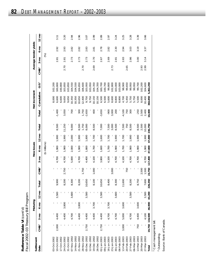Reference Table VI (cont'd)<br>Fiscal 2002-03 Treasury Bill Program *Fiscal 2002–03 Treasury Bill Program* **Reference Table VI** *(cont'd)*

| Settlement  |                  |                 | Maturing       |                 |         |                  |               | New issues                      |                 |           |          | Net increment |                 |                  |               | Average tender yields |                 |
|-------------|------------------|-----------------|----------------|-----------------|---------|------------------|---------------|---------------------------------|-----------------|-----------|----------|---------------|-----------------|------------------|---------------|-----------------------|-----------------|
| Date        | CMB <sup>1</sup> | 3 <sub>mo</sub> | $6 \text{ mo}$ | $12 \text{ mo}$ | Total   | CMB <sup>1</sup> | œ<br>$\infty$ | $6 \text{ m}$                   | $12 \text{ mo}$ | Total     | Total    | Cumulative    | OS <sup>2</sup> | CMB <sup>1</sup> | $3 \text{mo}$ | $6 \text{ mo}$        | $12 \text{ mo}$ |
|             |                  |                 |                |                 |         |                  |               | millions)<br>$\bar{\mathbf{e}}$ |                 |           |          |               |                 |                  | (%)           |                       |                 |
| 03-Oct-2002 |                  |                 |                |                 |         |                  |               |                                 |                 |           |          | 8,000         | 02,200          |                  |               |                       |                 |
| 0-Oct-2002  | 2,000            | 4,400           |                | 3,500           | 9,900   |                  | 4,700         | 1,900                           | 0061            | 500<br>ထဲ | $-1,400$ | 6,600         | 00,800          |                  | 2.81          | 2.92                  | 3.11            |
| 7-Oct-2002  |                  |                 |                |                 |         |                  |               |                                 |                 |           |          | 6,600         | 00,800          |                  |               |                       |                 |
| 24-Oct-2002 |                  | 4,400           | 3,800          |                 | 8,200   | 2,750            | 4,700         | 1,900                           | 1,900           | 11,250    | 3,050    | 9,650         | 03,850          | 2.70             | 5<br>$\sim$   | 2.93                  | 3.20            |
| 31-Oct-2002 |                  |                 |                |                 |         |                  |               |                                 |                 |           |          | 9,650         | 03,850          |                  |               |                       |                 |
| 07-Nov-2002 |                  | 4,700           |                | 3,600           | 8,300   |                  | 5,000         | 2,000                           | 2,000           | 9,000     | 700      | 10,350        | 04,550          |                  | 2.73          | 2.82                  | 2.94            |
| 4-Nov-2002  |                  |                 |                |                 |         |                  |               |                                 |                 |           |          | 10,350        | 04,550          |                  |               |                       |                 |
| 21-Nov-2002 |                  | 4,400           | 3,800          |                 | 8,200   |                  | 4,700         | 1,900                           | 0061            | 8,500     | 300      | 10,650        | 04,850          |                  | 2.73          | 2.82                  | 2.96            |
| 8-Nov-2002  |                  |                 |                |                 |         | 1,750            |               |                                 |                 | 1,750     | 1,750    | 12,400        | 06,600          | 2.70             |               |                       |                 |
| 05-Dec-2002 | 2,750            | 4,400           |                | 3,500           | 10,650  |                  | 4,400         | 1,800                           | ,800            | 8,000     | $-2,650$ | 9,750         | 03,950          |                  | 2.73          | 2.83                  | 3.07            |
| 2-Dec-2002  |                  |                 |                |                 |         |                  |               |                                 |                 |           |          | 9,750         | 03,950          |                  |               |                       |                 |
| 9-Dec-2002  |                  | 4,400           | 3,700          |                 | 8,100   | 1,000            | 4,100         | 1,700                           | 1,700           | 8,500     | 400      | 10,150        | 04,350          | 2.69             | 2.70          | 2.81                  | 2.99            |
| 26-Dec-2002 |                  |                 |                |                 |         |                  |               |                                 |                 |           |          | 10,150        | 04,350          |                  |               |                       |                 |
| 02-Jan-2003 | 2,750            | 4,400           |                | 3,500           | 10,650  |                  | 3,800         | 1,600                           | 1,600           | 7,000     | $-3,650$ | 6,500         | 00,700          |                  | 2.67          | 2.78                  | 2.89            |
| 09-Jan-2003 |                  |                 |                |                 |         |                  |               |                                 |                 |           |          | 6,500         | 00,700          |                  |               |                       |                 |
| 6-Jan-2003  |                  | 4,700           | 3,700          |                 | 8,400   |                  | 4,100         | 1,700                           | 1,700           | 7,500     | 006-     | 5,600         | 99,800          |                  | 2.69          | 2.82                  | 2.97            |
| 13-Jan-2003 |                  |                 |                |                 |         | 3,000            |               |                                 |                 | 3,000     | 3,000    | 8,600         | 02,800          | 2.73             |               |                       |                 |
| 30-Jan-2003 |                  | 4,700           |                | 3,600           | 8,300   |                  | 4,700         | 1,900                           | 006'            | 8,500     | 200      | 8,800         | 03,000          |                  | 2.81          | 2.30                  | 3.24            |
| 06-Feb-2003 |                  |                 |                |                 |         |                  |               |                                 |                 |           |          | 8,800         | 03,000          |                  |               |                       |                 |
| 3-Feb-2003  | 3,000            | 5,000           | 3,600          |                 | 11,600  |                  | 4,100         | 1,700                           | 1,700           | 7,500     | $-4,100$ | 4,700         | 98,900          |                  | 2.83          | 2.94                  | 3.25            |
| 20-Feb-2003 |                  |                 |                |                 |         | 750              |               |                                 |                 | 750       | 750      | 5,450         | 99,650          | 2.65             |               |                       |                 |
| 27-Feb-2003 |                  | 4,700           |                | 3,500           | 8,200   |                  | 4,700         | 1,900                           | 1,900           | 500<br>ထဲ | 300      | 5,750         | 99,950          |                  | 2.86          | 3.03                  | 3.28            |
| 06-Mar-2003 |                  |                 |                |                 |         |                  |               |                                 |                 |           |          | 5,750         | 99,950          |                  |               |                       |                 |
| 3-Mar-2003  | 750              | 4,400           | 3,600          |                 | 8,750   |                  | 4,700         | 1,900                           | 1,900           | 8,500     | $-250$   | 5,500         | 99,700          |                  | 3.00          | 3.19                  | 3.39            |
| 20-Mar-2003 |                  |                 |                |                 |         | 2,500            |               |                                 |                 | 2,500     | 2,500    | 8,000         | 02,200          | 2.93             |               |                       |                 |
| 27-Mar-2003 |                  | 4,100           |                | 3,500           | 7,600   | 1,500            | 4,700         | 1,900                           | 1,900           | 10,000    | 2,400    | 10,400        | 104,600         | 2.99             | 3.14          | 3.37                  | 3.66            |
| Total       |                  | 19,750 116,500  | 46,900         | 43,200          | 226,350 | 23,750           | 117,400       | 47,800                          | 47,800          | 236,750   | 10,400   | 363,850       | 5,262,250       |                  |               |                       |                 |

<sup>&</sup>lt;sup>1</sup> Cash management bill. Cash management bill.

Outstanding.

<sup>2</sup> Outstanding.<br>Source: Bank of Canada. Source: Bank of Canada.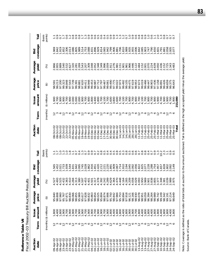Reference Table VII<br>Fiscal 2002-03 Treasury Bill Auction Results *Fiscal 2002–03 Treasury Bill Auction Results* **Reference Table VII**

| Auction<br>date                          | erm<br>۴                 | amount<br>Issue                         | Average<br>price           | Average<br>yield                 | coverage<br>Bid                                                                                                                                                                                                                                                                                     | Tail                                                                      | Auction<br>date                                                              | Term                     | amount<br>Issue                  | Average<br>price                                                    | Average<br>yield                                                                                                          | coverage<br>Бid                                     | Tail                                                    |
|------------------------------------------|--------------------------|-----------------------------------------|----------------------------|----------------------------------|-----------------------------------------------------------------------------------------------------------------------------------------------------------------------------------------------------------------------------------------------------------------------------------------------------|---------------------------------------------------------------------------|------------------------------------------------------------------------------|--------------------------|----------------------------------|---------------------------------------------------------------------|---------------------------------------------------------------------------------------------------------------------------|-----------------------------------------------------|---------------------------------------------------------|
|                                          |                          | (months) (\$ millions)                  | €                          | $\mathcal{S}$                    |                                                                                                                                                                                                                                                                                                     | points)<br>(basis                                                         |                                                                              | (months)                 | (\$ millions)                    | ⊕                                                                   | (%)                                                                                                                       |                                                     | points)<br>(basis                                       |
| 09-Apr-02<br>09-Apr-02                   |                          | ,800                                    |                            |                                  | 565<br>1452<br>1021                                                                                                                                                                                                                                                                                 |                                                                           | 08-Oct-02<br>08-Oct-02                                                       |                          | 006/-                            | 98.591<br>99.213                                                    | るとなどでなどではないことではないようですです!!?とうとうとうとうとうとうとうとうとうとうとうとうとうとうとうのからのというからもないのとものとものはよいなはらのとうと思うと思うのはないのはないと思 のような こうきゅうこう しょうこうこう | σ<br>96                                             |                                                         |
|                                          |                          | ,400<br>$\overline{ }$                  |                            |                                  |                                                                                                                                                                                                                                                                                                     |                                                                           |                                                                              |                          | $\tau$                           |                                                                     |                                                                                                                           | 1.842                                               | نر نر ن                                                 |
|                                          |                          | 800                                     |                            |                                  | $\sim$                                                                                                                                                                                                                                                                                              | ن<br>ن                                                                    | 08-Oct-02                                                                    |                          | 1,900                            | 97.200                                                              |                                                                                                                           |                                                     |                                                         |
| 09-Apr-02<br>23-Apr-02<br>23-Apr-02      | $\overline{\phantom{m}}$ | 1,900<br>4,700                          |                            |                                  | 1.733                                                                                                                                                                                                                                                                                               | ○                                                                         |                                                                              |                          | 1,900<br>4,700<br>$\overline{4}$ | .323<br>98.848<br>99.                                               |                                                                                                                           | 2.306<br>1.852                                      |                                                         |
|                                          |                          |                                         |                            |                                  |                                                                                                                                                                                                                                                                                                     | œ                                                                         |                                                                              |                          |                                  |                                                                     |                                                                                                                           |                                                     |                                                         |
|                                          | $\overline{ }$           |                                         |                            |                                  | 1.939<br>1.544<br>1.831                                                                                                                                                                                                                                                                             |                                                                           | 22-Oct-02<br>22-Oct-02<br>22-Oct-02<br>05-Nov-02                             | onmonmonm                | 1,900<br>2,000<br>5,000          | 97.543<br>97.739                                                    |                                                                                                                           | 2.013                                               | $\overline{\phantom{0}}$                                |
|                                          |                          |                                         |                            |                                  |                                                                                                                                                                                                                                                                                                     |                                                                           |                                                                              |                          |                                  |                                                                     |                                                                                                                           | 1.805                                               |                                                         |
|                                          |                          |                                         |                            |                                  | $7.045$<br>$2.045$<br>$2.045$<br>$2.045$<br>$2.045$<br>$2.042$                                                                                                                                                                                                                                      |                                                                           | 05-Nov-02<br>05-Nov-02                                                       |                          |                                  | 99.391<br>98.881<br>98.411<br>99.448<br>99.48                       |                                                                                                                           | 1.989                                               |                                                         |
|                                          | $\overline{ }$           |                                         |                            |                                  |                                                                                                                                                                                                                                                                                                     |                                                                           | 19-Nov-02<br>19-Nov-02<br>19-Nov-02                                          |                          |                                  |                                                                     |                                                                                                                           | 1.514<br>1.753<br>2.088                             |                                                         |
|                                          |                          |                                         |                            |                                  |                                                                                                                                                                                                                                                                                                     |                                                                           |                                                                              |                          |                                  |                                                                     |                                                                                                                           |                                                     |                                                         |
|                                          |                          |                                         |                            |                                  |                                                                                                                                                                                                                                                                                                     |                                                                           |                                                                              | ◡                        |                                  |                                                                     |                                                                                                                           |                                                     | $000 - 000$                                             |
| 04-Jun-02<br>04-Jun-02                   | $\overline{\phantom{m}}$ |                                         |                            |                                  | 1.916<br>$\div$                                                                                                                                                                                                                                                                                     |                                                                           |                                                                              | $\sim$ $\infty$          |                                  |                                                                     |                                                                                                                           | 1.896<br>1.831                                      |                                                         |
|                                          |                          |                                         |                            |                                  | $851$<br>$820$<br>$712$                                                                                                                                                                                                                                                                             |                                                                           | 03-Dec-02<br>03-Dec-02<br>03-Dec-02<br>03-Dec-02<br>17-Dec-02                |                          |                                  | 99.453<br>98.987<br>97.712<br>97.797                                |                                                                                                                           |                                                     | odwoodrwoodro                                           |
| 04-Jun-02<br>18 lun 02<br>$8 - Jun - 02$ | $\overline{ }$           |                                         |                            |                                  | $\overline{N}$                                                                                                                                                                                                                                                                                      |                                                                           |                                                                              |                          |                                  |                                                                     |                                                                                                                           |                                                     | $\circ$                                                 |
|                                          |                          |                                         |                            |                                  |                                                                                                                                                                                                                                                                                                     |                                                                           |                                                                              | onmonm                   |                                  |                                                                     |                                                                                                                           | 1.929<br>1.814<br>2.065                             |                                                         |
|                                          |                          |                                         |                            | 4.242<br>4.289<br>4.364<br>4.364 | 221<br>$\overline{N} \overline{N}$ $\overline{N}$                                                                                                                                                                                                                                                   |                                                                           |                                                                              |                          |                                  | 99.467<br>99.061<br>190.99<br>175                                   |                                                                                                                           | 1.942                                               | $\circ$                                                 |
|                                          | $\overline{\phantom{0}}$ |                                         |                            |                                  | 891                                                                                                                                                                                                                                                                                                 |                                                                           | 30-Dec-02                                                                    | $\overline{\phantom{0}}$ |                                  |                                                                     |                                                                                                                           | 1.906                                               | $\circ$                                                 |
|                                          |                          | $\rightarrow$ $\rightarrow$             |                            |                                  | 1.909                                                                                                                                                                                                                                                                                               |                                                                           | 30-Dec-02                                                                    |                          |                                  |                                                                     |                                                                                                                           |                                                     | $\circ$                                                 |
|                                          |                          |                                         |                            | 4.470                            | 067<br>$\sim$                                                                                                                                                                                                                                                                                       |                                                                           | 30-Dec-02                                                                    | $\circ$                  | ,600                             | 99.022                                                              |                                                                                                                           | 1.881                                               |                                                         |
|                                          | $\overline{\phantom{0}}$ | $\overline{a}$                          |                            |                                  | 1.910<br>1.714                                                                                                                                                                                                                                                                                      | 00-000000000000000000000<br> -<br>  1 3 3 4 4 5 6 7 6 7 6 7 6 7 6 7 7 8 7 | $14 - Jan - O3$<br>$14 - Jan - 03$                                           |                          | 1,700<br>4,100<br>1,700          | 97.973<br>09.4755<br>09.475569<br>09.675699.019<br>09.019<br>09.019 |                                                                                                                           | 706<br>1.810                                        | 4 rù o o vi vi vi ri 0 o o o o o o o o - 0 vi o i ri ri |
|                                          |                          |                                         |                            |                                  |                                                                                                                                                                                                                                                                                                     |                                                                           | 4-Jan-03<br>$\overline{\phantom{0}}$                                         |                          |                                  |                                                                     |                                                                                                                           |                                                     | $\circ$                                                 |
|                                          | $\overline{ }$           |                                         |                            |                                  | $\begin{array}{l} 2.194 \\ 2.045 \\ 0.000 \\ 0.000 \\ 0.000 \\ 0.000 \\ 0.001 \\ 0.001 \\ 0.001 \\ 0.001 \\ 0.001 \\ 0.001 \\ 0.001 \\ 0.001 \\ 0.001 \\ 0.001 \\ 0.001 \\ 0.001 \\ 0.001 \\ 0.001 \\ 0.001 \\ 0.001 \\ 0.001 \\ 0.001 \\ 0.001 \\ 0.001 \\ 0.001 \\ 0.001 \\ 0.001 \\ 0.001 \\ 0.$ |                                                                           | $8-Jan-03$<br>$\sim$                                                         |                          | 006                              |                                                                     |                                                                                                                           | 1.989<br>1.935<br>1.955<br>2.006                    |                                                         |
|                                          |                          |                                         |                            |                                  |                                                                                                                                                                                                                                                                                                     |                                                                           | 28-Jan-03<br>28-Jan-03<br>11-Feb-03<br>11-Feb-03                             |                          | ,700<br>4                        |                                                                     |                                                                                                                           |                                                     |                                                         |
|                                          |                          |                                         |                            |                                  |                                                                                                                                                                                                                                                                                                     |                                                                           |                                                                              |                          | 1,900<br>1,700                   |                                                                     |                                                                                                                           |                                                     |                                                         |
|                                          | $\overline{ }$           |                                         |                            |                                  |                                                                                                                                                                                                                                                                                                     |                                                                           |                                                                              | $\overline{\phantom{0}}$ |                                  |                                                                     | $47240$<br>$4781$<br>$4740$<br>$4740$                                                                                     | 1.842                                               | $\circ \circ \circ \circ \circ$                         |
|                                          |                          |                                         |                            |                                  |                                                                                                                                                                                                                                                                                                     |                                                                           |                                                                              |                          | 1000<br>4                        |                                                                     |                                                                                                                           |                                                     |                                                         |
|                                          |                          |                                         |                            |                                  | <b>NNN</b>                                                                                                                                                                                                                                                                                          |                                                                           | $11 - Feb - 03$                                                              |                          |                                  | 99.466                                                              |                                                                                                                           | 1.903                                               |                                                         |
|                                          | $\overline{ }$           |                                         |                            |                                  | 2288                                                                                                                                                                                                                                                                                                | 47<br>$\circ$                                                             | $5 - Feb - 03$                                                               |                          | 006                              | 99.447<br>98.903                                                    |                                                                                                                           |                                                     | $\overline{\phantom{0}}$                                |
|                                          |                          |                                         |                            |                                  |                                                                                                                                                                                                                                                                                                     | $\circ$                                                                   | $5 - Feb - 03$<br>$5 - Feb - 03$<br>$\overline{N} \overline{N} \overline{N}$ |                          | 4                                |                                                                     |                                                                                                                           | 1.747<br>1.790<br>1.650                             |                                                         |
| $10 - \text{Sep} - 02$                   | $\overline{ }$           | 800<br>$\overline{ }$<br>$\overline{ }$ |                            |                                  | 1.754<br>1.957                                                                                                                                                                                                                                                                                      | $\circ$<br>$\frac{3}{2}$<br>$\circ$                                       | $1-Mar-03$                                                                   |                          | 900<br>006                       | 97.436<br>97.158                                                    |                                                                                                                           | 1.601                                               |                                                         |
|                                          |                          | $\overline{ }$                          |                            |                                  |                                                                                                                                                                                                                                                                                                     |                                                                           | $1 - \text{Mar} - 03$                                                        |                          | ,700<br>4                        | 98.891                                                              |                                                                                                                           |                                                     | $-0000$                                                 |
|                                          |                          |                                         |                            |                                  |                                                                                                                                                                                                                                                                                                     |                                                                           | $1-Mar-03$                                                                   |                          |                                  |                                                                     |                                                                                                                           |                                                     |                                                         |
| 10-Sep-02<br>10-Sep-02<br>24-Sep-02      |                          | $rac{400}{600}$                         | 99.109<br>98.342<br>99.191 |                                  | $7.828$<br>$7.8282$<br>$7.8022$<br>$7.092$<br>$2.149$                                                                                                                                                                                                                                               | 0.331                                                                     | 25-Mar-03                                                                    |                          | 900                              | 99.426<br>98.659                                                    | $1,152$<br>$1,152$<br>$1,725$                                                                                             | $1.791$<br>$1.881$<br>$2.058$<br>$2.005$<br>$2.077$ |                                                         |
| $ep-02$<br>$74 - 56$                     |                          | $rac{6}{400}$<br>4                      | 97.21 <sub>4</sub>         |                                  |                                                                                                                                                                                                                                                                                                     | တ ဟ                                                                       | 25-Mar-03<br>25-Mar-03                                                       |                          | 4,700                            | 99.375<br>96.643                                                    |                                                                                                                           |                                                     |                                                         |
| $ep-02$                                  |                          |                                         | $\frac{4}{9}$              |                                  |                                                                                                                                                                                                                                                                                                     |                                                                           |                                                                              |                          | 1,900                            |                                                                     |                                                                                                                           |                                                     |                                                         |
|                                          |                          |                                         |                            |                                  |                                                                                                                                                                                                                                                                                                     |                                                                           | Total                                                                        |                          | 213,000                          |                                                                     |                                                                                                                           |                                                     |                                                         |

Note: Coverage is defined as the ratio of total bids at auction to the amount auctioned. Tail is defined as the high accepted yield minus the average yield. Note: Coverage is defined as the ratio of total bids at auction to the amount auctioned. Tail is defined as the high accepted yield minus the average yield. Source: Bank of Canada. Source: Bank of Canada.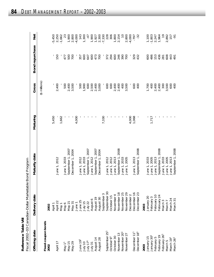|                     | Project Polo 2 COOS Caracter Dollar Markhayheta Ale |
|---------------------|-----------------------------------------------------|
|                     |                                                     |
|                     |                                                     |
|                     |                                                     |
| eference Table VIII |                                                     |

| Reference Table VIII       | Fiscal 2002-03 Canadian-Dollar Marketa | ble Bond Program                 |          |                     |                   |                |
|----------------------------|----------------------------------------|----------------------------------|----------|---------------------|-------------------|----------------|
| Offering date              | Delivery date                          | Maturity date                    | Maturing | Gross               | Bond repurchase   | Net            |
|                            |                                        |                                  |          | $($ \$ millions $)$ |                   |                |
| Fixed-coupon bonds<br>2002 | 2002                                   |                                  |          |                     |                   |                |
|                            | April 1                                |                                  | 5,450    |                     |                   | $-5,450$       |
| April 17                   | April 22                               | June 1, 2012                     |          | 2,400               | 150               | 2,250          |
|                            | May 1                                  |                                  | 1,662    |                     |                   | $-1,662$       |
| May $11$                   |                                        | June 1, 2033                     |          | 500                 | 477               | 23             |
|                            |                                        | September 1, 2007                |          | 2,400               | 500               | 1,900          |
| May 15<br>May 29           | May 6<br>May 21<br>May 31              | December 1, 2004                 | 1        | 3,500               | <b>POZ</b>        | 2,800          |
|                            |                                        |                                  | 4,000    |                     |                   | $-4,000$       |
| June 19 <sup>1</sup>       | June 1<br>June 25                      | June 1, 2012                     |          | 500                 | 357               | 143            |
|                            | July 15                                | June 1, 2033                     |          | 1,900               | 600               | 1,300          |
| Or Mnr<br>11 Ann           | July 22                                | September 1, 2007                |          | 600                 | 647               | $-47$          |
| July 31                    | August 6                               | June 1, 2012                     |          | 2,500               |                   | 1,900          |
| August 14                  | August 19                              | September 1, 2007                |          | 2,400               | 607<br>47<br>700  | 1,927          |
| August 28                  | August 30                              | December 1, 2004                 |          | 3,000               |                   | 2,300          |
|                            | September 3                            |                                  | 7,330    |                     |                   | $-7,330$       |
| September 25               | September 30                           | June 1, 2012                     |          | 600                 | 372               | 228            |
| October 9                  | October 15                             | June 1, 2012                     |          | 600                 | 294               | 306            |
| October 30                 | November 4                             | June 1, 2013                     |          | 2,400               | 600               | 1,800          |
| November 1                 | November 18                            | 2008<br>September <sub>1</sub> , |          | 2,400               |                   | 2,154          |
| November 20                | November 2                             | June 1, 2033                     |          | 400                 | 246<br>390<br>700 |                |
| November 27                | November 29                            | June 1, 2005                     |          | 3,500               |                   | 2,800          |
|                            | December 2                             |                                  | 4,000    |                     |                   | $-4,000$       |
| December 11                | December 16                            | June 1, 2013                     | 1,068    | 600                 | 329               | -797           |
| December 18                | December                               | September 1, 2008                |          | 400                 |                   | $-32$          |
| 2003                       | 2003                                   |                                  |          |                     |                   |                |
| January 15                 | January 20                             | June 1, 2033                     |          | 1,700               | 600               | 1,100          |
| January 30 <sup>1</sup>    | February 3                             | June 1, 2005                     | 1,717    | 400                 | 486               | $-1,803$       |
| February 5                 | February 10                            | June 1, 2013                     |          | 2,400<br>2,400      | <b>153</b><br>436 | 2,247<br>1,964 |
| February 19                | February 24                            | 2008<br>September 1              |          |                     |                   |                |
| February 26                | March <sub>3</sub>                     | June 1, 2033                     |          | 300                 | 281               | $\frac{1}{2}$  |
| March 5                    | March 7                                | June 1, 2005                     |          | 3,500               | 608               | 2,892          |
| March 19 <sup>1</sup>      | March 24                               | June 1, 2013                     |          | 600                 | 443               | 157            |
| March 26 <sup>1</sup>      | $\overline{3}$<br>March :              | September 1, 2008                |          | 400                 | 491               |                |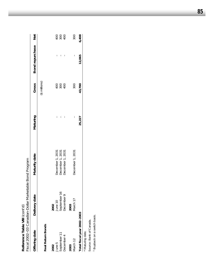| Reference Table VIII (cont'd) | Fiscal 2002-03 Canadian-Dollar Marketable Bond Program |                                      |          |                     |                     |       |
|-------------------------------|--------------------------------------------------------|--------------------------------------|----------|---------------------|---------------------|-------|
| Offering date                 | Delivery date                                          | Maturity date                        | Maturing | Gross               | Bond repurchase Net |       |
|                               |                                                        |                                      |          | $($ \$ millions $)$ |                     |       |
| Real Return Bonds             |                                                        |                                      |          |                     |                     |       |
| 2002                          | 2002                                                   |                                      |          |                     |                     |       |
| June 5                        | June 10                                                |                                      | I        |                     | I                   |       |
| September 11                  | September 16                                           | December 1, 2031<br>December 1, 2031 | I        | 2880                | I                   |       |
| December 4                    | December 9                                             | December 1, 2031                     | I        |                     |                     |       |
| 2003                          | 2003                                                   |                                      |          |                     |                     |       |
| March 12                      | March 17                                               | December 1, 2031                     | I        | 300                 | I                   | 300   |
| Total fiscal year 2002-2003   |                                                        |                                      | 25,227   | 43,700              | 12,065              | 6,408 |
|                               |                                                        |                                      |          |                     |                     |       |

\* Maturing date.

Source: Bank of Canada.

\* Maturing date.<br>Source: Bank of Canada.<br>1 Buyback on a switch basis. Buyback on a switch basis.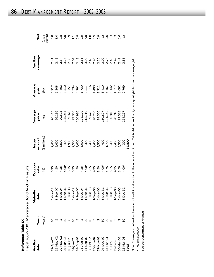|           | tion Das<br>=<br>2<br>/ התהלה-האה בהתה<br>ソコ ソラフィンニュー<br>٦ |
|-----------|------------------------------------------------------------|
| Table $L$ | ימתה התהו                                                  |
| -<br>גר   | ・リンー                                                       |
| ٬         | ・ソン・                                                       |
| ۳         | ،<br>٢                                                     |

|                 |                                                                                                             | Fiscal 2002-2003 Marketable Bond Auction Results |                                     |                                      |                                                             |                       |                     |                   |
|-----------------|-------------------------------------------------------------------------------------------------------------|--------------------------------------------------|-------------------------------------|--------------------------------------|-------------------------------------------------------------|-----------------------|---------------------|-------------------|
| Auction<br>date | Term                                                                                                        | Maturity<br>date                                 | Coupon<br>rate                      | Issue<br>amount                      | Average<br>price                                            | Average<br>yield      | coverage<br>Auction | Tail              |
|                 | (years)                                                                                                     |                                                  | $\mathcal{S}$                       | (\$ millions)                        | $\bigoplus$                                                 | $\mathcal{S}$         |                     | (basis<br>points) |
| $7 -$ Apr $-02$ |                                                                                                             | $1 - Jun-12$                                     |                                     |                                      | 96.445                                                      |                       |                     |                   |
| $15 - May - 02$ |                                                                                                             | $-$ Sep-0                                        |                                     | 2,400<br>2,400<br>3,500              | 96.136                                                      | 5.348                 |                     |                   |
| 29-May-02       |                                                                                                             | $-Dec-0$                                         |                                     |                                      | 99.503                                                      |                       |                     |                   |
| 05-Jun-02       | S                                                                                                           | $1-Dec-3$                                        |                                     | 400                                  | 108.954                                                     |                       |                     |                   |
| $10 -$ Jul-02   | $\overline{50}$                                                                                             | $1-Jun-3$                                        |                                     |                                      | 99.978                                                      |                       |                     | $\frac{9}{2}$     |
| $31 - Jul - 02$ | S                                                                                                           | $1 - Jun-12$                                     |                                     |                                      | 99.356<br>100.936<br>101.101<br>107.710<br>98.780<br>98.780 |                       |                     | $\Xi$             |
| 14-Aug-02       |                                                                                                             | $1-$ Sep-0                                       |                                     |                                      |                                                             |                       |                     |                   |
| 28-Aug-02       | $\sim$                                                                                                      | -Dec-0                                           |                                     |                                      |                                                             |                       |                     |                   |
| 11-Sep-02       | SO                                                                                                          | $1-Dec-3$                                        |                                     |                                      |                                                             |                       |                     |                   |
| 30-Oct-02       |                                                                                                             | $1 - Jun-1$                                      |                                     |                                      |                                                             |                       |                     |                   |
| 13-Nov-02       |                                                                                                             | $-$ Sep-08                                       |                                     |                                      |                                                             |                       |                     |                   |
| 27-Nov-02       | $\sim$                                                                                                      | $-$ Jun-0                                        |                                     |                                      | 99.500                                                      |                       |                     |                   |
| 04-Dec-02       | SO                                                                                                          | $1-Dec-3$                                        | $4.00*$                             |                                      | 110.807                                                     |                       |                     |                   |
| $15 - Jan - 03$ | $\overline{30}$                                                                                             | $1 - Jun-3$                                      |                                     |                                      | 104.162                                                     |                       |                     |                   |
| 05-Feb-03       | $\overline{C}$                                                                                              | $1 - Jun-1$                                      | 5 7 7 8 9<br>5 7 7 9 9<br>5 9 9 9 9 |                                      | 100.848                                                     |                       |                     |                   |
| $19 - Feb - 03$ | 5                                                                                                           | $1 -$ Sep-08                                     |                                     |                                      | 98.710                                                      |                       |                     |                   |
| 05-Mar-03       | $\sim$                                                                                                      | $1 - Jun-C$                                      |                                     |                                      | 99.588                                                      |                       |                     |                   |
| 12-Mar-03       | 80                                                                                                          | $1-Dec-3$                                        | 4.00 <sup>3</sup>                   | 300                                  | 124.267                                                     |                       |                     |                   |
| Total           |                                                                                                             |                                                  |                                     | 37,800                               |                                                             |                       |                     |                   |
|                 | <b>Judi 1444+3 City 2444 Contract City 25 Contract City 26 Contract City 26 Contract City 26 Contract D</b> |                                                  | $1 + 2 + 1 = 1 + 2$                 | とうこと うとせ りょう すりないすり ニアー・アーク りょうごう せき |                                                             | ا+ صنعامہ املیا مخصصہ |                     |                   |

Note: Coverage is defined as the ratio of total bids at auction to the amount auctioned. Tail is defined as the high accepted yield minus the average yield. Note: Coverage is defined as the ratio of total bids at auction to the amount auctioned. Tail is defined as the high accepted yield minus the average yield. \* Real return bonds. \* Real return bonds.

Source: Department of Finance. Source: Department of Finance.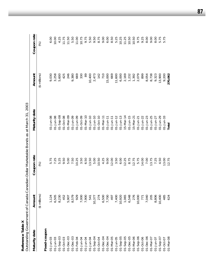| ڔ                |                |
|------------------|----------------|
| غ<br>م<br>۲<br>5 |                |
| ڔ<br>Foronco     |                |
|                  |                |
| Ĭ.               |                |
| ă                | $\overline{a}$ |

| Reference Table X      |                | Outstanding Government of Canada Canadian-Dollar Marketable Bonds as at March 31, 2003 |                        |                     |                         |
|------------------------|----------------|----------------------------------------------------------------------------------------|------------------------|---------------------|-------------------------|
| Maturity date          | Amount         | Coupon rate                                                                            | Maturity date          | Amount              | Coupon rate             |
|                        | (\$ millions)  | $\mathcal{E}$                                                                          |                        | $($ \$ millions $)$ | $\mathcal{\mathcal{E}}$ |
| Fixed-coupon           |                |                                                                                        |                        |                     |                         |
| $01 - Jun - 03$        | 1,124          | L.<br>S                                                                                | 01-Jun-08              | 9,030               | 6.00                    |
| $01 - Jun - 03$        | 6,505          | 7.25                                                                                   | 01-Jun-08              | 3,258               | 10.00                   |
| $01-$ Sep-03           | 8,230          | .25<br>LO                                                                              | $01 -$ Sep-08          | 5,600               | 4.25                    |
| $01 - Oct - 03$        | 452            | $-50$<br>$\circ$                                                                       | 01-Oct-08              | 425                 | 11.75                   |
| $01 - Dec - 03$        | 5,907          | 5.00                                                                                   | 01-Mar-09              | 246                 | 11.50                   |
| $01 - Dec - 03$        | 8,579          | 7.50                                                                                   | $01 - Jun-09$          | 9,380               | 5.50                    |
| $01 - Feb - 04$        | 929            | 10.25                                                                                  | 01-Jun-09              | 669                 | 11.00                   |
| 01-Jun-04              | 7,000          | 3.50                                                                                   | 01-Oct-09              | 330                 | 10.75                   |
| 01-Jun-04              | 7,900          | 6.50                                                                                   | $01 - \text{Mar} - 10$ | 89                  | 9.75                    |
| $01 - Jun-04$          | 541            | 13.50                                                                                  | $01 - Jun-10$          | 10,400              | 5.50                    |
| $01 - \text{Sep-04}$   | 10,377         | 5.00                                                                                   | $01 - Jun-10$          | 2,473               | 9.50                    |
| $01 - Oct - 04$        | 274            | 10.50                                                                                  | $01 - Oct - 10$        | 142                 | 8.75                    |
| $01 - Dec - 04$        | 6,500          | 4.25                                                                                   | $01 - \text{Mar} - 11$ | 710                 | 9.00                    |
| $01 - Dec - 04$        | 7,700          | 9.00                                                                                   | $01 - Jun-11$          | 15,000              | 6.00                    |
| 01-Mar-05              | 497            | 12.00                                                                                  | $01 - Jun-1$           | 669                 | 8.50                    |
| $01 - Jun - 05$        | 7,400          | 3.50                                                                                   | $01 - Jun - 12$        | 11,600              | 5.25                    |
| $01 - \text{Sep-05}$   | 10,920         | 6.00                                                                                   | $01 - Jun-13$          | 6,000               | 0.25                    |
| $01 - \text{Sep-05}$   | 1,065<br>6,548 | 12.25                                                                                  | $15 - \text{Mar} - 14$ | 2,169               | 11.25                   |
| $01 - Dec - 05$        |                | 8.75                                                                                   | $01 - Jun - 15$        | 1,232               | 10.50                   |
| $01 - \text{Mar} - 06$ | 276            | 12.75                                                                                  | $15 - \text{Mar} - 2$  | 1,392               | 10.50                   |
| $01 - \text{Sep-06}$   | 10,000         | 5.75                                                                                   | 01-Jun-21              | 2,079               | 9.75                    |
| $01 - Oct - 06$        | 771            | 14.00                                                                                  | $01 - Jun-22$          | 899                 | 9.25                    |
| $01 - Dec -06$         | 7,040          | 7.00                                                                                   | $01 - Jun - 23$        | 8,054               | 8.00                    |
| 01-Mar-07              | 205            | 13.75                                                                                  | $01 - Jun - 25$        | 8,738               | 00'6                    |
| $01 - Jun-07$          | 8,806          | 7.25                                                                                   | 01-Jun-27              | 9,323               | 8.00                    |
| $01 - \text{Sep-0}$    | 10,400         | 4.50                                                                                   | $01 - Jun-29$          | 13,900              | 5.75                    |
| 01-Oct-07              | 485            | 13.00                                                                                  | $01 - Jun - 33$        | 9,200               | 5.75                    |
| 01-Mar-08              | 624            | 12.75                                                                                  | Total                  | 270,062             |                         |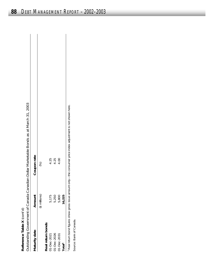| $\overline{\mathbf{C}}$<br>:<br>? |  |
|-----------------------------------|--|
| .<br>!                            |  |
| č<br>i                            |  |
|                                   |  |

| Reference Table X (cont'd) |                  |                                                                                                                |
|----------------------------|------------------|----------------------------------------------------------------------------------------------------------------|
|                            |                  | Outstanding Government of Canada Canadian-Dollar Marketable Bonds as at March 31, 2003                         |
| Maturity date              | Amount           | Coupon rate                                                                                                    |
|                            | $($ \$ millions) | (%)                                                                                                            |
| Real return bonds          |                  |                                                                                                                |
| 01-Dec-2021                | 5,175            | 4.25                                                                                                           |
| 01-Dec-2026                | 5,250            | 4.25                                                                                                           |
| $01 - Dec - 2031$          | 5,800            | 4.00                                                                                                           |
| Total <sup>1</sup>         | 16,225           |                                                                                                                |
|                            |                  | I Real return bond figures show gross issue amount only-the consumer price index adjustment is not shown here. |
| Source: Bank of Canada.    |                  |                                                                                                                |

 $\overline{\phantom{a}}$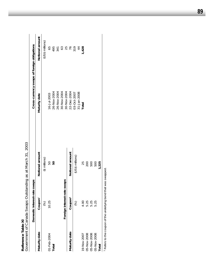|               |                                                               | Government of Canada Swaps Outstanding as at March 31, 2003 |                                             |                 |
|---------------|---------------------------------------------------------------|-------------------------------------------------------------|---------------------------------------------|-----------------|
|               | Domestic interest-rate                                        | swaps                                                       | Cross-currency swaps of foreign obligations |                 |
| Maturity date | Coupon <sup>1</sup>                                           | Notional amount                                             | Maturity date                               | Notional amount |
|               | (%)                                                           | (\$ millions)                                               |                                             | (US\$ millions) |
| 01-Feb-2004   | 10.25                                                         | 50                                                          | 16-Jul-2003                                 | 65              |
| Total         |                                                               | 50                                                          | 26-Nov-2004                                 | 495             |
|               |                                                               |                                                             | 26-Nov-2004                                 | 341             |
|               |                                                               |                                                             | 30-Nov-2004                                 | 63              |
|               | Foreign interest-rate                                         | swaps                                                       | 30-Nov-2004                                 | 25              |
| Maturity date | Coupon <sup>1</sup>                                           | Notional amount                                             | 22-Dec-2004                                 | 57              |
|               | (%)                                                           | (US\$ millions)                                             | 03-Oct-2007                                 | 319             |
|               |                                                               |                                                             | 31-Jan-2008                                 |                 |
| 19-Nov-2007   | 4.00                                                          | 25                                                          | Total                                       | 1,428           |
| 05-Nov-2008   | 5.25                                                          | 200                                                         |                                             |                 |
| 05-Nov-2008   | 5.25                                                          | 500                                                         |                                             |                 |
| 05-Nov-2008   | 5.25                                                          | 500                                                         |                                             |                 |
| Total         |                                                               | 1,225                                                       |                                             |                 |
|               | Refers to the coupon of the underlying bond that was swapped. |                                                             |                                             |                 |

Reference Table XI **Reference Table XI**

 Refers to the coupon of the underlying bond that was swapped. **Phane** טט פוויצו <del>ה</del> ⊵ 5 5 nnn<br>S ers to the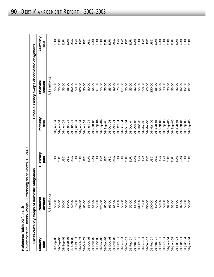|                           | <b>.simmony &gt;&gt;&gt;&gt;&gt;</b>                     |
|---------------------------|----------------------------------------------------------|
| ference Table XI (cont'd) | vernment of Canada Swaps Outstanding as at March 31, 200 |
|                           |                                                          |
|                           |                                                          |

| Reference Table XI (cont'd) | Government of Canada Swaps Outstanding as at March 31, 2003 |                  |                        |                                              |                  |
|-----------------------------|-------------------------------------------------------------|------------------|------------------------|----------------------------------------------|------------------|
|                             | Cross-currency swaps of domest                              | tic obligations  |                        | Cross-currency swaps of domestic obligations |                  |
| Maturity<br>date            | Notional<br>amount                                          | Currency<br>paid | Maturity<br>date       | Notional<br>amount                           | Currency<br>paid |
|                             | (US\$ millions)                                             |                  |                        | (US\$ millions)                              |                  |
| $01 -$ Sep-03               | 55.00                                                       | EUR              | 01-Jun-04              | 55.00                                        | EUR              |
| $01-$ Sep-03                | 55.00                                                       | EUR              | 01-Jun-04              | 55.00                                        | EUR              |
| $02 - \text{Sep-03}$        | 50.00                                                       | <b>USD</b>       | 01-Jun-04              | 55.00                                        | EUR              |
| $02 - \text{Sep-03}$        | 50.00                                                       | <b>USD</b>       | 01-Jun-04              | 55.00                                        | EUR              |
| $02 - \text{Sep-03}$        | 50.00                                                       | <b>USD</b>       | 01-Jun-04              | 100.00                                       | <b>USD</b>       |
| $01 - Oct - 03$             | 76.00                                                       | EUR              | 01-Jun-04              | 50.00                                        | <b>GSD</b>       |
| $01 - Oct - 03$             | 109.00                                                      | EUR              | 01-Jun-04              | 100.00                                       | USD              |
| $01 - Oct - 03$             | 65.00                                                       | <b>USD</b>       | 01-Jun-04              | 50.00                                        | <b>USD</b>       |
| $01 - Dec - 03$             | 55.00                                                       | EUR              | 01-Jun-04              | 50.00                                        | asp              |
| $01 - Dec - 03$             | 55.00                                                       | EUR              | $01 - \text{Sep-04}$   | 55.00                                        | EUR              |
| $O1 - Dec - O3$             | 55.00                                                       | EUR              | $01 -$ Sep-04          | 61.00                                        | EUR              |
| $01 - Dec - 03$             | 325.00                                                      | USD              | $01 - \text{Sep-04}$   | 55.00                                        | EUR              |
| $01 - Dec - 03$             | 65.00                                                       | <b>USD</b>       | $01 -$ Sep-04          | 55.00                                        | EUR              |
| $O1 - Dec - O3$             | 65.00                                                       | <b>USD</b>       | 01-Oct-04              | 55.00                                        | EUR              |
| $O1 - Dec - O3$             | 65.00                                                       | <b>USD</b>       | 01-Oct-04              | 50.00                                        | USD              |
| 01-Feb-04                   | 38.00                                                       | EUR              | 01-Oct-04              | 75.00                                        | <b>USD</b>       |
| $01 - Feb - 04$             | 55.00                                                       | EUR              | 01-Oct-04              | 111.00                                       | USD              |
| $01 - Feb - 04$             | 55.00                                                       | EUR              | $01 - Oct - 04$        | 55.00                                        | USD              |
| $01 - Feb - 04$             | 55.00                                                       | EUR              | $01 - Dec-04$          | 55.00                                        | EUR              |
| $01 - Feb - 04$             | 55.00                                                       | EUR              | $01 - Dec - 04$        | 82.00                                        | EUR              |
| 01-Feb-04                   | 100.00                                                      | <b>USD</b>       | $01 - \text{Mar} - 05$ | 55.00                                        | EUR              |
| 01-Feb-04                   | 75.00                                                       | <b>USD</b>       | $01 - \text{Mar} - 05$ | 250.00                                       | USD              |
| $01 - Feb - 04$             | 100.00                                                      | <b>USD</b>       | 01-Mar-05              | 65.00                                        | <b>USD</b>       |
| $O1 - Feb - O4$             | 100.00                                                      | <b>USD</b>       | 01-Mar-05              | 250.00                                       | <b>USD</b>       |
| $01 - Feb - 04$             | 50.00                                                       | <b>USD</b>       | $01 -$ Sep-05          | 55.00                                        | EUR              |
| $01 - Feb - 04$             | 50.00                                                       | <b>USD</b>       | $01 -$ Sep-05          | 55.00                                        | EUR              |
| $01 - Feb - 04$             | 50.00                                                       | <b>USD</b>       | $01 -$ Sep-05          | 33.00                                        | EUR              |
| 01-Jun-04                   | 82.00                                                       | EUR              | $01 -$ Sep-05          | 33.00                                        | EUR              |
| 01-Jun-04                   | 55.00                                                       | EUR              | $01 -$ Sep-05          | 55.00                                        | EUR              |
| 01-Jun-04                   | 55.00                                                       | EUR              | $01 -$ Sep-05          | 82.00                                        | EUR              |
| 01-Jun-04                   | 82.00                                                       | EUR              | $01 -$ Sep-05          | 82.00                                        | EUR              |
| 01-Jun-04                   | 55.00                                                       | EUR              | $01 -$ Sep-05          | 82.00                                        | EUR              |
| 01-Jun-04                   | 55.00                                                       | EUR              | $01 -$ Sep-05          | 82.00                                        | EUR              |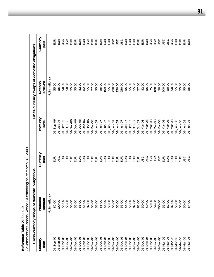|                   | Government of Canada Swaps Outstanding as at March 31, | 2003             |                        |                                              |                  |
|-------------------|--------------------------------------------------------|------------------|------------------------|----------------------------------------------|------------------|
|                   | Cross-currency swaps of domest                         | ic obligations   |                        | Cross-currency swaps of domestic obligations |                  |
| Maturity<br>date  | Notional<br>amount                                     | Currency<br>paid | Maturity<br>date       | Notiona<br>amount                            | Currency<br>paid |
|                   | (US\$ millions)                                        |                  |                        | (US\$ millions)                              |                  |
| $01 -$ Sep-05     | 82.00                                                  | EUR              | $21 - 5ep - 06$        | 55.00                                        | EUR              |
| $01 -$ Sep-05     | 100.00                                                 | asu              | 01-Oct-06              | 55.00                                        | EUR              |
| $01 - Dec -05$    | 55.00                                                  | EUR              | 01-Oct-06              | 50.00                                        | <b>GSD</b>       |
| $01 - Dec - 05$   | 55.00                                                  | EUR              | $01 - Oct - 06$        | 50.00                                        | <b>GSD</b>       |
| $01 - Dec -05$    | 55.00                                                  | EUR              | $01 - Dec -06$         | 55.00                                        | EUR              |
| $01 - Dec -05$    | 55.00                                                  | EUR              | $01 - Dec -06$         | 55.00                                        | EUR              |
| $01 - Dec -05$    | 55.00                                                  | EUR              | $01 - Dec -06$         | 82.00                                        | EUR              |
| $01 - Dec -05$    | 55.00                                                  | EUR              | $01 - Dec -06$         | 82.00                                        | EUR              |
| $01 - Dec -05$    | 82.00                                                  | EUR              | $01 - Dec -06$         | 55.00                                        | <b>GSD</b>       |
| $01 - Dec -05$    | 55.00                                                  | EUR              | 01-Mar-07              | 27.00                                        | EUR              |
| $01 - Dec -05$    | 55.00                                                  | EUR              | 01-Jun-07              | 55.00                                        | EUR              |
| $01 - Dec -05$    | 55.00                                                  | EUR              | 01-Jun-07              | 55.00                                        | EUR              |
| $01 - Dec -05$    | 55.00                                                  | EUR              | $01 - Jun-07$          | 109.00                                       | EUR              |
| $01 - Dec -05$    | 55.00                                                  | EUR              | 01-Jun-07              | 55.00                                        | EUR              |
| $01 - Dec -05$    | 55.00                                                  | EUR              | 01-Jun-07              | 250.00                                       | <b>USD</b>       |
| $01 - Dec -05$    | 55.00                                                  | EUR              | 01-Jun-07              | 250.00                                       | <b>USD</b>       |
| $01 - Dec -05$    | 55.00                                                  | EUR              | 01-Jun-07              | 250.00                                       | <b>USD</b>       |
| $01 - Dec -05$    | 55.00                                                  | EUR              | 01-Oct-07              | 55.00                                        | EUR              |
| $01 - Dec -05$    | 55.00                                                  | EUR              | 01-Oct-07              | 55.00                                        | EUR              |
| $O1 - Dec - 05$   | 82.00                                                  | EUR              | 01-Oct-07              | 55.00                                        | EUR              |
| $O1 - Dec - 05$   | 82.00                                                  | EUR              | 01-Oct-07              | 27.00                                        | EUR              |
| $O1 - Dec - 05$   | 50.00                                                  | USD              | 01-Mar-08              | 82.00                                        | EUR              |
| $01 - Dec -05$    | 50.00                                                  | <b>USD</b>       | $01 - \text{Mar} - 08$ | 55.00                                        | EUR              |
| $O1 - Dec - 05$   | 50.00                                                  | <b>USD</b>       | $01 - \text{Mar} - 08$ | 75.00                                        | <b>USD</b>       |
| $O1 - Dec - 05$   | 54.00                                                  | <b>USD</b>       | $01 - \text{Mar} - 08$ | 100.00                                       | USD              |
| $01 - Dec -05$    | 500.00                                                 | <b>USD</b>       | 01-Mar-08              | 50.00                                        | <b>USD</b>       |
| $01 - $ Mar $-06$ | 55.00                                                  | EUR              | $01 - \text{Mar} - 08$ | 200.00                                       | <b>USD</b>       |
| 01-Mar-06         | 82.00                                                  | EUR              | $01 - \text{Mar} - 08$ | 50.00                                        | <b>USD</b>       |
| 01-Mar-06         | 82.00                                                  | EUR              | $01 - \text{Mar} - 08$ | 50.00                                        | <b>USD</b>       |
| 01-Mar-06         | 55.00                                                  | EUR              | 01-Jun-08              | 55.00                                        | EUR              |
| 01-Mar-06         | 55.00                                                  | EUR              | $01 - Jun-08$          | 55.00                                        | EUR              |
| 01-Mar-06         | 50.00                                                  | asu              | $01 - Jun-08$          | 55.00                                        | EUR              |
| 01-Mar-06         | 54.00                                                  | GSU              | 01-Jun-08              | 55.00                                        | EUR              |

Reference Table XI (cont'd) **Reference Table XI** *(cont'd)*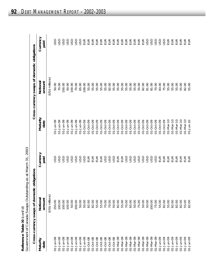| 3<br>$\frac{1}{1}$<br>$\frac{1}{2}$                   | LULL 10<br>trism ht are and intertaint. Our three security<br>・ココフェ<br>pirmana SMR<br>, JJJJ, , , |
|-------------------------------------------------------|---------------------------------------------------------------------------------------------------|
| くりこ<br>A elqe Laple X<br>$\frac{2}{3}$<br>)<br>2<br>2 | ・・・ のてのりつ ナイ<br>allarnmant a                                                                      |

|                  | Cross-currency swaps of domestic obligations |                  |                        | Cross-currency swaps of domestic obligations |                  |
|------------------|----------------------------------------------|------------------|------------------------|----------------------------------------------|------------------|
| Maturity<br>date | Notiona<br>amount                            | Currency<br>paid | Maturity<br>date       | Notiona<br>amount                            | Currency<br>paid |
|                  | (US\$ millions)                              |                  |                        | (US\$ millions)                              |                  |
| 01-Jun-08        | 250.00                                       | asu              | 01-Jun-09              | 50.00                                        | gs               |
| 01-Jun-08        | 100.00                                       | GSU              | 01-Jun-09              | 70.00                                        | GSU              |
| $01 - Jun-08$    | 100.00                                       | GSD              | 01-Jun-09              | 100.00                                       | GSU              |
| 01-Jun-08        | 100.00                                       | <b>USD</b>       | 01-Jun-09              | 50.00                                        | GSU              |
| 01-Jun-08        | 50.00                                        | <b>USD</b>       | 01-Jun-09              | 100.00                                       | <b>USD</b>       |
| 01-Jun-08        | 100.00                                       | USD              | 01-Jun-09              | 70.00                                        | USD              |
| $01 - Jun - 08$  | 50.00                                        | USD              | 01-Jun-09              | 65.00                                        | <b>USD</b>       |
| $01 - Jun - 08$  | 50.00                                        | <b>USD</b>       | 01-Oct-09              | 109.00                                       | EUR              |
| 01-Oct-08        | 82.00                                        | EUR              | 01-Oct-09              | 55.00                                        | EUR              |
| 01-Oct-08        | 82.00                                        | EUR              | 01-Oct-09              | 55.00                                        | EUR              |
| 01-Oct-08        | 55.00                                        | EUR              | 01-Oct-09              | 55.00                                        | EUR              |
| $01 - Oct - 08$  | 55.00                                        | EUR              | 01-Oct-09              | 55.00                                        | EUR              |
| 01-Oct-08        | 70.00                                        | USD              | 01-Oct-09              | 55.00                                        | EUR              |
| 01-Oct-08        | 70.00                                        | USD              | 01-Oct-09              | 82.00                                        | EUR              |
| 01-Oct-08        | 50.00                                        | USD              | 01-Oct-09              | 55.00                                        | EUR              |
| 01-Mar-09        | 82.00                                        | EUR              | 01-Oct-09              | 55.00                                        | EUR              |
| 01-Mar-09        | 55.00                                        | EUR              | 01-Oct-09              | 55.00                                        | EUR              |
| 01-Mar-09        | 70.00                                        | <b>USD</b>       | 01-Oct-09              | 55.00                                        | EUR              |
| 01-Mar-09        | 65.00                                        | <b>USD</b>       | 01-Oct-09              | 55.00                                        | EUR              |
| 01-Mar-09        | 50.00                                        | <b>USD</b>       | 01-Oct-09              | 55.00                                        | EUR              |
| 01-Mar-09        | 75.00                                        | USD              | 01-Oct-09              | 55.00                                        | EUR              |
| 01-Mar-09        | 50.00                                        | USD              | 01-Oct-09              | 82.00                                        | EUR              |
| 01-Mar-09        | 50.00                                        | USD              | 01-Oct-09              | 81.00                                        | <b>USD</b>       |
| 01-Mar-09        | 100.00                                       | <b>USD</b>       | 01-Oct-09              | 81.00                                        | <b>USD</b>       |
| 01-Mar-09        | 75.00                                        | <b>USD</b>       | 01-Oct-09              | 70.00                                        | <b>USD</b>       |
| 01-Jun-09        | 55.00                                        | EUR              | 01-Oct-09              | 83.00                                        | USD              |
| $01 - Jun-09$    | 82.00                                        | EUR              | 01-Oct-09              | 75.00                                        | <b>USD</b>       |
| $01 - Jun-09$    | 55.00                                        | EUR              | $01 - \text{Mar} - 10$ | 55.00                                        | EUR              |
| 01-Jun-09        | 82.00                                        | EUR              | $01 - \text{Mar} - 10$ | 55.00                                        | EUR              |
| 01-Jun-09        | 82.00                                        | EUR              | $01 - \text{Mar} - 10$ | 55.00                                        | EUR              |
| 01-Jun-09        | 82.00                                        | EUR              | $01 - \text{Mar} - 10$ | 55.00                                        | EUR              |
| 01-Jun-09        | 55.00                                        | EUR              | $01 - \text{Mar} - 10$ | 82.00                                        | EUR              |
| 01-Jun-09        | 82.00                                        | EUR              | $01 - Jun-10$          | 55.00                                        | EUR              |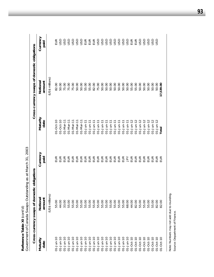|                  | Government of Canada Swaps Outstanding as at March 31, 2003 |                  |                     |                                              |                                                  |
|------------------|-------------------------------------------------------------|------------------|---------------------|----------------------------------------------|--------------------------------------------------|
|                  | Cross-currency swaps of domestic obligations                |                  |                     | Cross-currency swaps of domestic obligations |                                                  |
| Maturity<br>date | Notional<br>amount                                          | Currency<br>paid | Maturity<br>date    | Notiona<br>amount                            | Currency<br>paid                                 |
|                  | (US\$ millions)                                             |                  |                     | (US\$ millions)                              |                                                  |
| $01 - Jun-10$    | 55.00                                                       | EUR              | 01-Oct-10           | 82.00                                        | EUR                                              |
| $01 - Jun-10$    | 44.00                                                       | EUR              | $01 - Oct - 10$     | 50.00                                        | USD                                              |
| $01 - Jun-10$    | 33.00                                                       | $E$ UR           | $01 - \text{Mar-1}$ | 75.00                                        | <b>USD</b>                                       |
| $01 - Jun - 10$  | 55.00                                                       |                  | $01 - \text{Mar-1}$ | 75.00                                        | USD                                              |
| $01 - Jun - 10$  | 55.00                                                       |                  | $01 - \text{Mar-1}$ | 75.00                                        | <b>USD</b>                                       |
| $01 - Jun - 10$  | 55.00                                                       |                  | $01 - Mar-1$        | 50.00                                        | USD                                              |
| $01 - Jun-10$    | 55.00                                                       |                  | $01 - \text{Mar-1}$ | 50.00                                        | USD                                              |
| $01 - Jun-10$    | 55.00                                                       |                  | $01 - Jun-1$        | 55.00                                        | $\begin{array}{c} \Xi \, \Xi \, \Xi \end{array}$ |
| $01 - Jun - 10$  | 55.00                                                       |                  | $01 - Jun-1$        | 55.00                                        |                                                  |
| $01 - Jun - 10$  | 55.00                                                       |                  | $01 - Jun-1$        | 82.00                                        | EUR                                              |
| $01 - Jun - 10$  | 55.00<br>55.00<br>55.00                                     |                  | $01 - Jun-1$        | 75.00                                        | USD                                              |
| $01 - Jun-10$    |                                                             |                  | $01 - Jun-1$        | 50.00                                        | USD                                              |
| $01 - Jun - 10$  |                                                             |                  | $01 - Jun-1$        | 50.00                                        | <b>USD</b>                                       |
| $01 - Jun-10$    | 55.00                                                       |                  | $01 - Jun-1$        | 50.00                                        | USD                                              |
| $01 - Jun - 10$  | 55.00                                                       |                  | $01 - Jun-1$        | 50.00                                        | USD                                              |
| $01 - Jun-10$    | 55.00                                                       |                  | $01 - Jun-1$        | 50.00                                        | USD                                              |
| $01 - Jun-10$    | 55.00                                                       |                  | $01 - Jun-1$        | 50.00                                        | <b>USD</b>                                       |
| $01 - Jun - 10$  | 68.00                                                       |                  | $01 - Jun-11$       | 50.00                                        | <b>USD</b>                                       |
| $01-Oct-10$      | 44.00                                                       |                  | $01 - Jun - 12$     | 55.00                                        | EUR                                              |
| $01 - Oct - 10$  | 82.00                                                       |                  | $01 - Jun - 12$     | 55.00                                        | EUR                                              |
| $01 - Oct - 10$  | 55.00                                                       |                  | 01-Jun-12           | 50.00                                        | USD                                              |
| $01 - Oct - 10$  | 55.00                                                       |                  | 01-Jun-12           | 50.00                                        | <b>USD</b>                                       |
| $01 - Oct - 10$  | 55.00                                                       |                  | $01 - Jun-12$       | 50.00                                        | <b>USD</b>                                       |
| $01 - Oct - 10$  | 55.00                                                       | $B$ is           | $01 - Jun-12$       | 50.00                                        | <b>USD</b>                                       |
| $01 - Oct - 10$  | 82.00                                                       |                  | $01 - Jun-12$       | 50.00                                        | <b>USD</b>                                       |
| $01 - Oct - 10$  | 82.00                                                       | EUR              | Total               | 17,539.00                                    |                                                  |
|                  |                                                             |                  |                     |                                              |                                                  |

Reference Table XI (cont'd) **Reference Table XI** *(cont'd)*

Note: Numbers may not add due to rounding.<br>Source: Department of Finance. Note: Numbers may not add due to rounding. Source: Department of Finance.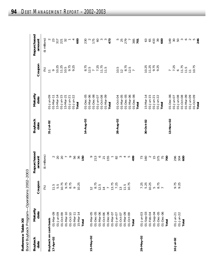|                     | י הרבי הרבי הרבי הרי הרבי היה ה<br>)<br>J<br>.<br>Nununi 2022<br>۱ |
|---------------------|--------------------------------------------------------------------|
|                     | $\frac{1}{3}$                                                      |
| ene labie volls All | ond Ruvback Program<br>וטטאצוני<br>פ<br>١                          |

| Reference Table XII    | Bond Buyback Program-Operations | 2002-2003                |                          |                        |                        |                           |                       |
|------------------------|---------------------------------|--------------------------|--------------------------|------------------------|------------------------|---------------------------|-----------------------|
| <b>Buyback</b><br>date | Maturity<br>date                | Coupon                   | Repurchased<br>amount    | <b>Buyback</b><br>date | Maturity<br>date       | Coupon                    | Repurchased<br>amount |
|                        |                                 | (%)                      | (\$ millions)            |                        |                        | (%)                       | (\$ millions)         |
| Buyback on cash basis  |                                 |                          |                          | $31 - Jul - 02$        | 01-Jun-09              | $\overline{\overline{a}}$ |                       |
| 17-Apr-02              | 01-Mar-09                       | 11.5                     |                          |                        | $01 - \text{Mar} - 11$ | $\circ$                   | 23<br>317             |
|                        | 01-Jun-09                       | 5.5                      | $\frac{2}{20}$           |                        | $15 - \text{Mar} - 14$ | 10.25                     |                       |
|                        | 01-Oct-09                       | 10.75                    |                          |                        | $01 - Jun-15$          | 11.25                     | $221$ $32$            |
|                        | 01-Mar-10                       | 9.75                     | $\overline{a}$           |                        | 15-Mar-21              | 10.5                      |                       |
|                        | $01 - Oct - 10$                 | 8.75                     | $\circ$                  |                        | $01 - Jun-21$          | 9.75                      |                       |
|                        | $01 - $ Mar-11                  | $\circ$                  | 56                       |                        | $01 - Jun-22$          | 9.25                      |                       |
|                        | $15 - \text{Mar} - 14$          | 10.25                    | 36                       |                        | Total                  |                           | 600                   |
|                        | Total                           |                          | 150                      | 14-Aug-02              | $01 - Dec - 05$        | 8.75                      | 230                   |
|                        |                                 |                          | $\circ$                  |                        | $01 - $ Mar-06         | 12.5                      | $\sim$                |
| 15-May-02              | 01-Mar-05                       | $\frac{12}{8.75}$        |                          |                        | $O1 - Dec - O6$        | $\overline{r}$            | 175                   |
|                        | $01 - Dec -05$                  |                          | 213                      |                        | 01-Jun-07              | 7.25                      | $\infty$              |
|                        | 01-Mar-06                       | 12.5                     | $\circ$                  |                        | 01-Oct-08              | 11.75                     | S                     |
|                        | $01 - Oct - 06$                 | $\overline{4}$           | $\overline{\mathcal{Z}}$ |                        | 01-Mar-09              | $\frac{5}{11}$            | $\infty$              |
|                        | $01 - Dec -06$                  | $\overline{\phantom{a}}$ | 155                      |                        | Total                  |                           | 473                   |
|                        | 01-Mar-07                       | 13.75                    | $\overline{ }$           |                        |                        |                           |                       |
|                        | $01 - Jun-07$                   | 7.25                     | $82$                     | 28-Aug-02              | 01-Oct-04              | 10.5                      | 5                     |
|                        | $01 - Oct - 07$                 | $\frac{1}{2}$            | $\infty$                 |                        | 01-Mar-05              | $\overline{C}$            | 25                    |
|                        | 01-Mar-09                       | 11.5                     | 4                        |                        | $01 - Dec - 05$        | 8.75                      | 279                   |
|                        | 01-Oct-09                       | 10.75                    | Ю                        |                        | 01-Mar-06              | $12.5$<br>7               |                       |
|                        | Total                           |                          | 499                      |                        | $01 - Dec -06$         |                           | 385                   |
|                        |                                 |                          |                          |                        | Total                  |                           | $\overline{p}$        |
| 29-May-02              | $01 - Jun - 03$                 | 7.25                     | 73                       |                        |                        |                           |                       |
|                        | $01 - \text{Sep-}03$            | 5.25                     | 160                      | 30-Oct-02              | $15 - $ Mar-14         | 10.25                     | 63                    |
|                        | $01 - Feb - 04$                 | 10.25                    | $\sim$                   |                        | $01 - Jun-15$          | 11.25                     | 65                    |
|                        | $01 - \text{Sep-04}$            | $\mathsf{L}\Omega$       | $\frac{5}{1}$            |                        | $01 - Jun-21$          | 9.75                      | 433                   |
|                        | $O1 - Dec - OS$                 | 8.75                     | 375                      |                        | $01 - Jun-22$          | 9.25                      | 39                    |
|                        | $01 - Dec -06$                  |                          | 75                       |                        | Total                  |                           | 600                   |
|                        | Total                           |                          | 700                      |                        |                        |                           |                       |
|                        |                                 |                          |                          | 13-Nov-02              | $01 - Dec -06$         | 7.25                      | 149                   |
| $10 - Jul - 02$        | $01 - Jun-21$                   | 9.75                     | 296                      |                        | 01-Jun-07              |                           | $30\,$                |
|                        | $01 - Jun - 22$                 | 9.25                     | 304                      |                        | $01 - Jun-08$          | $\circ$                   | 50                    |
|                        | Total                           |                          | 600                      |                        | $01 - Oct - 08$        | 11.75                     | $\infty$              |
|                        |                                 |                          |                          |                        | 01-Mar-09              | 11.5                      |                       |
|                        |                                 |                          |                          |                        | 01-Jun-09              | $\overline{a}$            |                       |
|                        |                                 |                          |                          |                        | 01-Oct-09              | 10.75                     | $0 0 0 0$<br>$0 40$   |
|                        |                                 |                          |                          |                        | Total                  |                           |                       |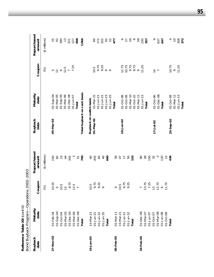|                        | Bond Buyback Program-Operations | 2002-2003            |                       |                         |                                     |                                                             |                       |
|------------------------|---------------------------------|----------------------|-----------------------|-------------------------|-------------------------------------|-------------------------------------------------------------|-----------------------|
| <b>Buyback</b><br>date | Maturity<br>date                | Coupon               | Repurchased<br>amount | Buyback<br>date         | Maturity<br>date                    | Coupon                                                      | Repurchased<br>amount |
|                        |                                 | (%)                  | $($ \$ millions $)$   |                         |                                     | (%)                                                         | (\$ millions)         |
| 27-Nov-02              | $01 - Feb - 04$                 | 10.25                | 150                   | 05-Mar-03               | $01 - \text{Sep-04}$                |                                                             |                       |
|                        | $01 - \text{Sep-04}$            |                      | 82                    |                         | 01-Mar-05                           |                                                             | 25<br>42              |
|                        | $01 - Oct - 04$                 | $\frac{5}{10.5}$     | $\frac{5}{1}$         |                         | $01 - \text{Sep-05}$                |                                                             | $180$<br>$13$         |
|                        | 01-Mar-05                       | $\overline{c}$       | $\overline{4}$        |                         | $01-Nar-06$                         | $5$<br>$12$<br>$6$<br>$7$<br>$7$<br>$7$<br>$7.25$<br>$7.25$ |                       |
|                        | $01 - Dec - 05$                 | 8.75                 | 355                   |                         | $01 - Dec -06$                      |                                                             | 221                   |
|                        | 01-Mar-06                       | $\frac{7.5}{7}$      | $\infty$              |                         | 01-Jun-07                           |                                                             | 127                   |
|                        | $01 - Dec -06$                  |                      | 51                    |                         | Total                               |                                                             | 608                   |
|                        | Total                           |                      | 700                   |                         | Total buyback on cash basis         |                                                             | 7,066                 |
| 15-Jan-03              | $15 - \text{Mar} - 21$          | 10.5                 | $\overline{Q}$        | Buyback on switch basis |                                     |                                                             |                       |
|                        | $01 - Jun-21$                   | 9.75                 | 455                   | $01 - May - 02$         | $15-Mar-21$                         | 10.5                                                        |                       |
|                        | $01 - Jun-22$                   | 9.25                 | 59                    |                         | $01 - Jun-21$                       | 9.75                                                        |                       |
|                        | $01 - Jun - 25$                 | $\circ$              | $\overline{Q}$        |                         | $01 - Jun - 22$                     | 0.25<br>0.80<br>0.                                          |                       |
|                        | Total                           |                      | 600                   |                         | $01 - Jun - 23$                     |                                                             |                       |
|                        |                                 |                      |                       |                         | $01 - Jun - 25$                     |                                                             | 822887                |
| 05-Feb-03              | $01 - \text{Mar} - 11$          | $\sigma$             | 39                    |                         | Total                               |                                                             |                       |
|                        | 15-Mar-21                       | 10.5                 | $\overline{4}$        |                         |                                     |                                                             |                       |
|                        | $01 - Jun-21$                   | 9.75                 | $\overline{1}$        | 19-Jun-02               | $01 - Oct - 08$                     |                                                             | ∘                     |
|                        | $01 - Jun - 22$                 | 9.25                 | 50                    |                         | $01 - \text{Mar} - 10$<br>01-Oct-09 |                                                             | 29<br>27              |
|                        | Total                           |                      | 153                   |                         | $O1-Oct-10$                         | $71.75$<br>$70.75$<br>$9.75$<br>$9.75$                      | $\infty$              |
|                        |                                 |                      |                       |                         | $01 - $ Mar-11                      |                                                             | 58                    |
| $19 - Feb - 03$        | $01 - Dec -06$                  |                      | S                     |                         | $01 - Jun-15$                       | 11.25                                                       |                       |
|                        | 01-Mar-07                       |                      | 28                    |                         | Total                               |                                                             | 230<br>357            |
|                        | $01 - Jun - 07$                 | $\frac{13.75}{7.25}$ | 150                   |                         |                                     |                                                             |                       |
|                        | $01 - Oct - 07$                 |                      | 32                    | $17 - Jul - 02$         | 01-Oct-06                           |                                                             | $\circ$               |
|                        | 01-Mar-08                       | 12.75                | $\infty$              |                         | $O1 - Dec -O6$                      | $\frac{1}{4}$ $\overline{ }$                                | 637                   |
|                        | 01-Jun-08                       | $\circ$              | 120                   |                         | Total                               |                                                             | 647                   |
|                        | 01-Oct-08                       | 11.75                | $\frac{3}{2}$         |                         |                                     |                                                             |                       |
|                        | Total                           |                      | 436                   | 25-Sep-02               | $01 - Oct - 09$                     | 10.75                                                       | 4                     |
|                        |                                 |                      |                       |                         | $01 - $ Mar-11                      | $\circ$                                                     | $\supseteq$           |
|                        |                                 |                      |                       |                         | $01 - Jun-15$                       | 11.25                                                       | 358<br>372            |
|                        |                                 |                      |                       |                         | Total                               |                                                             |                       |

Reference Table XII (cont'd) **Reference Table XII** *(cont'd)*

**95**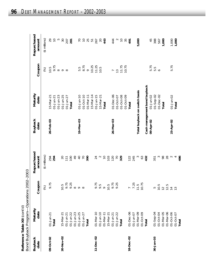|                       | くくく<br>こうしょう                           |
|-----------------------|----------------------------------------|
|                       | nation only                            |
| IDJ) IR DIQU DJID DIV | היויטסיק בעטראי                        |
|                       | )<br>)<br>)<br>)<br>-<br>קרא<br>į<br>ſ |

|                        | Reference Table XII (cont'd)<br>Bond Buyback Program- | -Operations 2002-2003 |                       |                        |                               |                 |                       |
|------------------------|-------------------------------------------------------|-----------------------|-----------------------|------------------------|-------------------------------|-----------------|-----------------------|
| <b>Buyback</b><br>date | Maturity<br>date                                      | Coupon                | Repurchased<br>amount | <b>Buyback</b><br>date | Maturity<br>date              | Coupon          | Repurchased<br>amount |
|                        |                                                       | $(%)$                 | (\$ millions)         |                        |                               | $\circledast$   | $($ \$ millions $)$   |
| 09-Oct-02              | $01 - Jun-21$                                         | 9.75                  |                       | 26-Feb-03              | $15 - \text{Mar} - 21$        | 10.5            | 29                    |
|                        | Total                                                 |                       | $294$<br>294          |                        | $01 - Jun-21$                 | 9.75            | $\overline{C}$        |
|                        |                                                       |                       |                       |                        | $01 - Jun - 23$               | $\infty$        | $\overline{5}$        |
| 20-Nov-02              | $15 - \text{Mar-2}$                                   | 10.5                  |                       |                        | $01 - Jun - 25$               | $\circ$ $\circ$ | 30                    |
|                        | $01 - Jun - 21$                                       | 9.75                  | 20770                 |                        | $01 - Jun-27$                 |                 | 207                   |
|                        | $01 - Jun - 22$                                       | 9.25                  |                       |                        | Total                         |                 | 281                   |
|                        | $01 - Jun - 23$                                       | $\infty$              | $^{49}$               |                        |                               |                 |                       |
|                        | $01 - Jun - 25$                                       | $\circ$               | $\overline{Q}$        | 19-Mar-03              | $01 - Jun-10$                 | 5.5             |                       |
|                        | $01 - Jun-27$                                         | $\infty$              | $\overline{C}$        |                        | $01 - Oct - 10$               | 8.75            |                       |
|                        | Total                                                 |                       | 390                   |                        | $01 - \text{Mar} - 11$        | $\circ$         | 7075                  |
|                        |                                                       |                       |                       |                        | $15 - \text{Mar} - 14$        | 10.25           |                       |
| 11-Dec-02              | $01 - \text{Mar} - 10$                                | 9.75                  | $\overline{24}$       |                        | $01 - Jun-15$                 | 11.25           | 267                   |
|                        | $01 - Jun - 10$                                       | 9.5                   | $\mathbf{\Omega}$     |                        | 15-Mar-21                     | 10.5            |                       |
|                        | $01 - \text{Mar-11}$                                  | $\circ$               | $\overline{C}$        |                        | Total                         |                 | $\frac{20}{43}$       |
|                        | $15$ -Mar-2                                           | 10.5                  | 103                   |                        |                               |                 |                       |
|                        | $01 - Jun-21$                                         | 9.75                  | 120                   | 26-Mar-03              | $01 - Dec -06$                |                 | 444                   |
|                        | $01 - Jun - 22$                                       | 9.25                  | $\overline{70}$       |                        | 01-Oct-07                     | $\frac{1}{2}$   |                       |
|                        | Total                                                 |                       | 329                   |                        | 01-Oct-08                     |                 |                       |
|                        |                                                       |                       |                       |                        | 01-Oct-09                     | 11.75           | 10 <sup>o</sup>       |
| 18-Dec-02              | $01 - Dec -06$                                        | $\frac{7}{7.25}$      | 122                   |                        | Total                         |                 | 491                   |
|                        | $01 - Jun - 07$                                       |                       | 245                   |                        |                               |                 |                       |
|                        | 01-Mar-09                                             | $\frac{5}{11}$        |                       |                        | Total buyback on switch basis |                 | 5,000                 |
|                        | 01-Oct-09                                             | 10.75                 | 63                    |                        |                               |                 |                       |
|                        | Total                                                 |                       | 432                   |                        | Cash management bond buyback  |                 |                       |
|                        |                                                       |                       |                       | 09-Apr-02              | 01-Jun-02                     | 5.75            | 45                    |
| $30 - Jan - 03$        | $01 - \text{Sep-04}$                                  | LO                    | 351                   |                        | $01 - Sep-02$                 | 5.5             | 388                   |
|                        | $01 - Oct - 04$                                       | 10.5                  | S                     |                        | $01 - Dec - 02$               | $\circ$         | 567                   |
|                        | 01-Mar-05                                             | $\overline{C}$        | 98                    |                        | Total                         |                 | 1,000                 |
|                        | $01 - \text{Mar}-06$                                  | 12.5                  | 28                    |                        |                               |                 |                       |
|                        | $01 - Oct - 06$                                       | $\overline{4}$        | $\sim$                | 23-Apr-02              | $01 - Jun - 02$               | 5.75            | $1,000$<br>1,000      |
|                        | $01 - Oct - 07$                                       | $\frac{3}{2}$         |                       |                        | Total                         |                 |                       |
|                        | Total                                                 |                       | 486                   |                        |                               |                 |                       |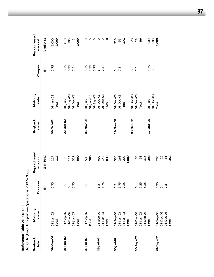| Bond Buyback Program-  | -Operations<br>Reference Table XII (cont'd)                         | 2002-2003           |                             |                        |                                                             |                      |                                       |
|------------------------|---------------------------------------------------------------------|---------------------|-----------------------------|------------------------|-------------------------------------------------------------|----------------------|---------------------------------------|
| <b>Buyback</b><br>date | Maturity<br>date                                                    | Coupon              | Repurchased<br>amount       | <b>Buyback</b><br>date | Maturity<br>date                                            | Coupon               | Repurchased<br>amount                 |
|                        |                                                                     | (%)                 | $($ \$ millions $)$         |                        |                                                             | $\circledS$          | (\$ millions)                         |
| 07-May-02              | $01 - Jun - 02$<br>Total                                            | 5.75                | 717                         | 08-Oct-02              | $01 - Jun - 03$<br>Total                                    | 5.75                 | $1,000$<br>1,000                      |
| 04-Jun-02              | 01-Sep-02<br>01-Dec-02<br>$01 - Jun - 03$<br>Total                  | 5.75<br>5.75        | 75<br>$114$<br>311<br>500   | 22-Oct-02              | $01-$ Sep-03<br>$01 - Dec - 03$<br>$01 - Jun - 03$<br>Total | 5.75<br>5.25<br>7.5  | 1,000<br>185<br>$\overline{5}$<br>810 |
| $02 - Jul - 02$        | $01 -$ Sep-02<br>Total                                              | 5.5                 | 500<br>500                  | 05-Nov-02              | $O1-Sep-03$<br>$01 - Jun - 03$<br>$01 - Jun - 03$           | 5.75<br>7.25<br>5.25 |                                       |
| $16 - Jul - 02$        | $01 - \text{Sep-02}$<br>$01 - \text{Jun-03}$<br>Total               | 5.5<br>5.75         | <b>140</b><br>699<br>839    |                        | $O1-Dec-03$<br>$O1 - Dec - O3$<br>Total                     | 5<br>7.5             | 000000                                |
| $30 - Jul - 02$        | $01 - \text{Sep-}02$<br>$01 - Jun - 03$<br>$01 - Jun - 03$<br>Total | 5.75<br>7.25<br>5.5 | 268<br>530<br>202<br>1,000  | 19-Nov-02              | $01 - Dec - 03$<br>$O1 - Dec - O3$<br>Total                 | 7.5<br>5             | 216<br>55<br>271                      |
| $10 - \text{Sep-}02$   | $O1-Dec-O2$<br>$01-$ Sep-03<br>$01 - Jun - 03$                      | $0, 25$<br>5.25     | $\overline{5}$<br>53<br>315 | 03-Dec-02              | $O1 - Dec - O3$<br>$01 - Dec - 03$<br>Total                 | 7.5<br>S             | 2880                                  |
|                        | Total                                                               |                     | 398                         | 17-Dec-02              | $O1 - Dec - O3$<br>$01 - Jun - 03$                          | 5.75<br>S            | 500<br>500                            |
| 24-Sep-02              | $01 - \text{Sep-}03$<br>$01 - Dec - 03$<br>$O1-Dec-03$<br>Total     | 5.25<br>5 5<br>7.5  | 280<br>25<br>51<br>356      |                        | Total                                                       |                      | 1,000                                 |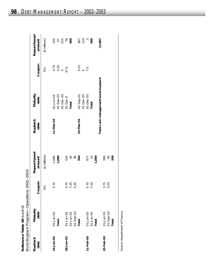|                        | Bond Buyback Program-Operations 2002-2003<br>Reference Table XII (cont'd) |                      |                       |                        |                                    |                  |                                                           |
|------------------------|---------------------------------------------------------------------------|----------------------|-----------------------|------------------------|------------------------------------|------------------|-----------------------------------------------------------|
| <b>Buyback</b><br>date | Maturity<br>date                                                          | Coupon               | Repurchased<br>amount | <b>Buyback</b><br>date | Maturity<br>date                   | Coupon           | Repurchased<br>amount                                     |
|                        |                                                                           | (%)                  | (\$ millions)         |                        |                                    | (%)              | (\$ millions)                                             |
| 14-Jan-03              | $01 - Jun - 03$<br>Total                                                  | 5.75                 | $1,000$<br>1,000      | 11-Mar-03              | $01 -$ Sep-03<br>$01 - Jun - 03$   | 5.75<br>5.25     | 150                                                       |
| 28-Jan-03              | 01-Jun-03                                                                 |                      |                       |                        | $O1 - Dec - O3$<br>$D1-Dec-0$      | 5<br>37.5        | 57<br>27<br>79<br>500                                     |
|                        | $01-$ Sep-03<br>$01 - Jun - 03$                                           | 5.75<br>7.25<br>5.25 | 420<br>44<br>36       |                        | Total                              |                  |                                                           |
|                        | Total                                                                     |                      | 500                   | 25-Mar-03              | $01 -$ Sep-03<br>$O1 - Dec - O3$   | 5.25<br><u>က</u> | $\begin{array}{c}\n 387 \\  \hline\n 110 \\  \end{array}$ |
| $11 - Feb - 03$        | $01 - Jun - 03$                                                           | 5.75                 | 977                   |                        | $O1 - Dec - O3$                    | 7.5              |                                                           |
|                        | $01 - Jun - 03$<br>Total                                                  | 7.25                 | 1,000<br>23           |                        | Total                              |                  | 500                                                       |
| 25-Feb-03              | $01-5ep-03$<br>$01 - Jun - 03$<br>Total                                   | 5.25<br>5.75         | 300<br>50<br>350      |                        | Total cash management bond buyback |                  | 12,887                                                    |
|                        |                                                                           |                      |                       |                        |                                    |                  |                                                           |

Source: Department of Finance. Source: Department of Finance.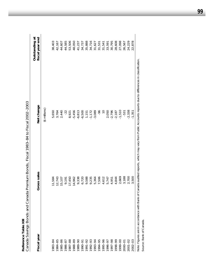| Canada Savings Bonds and Canada |                  | Premium Bonds, Fiscal 1983-84 to Fiscal 2002-2003                                                                                           |                                   |
|---------------------------------|------------------|---------------------------------------------------------------------------------------------------------------------------------------------|-----------------------------------|
| Fiscal year                     | Gross sales      | Net change                                                                                                                                  | Outstanding at<br>fiscal year end |
|                                 |                  | $($ \$ millions $)$                                                                                                                         |                                   |
| 1983-84                         | 11,584           | 5,650                                                                                                                                       | 38,403                            |
| 1984-85                         | 12,743           | 3,764                                                                                                                                       | 42,167                            |
| 1985-86                         | 15,107           | 2,440                                                                                                                                       | 44,607                            |
| 1986-87                         | 9,191            | $-22$                                                                                                                                       | 44,585                            |
| 1987-88<br>1988-89              | 17,450           | 8,921                                                                                                                                       | 53,506                            |
|                                 | 14,962           | $-5,456$                                                                                                                                    | 48,050                            |
| 1989-90                         | 9,338            | $-6,813$                                                                                                                                    | 41,237                            |
| 1990-91                         | 6,720            | $-6,500$                                                                                                                                    | 34,737                            |
|                                 | ,588<br>$\sigma$ | 1,151                                                                                                                                       | 35,888                            |
| 1991-92<br>1992-93<br>1993-94   | 9,235            | $-1,172$                                                                                                                                    | 34,716                            |
|                                 | 5,364            | $-3,089$                                                                                                                                    | 31,627                            |
| 1994-95                         | 7,506            | $-96$                                                                                                                                       | 31,531                            |
| 1995-96<br>1996-97              | 4,612            | $\frac{1}{2}$                                                                                                                               | 31,541                            |
|                                 | 5,747            | 2,050                                                                                                                                       | 33,591                            |
| 1997-98                         | 4,951            | $-2,796$                                                                                                                                    | 30,795                            |
| 1998-99                         | 4,844            | $-2,187$                                                                                                                                    | 28,608                            |
| 1999-00                         | 2,669            | $-1,510$                                                                                                                                    | 27,098                            |
| 2000-01<br>2001-02              | 3,188            | $-531$                                                                                                                                      | 26,567                            |
|                                 | 2,700            | $-2,338$                                                                                                                                    | 24,229                            |
| 2002-03                         | 3,500            | $-1,351$                                                                                                                                    | 22,878                            |
|                                 |                  | Note Eigures and accordance with Dank of Canada oughtour concrete wibido may vany from Dublic Accordance of the differential discritication |                                   |

Reference Table XIII **Reference Table XIII**

Note: Figures are in accordance with Bank of Canada audited reports, which may vary from Public Accounts reports due to differences in classification.<br>Source: Bank of Canada. Note: Figures are in accordance with Bank of Canada audited reports, which may vary from Public Accounts reports due to differences in classification. Source: Bank of Canada.